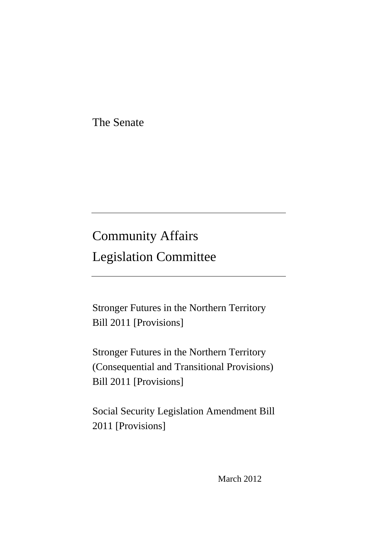The Senate

# Community Affairs Legislation Committee

Stronger Futures in the Northern Territory Bill 2011 [Provisions]

Stronger Futures in the Northern Territory (Consequential and Transitional Provisions) Bill 2011 [Provisions]

Social Security Legislation Amendment Bill 2011 [Provisions]

March 2012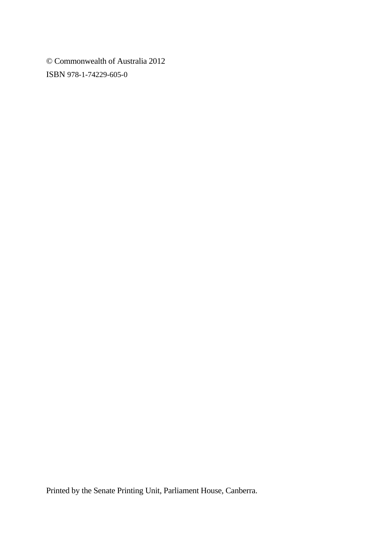© Commonwealth of Australia 2012 ISBN 978-1-74229-605-0

Printed by the Senate Printing Unit, Parliament House, Canberra.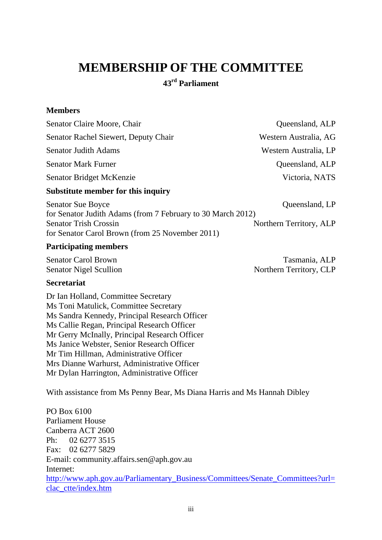# **MEMBERSHIP OF THE COMMITTEE**

**43rd Parliament** 

#### **Members**

| Senator Claire Moore, Chair                                 | Queensland, ALP         |
|-------------------------------------------------------------|-------------------------|
| Senator Rachel Siewert, Deputy Chair                        | Western Australia, AG   |
| <b>Senator Judith Adams</b>                                 | Western Australia, LP   |
| <b>Senator Mark Furner</b>                                  | Queensland, ALP         |
| Senator Bridget McKenzie                                    | Victoria, NATS          |
| Substitute member for this inquiry                          |                         |
| <b>Senator Sue Boyce</b>                                    | Queensland, LP          |
| for Senator Judith Adams (from 7 February to 30 March 2012) |                         |
| <b>Senator Trish Crossin</b>                                | Northern Territory, ALP |

**Participating members** 

Senator Carol Brown Tasmania, ALP Senator Nigel Scullion Northern Territory, CLP

#### **Secretariat**

Dr Ian Holland, Committee Secretary Ms Toni Matulick, Committee Secretary Ms Sandra Kennedy, Principal Research Officer Ms Callie Regan, Principal Research Officer Mr Gerry McInally, Principal Research Officer Ms Janice Webster, Senior Research Officer Mr Tim Hillman, Administrative Officer Mrs Dianne Warhurst, Administrative Officer Mr Dylan Harrington, Administrative Officer

for Senator Carol Brown (from 25 November 2011)

With assistance from Ms Penny Bear, Ms Diana Harris and Ms Hannah Dibley

PO Box 6100 Parliament House Canberra ACT 2600 Ph: 02 6277 3515 Fax: 02 6277 5829 E-mail: community.affairs.sen@aph.gov.au Internet: [http://www.aph.gov.au/Parliamentary\\_Business/Committees/Senate\\_Committees?url=](http://www.aph.gov.au/Parliamentary_Business/Committees/Senate_Committees?url=clac_ctte/index.htm) [clac\\_ctte/index.htm](http://www.aph.gov.au/Parliamentary_Business/Committees/Senate_Committees?url=clac_ctte/index.htm)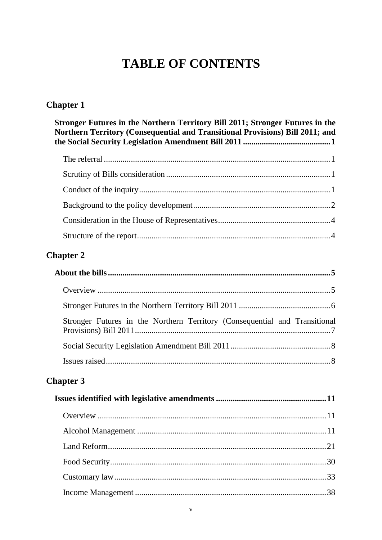# **TABLE OF CONTENTS**

# **Chapter 1**

| Stronger Futures in the Northern Territory Bill 2011; Stronger Futures in the<br>Northern Territory (Consequential and Transitional Provisions) Bill 2011; and |  |
|----------------------------------------------------------------------------------------------------------------------------------------------------------------|--|
|                                                                                                                                                                |  |
|                                                                                                                                                                |  |
|                                                                                                                                                                |  |
|                                                                                                                                                                |  |
|                                                                                                                                                                |  |
|                                                                                                                                                                |  |

# **Chapter 2**

| Stronger Futures in the Northern Territory (Consequential and Transitional |  |
|----------------------------------------------------------------------------|--|
|                                                                            |  |
|                                                                            |  |

# **Chapter 3**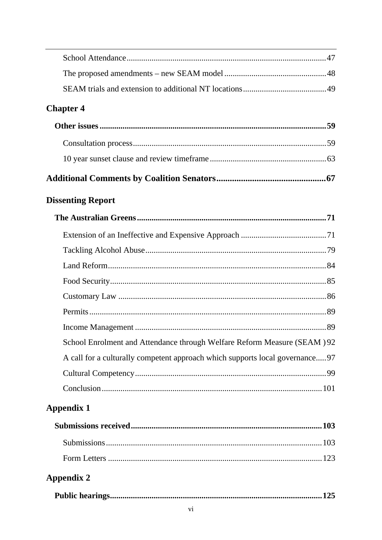| <b>Chapter 4</b>                                                              |
|-------------------------------------------------------------------------------|
|                                                                               |
|                                                                               |
|                                                                               |
|                                                                               |
| <b>Dissenting Report</b>                                                      |
|                                                                               |
|                                                                               |
|                                                                               |
|                                                                               |
|                                                                               |
|                                                                               |
|                                                                               |
|                                                                               |
| School Enrolment and Attendance through Welfare Reform Measure (SEAM) 92      |
| A call for a culturally competent approach which supports local governance 97 |
|                                                                               |
|                                                                               |
| <b>Appendix 1</b>                                                             |
|                                                                               |
|                                                                               |
|                                                                               |
| <b>Appendix 2</b>                                                             |
| .125                                                                          |
|                                                                               |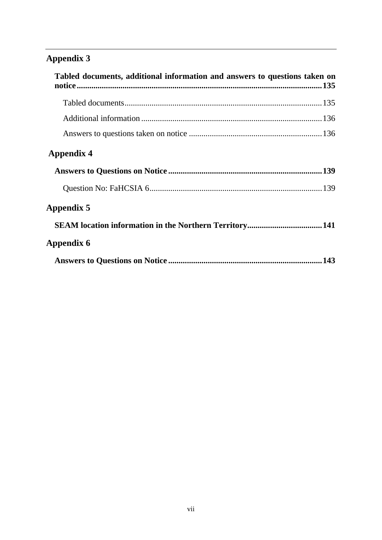# **Appendix 3**

| Tabled documents, additional information and answers to questions taken on |  |
|----------------------------------------------------------------------------|--|
|                                                                            |  |
|                                                                            |  |
|                                                                            |  |
| Appendix 4                                                                 |  |
|                                                                            |  |
|                                                                            |  |
| Appendix 5                                                                 |  |
|                                                                            |  |
| Appendix 6                                                                 |  |
|                                                                            |  |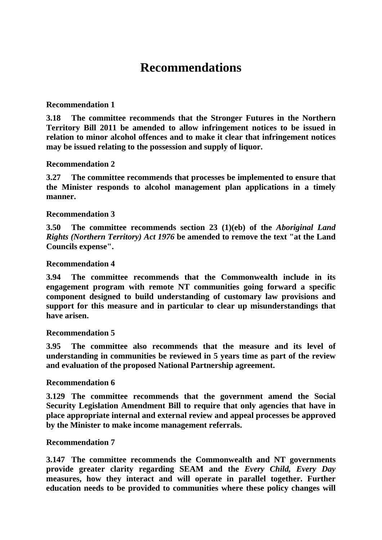# **Recommendations**

#### **Recommendation 1**

**3.18 The committee recommends that the Stronger Futures in the Northern Territory Bill 2011 be amended to allow infringement notices to be issued in relation to minor alcohol offences and to make it clear that infringement notices may be issued relating to the possession and supply of liquor.** 

#### **Recommendation 2**

**3.27 The committee recommends that processes be implemented to ensure that the Minister responds to alcohol management plan applications in a timely manner.** 

#### **Recommendation 3**

**3.50 The committee recommends section 23 (1)(eb) of the** *Aboriginal Land Rights (Northern Territory) Act 1976* **be amended to remove the text "at the Land Councils expense".** 

#### **Recommendation 4**

**3.94 The committee recommends that the Commonwealth include in its engagement program with remote NT communities going forward a specific component designed to build understanding of customary law provisions and support for this measure and in particular to clear up misunderstandings that have arisen.** 

#### **Recommendation 5**

**3.95 The committee also recommends that the measure and its level of understanding in communities be reviewed in 5 years time as part of the review and evaluation of the proposed National Partnership agreement.** 

#### **Recommendation 6**

**3.129 The committee recommends that the government amend the Social Security Legislation Amendment Bill to require that only agencies that have in place appropriate internal and external review and appeal processes be approved by the Minister to make income management referrals.** 

#### **Recommendation 7**

**3.147 The committee recommends the Commonwealth and NT governments provide greater clarity regarding SEAM and the** *Every Child, Every Day* **measures, how they interact and will operate in parallel together. Further education needs to be provided to communities where these policy changes will**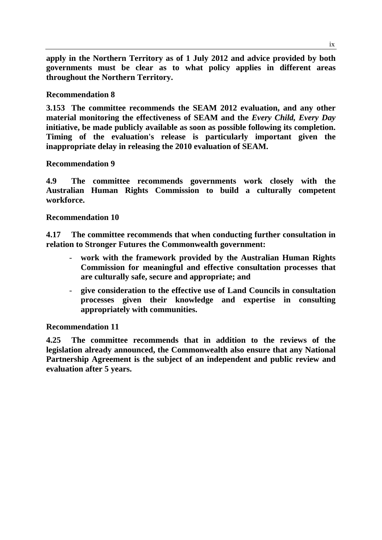**apply in the Northern Territory as of 1 July 2012 and advice provided by both governments must be clear as to what policy applies in different areas throughout the Northern Territory.** 

#### **Recommendation 8**

**3.153 The committee recommends the SEAM 2012 evaluation, and any other material monitoring the effectiveness of SEAM and the** *Every Child, Every Day* **initiative, be made publicly available as soon as possible following its completion. Timing of the evaluation's release is particularly important given the inappropriate delay in releasing the 2010 evaluation of SEAM.** 

#### **Recommendation 9**

**4.9 The committee recommends governments work closely with the Australian Human Rights Commission to build a culturally competent workforce.** 

#### **Recommendation 10**

**4.17 The committee recommends that when conducting further consultation in relation to Stronger Futures the Commonwealth government:** 

- work with the framework provided by the Australian Human Rights **Commission for meaningful and effective consultation processes that are culturally safe, secure and appropriate; and**
- **give consideration to the effective use of Land Councils in consultation processes given their knowledge and expertise in consulting appropriately with communities.**

#### **Recommendation 11**

**4.25 The committee recommends that in addition to the reviews of the legislation already announced, the Commonwealth also ensure that any National Partnership Agreement is the subject of an independent and public review and evaluation after 5 years.**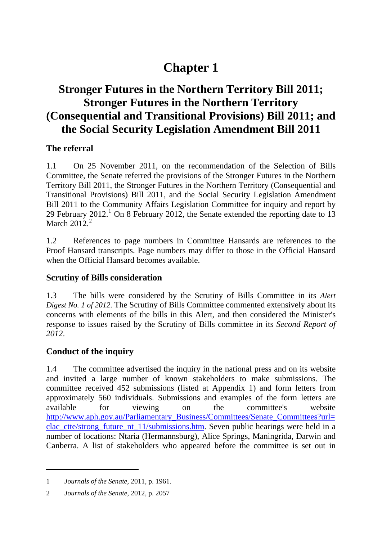# **Chapter 1**

# **Stronger Futures in the Northern Territory Bill 2011; Stronger Futures in the Northern Territory (Consequential and Transitional Provisions) Bill 2011; and the Social Security Legislation Amendment Bill 2011**

## **The referral**

1.1 On 25 November 2011, on the recommendation of the Selection of Bills Committee, the Senate referred the provisions of the Stronger Futures in the Northern Territory Bill 2011, the Stronger Futures in the Northern Territory (Consequential and Transitional Provisions) Bill 2011, and the Social Security Legislation Amendment Bill 2011 to the Community Affairs Legislation Committee for inquiry and report by 29 February  $2012<sup>1</sup>$  $2012<sup>1</sup>$  $2012<sup>1</sup>$  On 8 February 2012, the Senate extended the reporting date to 13 March  $2012<sup>2</sup>$  $2012<sup>2</sup>$ 

1.2 References to page numbers in Committee Hansards are references to the Proof Hansard transcripts. Page numbers may differ to those in the Official Hansard when the Official Hansard becomes available.

## **Scrutiny of Bills consideration**

1.3 The bills were considered by the Scrutiny of Bills Committee in its *Alert Digest No. 1 of 2012*. The Scrutiny of Bills Committee commented extensively about its concerns with elements of the bills in this Alert, and then considered the Minister's response to issues raised by the Scrutiny of Bills committee in its *Second Report of 2012*.

## **Conduct of the inquiry**

1.4 The committee advertised the inquiry in the national press and on its website and invited a large number of known stakeholders to make submissions. The committee received 452 submissions (listed at Appendix 1) and form letters from approximately 560 individuals. Submissions and examples of the form letters are available for viewing on the committee's website [http://www.aph.gov.au/Parliamentary\\_Business/Committees/Senate\\_Committees?url=](http://www.aph.gov.au/Parliamentary_Business/Committees/Senate_Committees?url=clac_ctte/strong_future_nt_11/submissions.htm) [clac\\_ctte/strong\\_future\\_nt\\_11/submissions.htm.](http://www.aph.gov.au/Parliamentary_Business/Committees/Senate_Committees?url=clac_ctte/strong_future_nt_11/submissions.htm) Seven public hearings were held in a number of locations: Ntaria (Hermannsburg), Alice Springs, Maningrida, Darwin and Canberra. A list of stakeholders who appeared before the committee is set out in

<span id="page-10-0"></span><sup>1</sup> *Journals of the Senate,* 2011, p. 1961.

<span id="page-10-1"></span><sup>2</sup> *Journals of the Senate,* 2012, p. 2057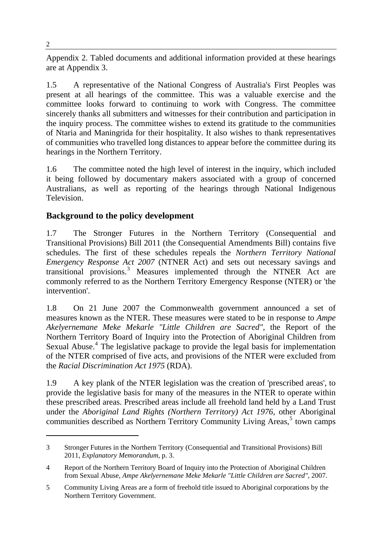Appendix 2. Tabled documents and additional information provided at these hearings are at Appendix 3.

1.5 A representative of the National Congress of Australia's First Peoples was present at all hearings of the committee. This was a valuable exercise and the committee looks forward to continuing to work with Congress. The committee sincerely thanks all submitters and witnesses for their contribution and participation in the inquiry process. The committee wishes to extend its gratitude to the communities of Ntaria and Maningrida for their hospitality. It also wishes to thank representatives of communities who travelled long distances to appear before the committee during its hearings in the Northern Territory.

1.6 The committee noted the high level of interest in the inquiry, which included it being followed by documentary makers associated with a group of concerned Australians, as well as reporting of the hearings through National Indigenous Television.

# **Background to the policy development**

1.7 The Stronger Futures in the Northern Territory (Consequential and Transitional Provisions) Bill 2011 (the Consequential Amendments Bill) contains five schedules. The first of these schedules repeals the *Northern Territory National Emergency Response Act 2007* (NTNER Act) and sets out necessary savings and transitional provisions.<sup>[3](#page-11-0)</sup> Measures implemented through the NTNER Act are commonly referred to as the Northern Territory Emergency Response (NTER) or 'the intervention'.

1.8 On 21 June 2007 the Commonwealth government announced a set of measures known as the NTER. These measures were stated to be in response to *Ampe Akelyernemane Meke Mekarle "Little Children are Sacred"*, the Report of the Northern Territory Board of Inquiry into the Protection of Aboriginal Children from Sexual Abuse.<sup>[4](#page-11-1)</sup> The legislative package to provide the legal basis for implementation of the NTER comprised of five acts, and provisions of the NTER were excluded from the *Racial Discrimination Act 1975* (RDA).

1.9 A key plank of the NTER legislation was the creation of 'prescribed areas', to provide the legislative basis for many of the measures in the NTER to operate within these prescribed areas. Prescribed areas include all freehold land held by a Land Trust under the *Aboriginal Land Rights (Northern Territory) Act 1976*, other Aboriginal communities described as Northern Territory Community Living Areas,<sup>[5](#page-11-2)</sup> town camps

<span id="page-11-0"></span><sup>3</sup> Stronger Futures in the Northern Territory (Consequential and Transitional Provisions) Bill 2011, *Explanatory Memorandum*, p. 3.

<span id="page-11-1"></span><sup>4</sup> Report of the Northern Territory Board of Inquiry into the Protection of Aboriginal Children from Sexual Abuse, *Ampe Akelyernemane Meke Mekarle "Little Children are Sacred",* 2007.

<span id="page-11-2"></span><sup>5</sup> Community Living Areas are a form of freehold title issued to Aboriginal corporations by the Northern Territory Government.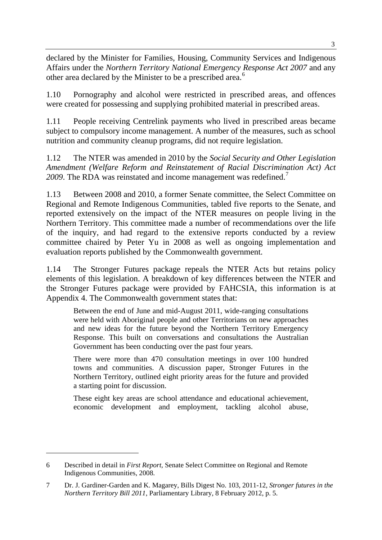declared by the Minister for Families, Housing, Community Services and Indigenous Affairs under the *Northern Territory National Emergency Response Act 2007* and any other area declared by the Minister to be a prescribed area.<sup>6</sup>

1.10 Pornography and alcohol were restricted in prescribed areas, and offences were created for possessing and supplying prohibited material in prescribed areas.

1.11 People receiving Centrelink payments who lived in prescribed areas became subject to compulsory income management. A number of the measures, such as school nutrition and community cleanup programs, did not require legislation.

1.12 The NTER was amended in 2010 by the *Social Security and Other Legislation Amendment (Welfare Reform and Reinstatement of Racial Discrimination Act) Act* 2009. The RDA was reinstated and income management was redefined.<sup>[7](#page-12-0)</sup>

1.13 Between 2008 and 2010, a former Senate committee, the Select Committee on Regional and Remote Indigenous Communities, tabled five reports to the Senate, and reported extensively on the impact of the NTER measures on people living in the Northern Territory. This committee made a number of recommendations over the life of the inquiry, and had regard to the extensive reports conducted by a review committee chaired by Peter Yu in 2008 as well as ongoing implementation and evaluation reports published by the Commonwealth government.

1.14 The Stronger Futures package repeals the NTER Acts but retains policy elements of this legislation. A breakdown of key differences between the NTER and the Stronger Futures package were provided by FAHCSIA, this information is at Appendix 4. The Commonwealth government states that:

Between the end of June and mid-August 2011, wide-ranging consultations were held with Aboriginal people and other Territorians on new approaches and new ideas for the future beyond the Northern Territory Emergency Response. This built on conversations and consultations the Australian Government has been conducting over the past four years.

There were more than 470 consultation meetings in over 100 hundred towns and communities. A discussion paper, Stronger Futures in the Northern Territory, outlined eight priority areas for the future and provided a starting point for discussion.

These eight key areas are school attendance and educational achievement, economic development and employment, tackling alcohol abuse,

<sup>6</sup> Described in detail in *First Report,* Senate Select Committee on Regional and Remote Indigenous Communities, 2008.

<span id="page-12-0"></span><sup>7</sup> Dr. J. Gardiner-Garden and K. Magarey, Bills Digest No. 103, 2011-12, *Stronger futures in the Northern Territory Bill 2011*, Parliamentary Library, 8 February 2012, p. 5.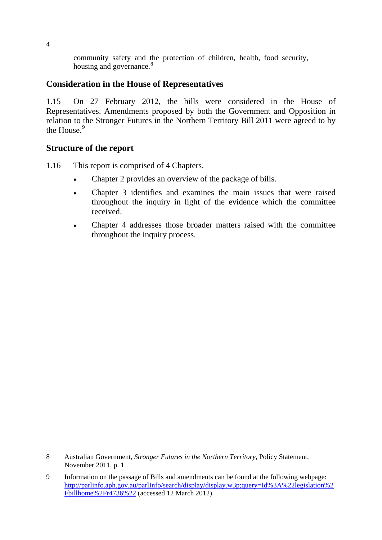community safety and the protection of children, health, food security, housing and governance.<sup>[8](#page-13-0)</sup>

## **Consideration in the House of Representatives**

1.15 On 27 February 2012, the bills were considered in the House of Representatives. Amendments proposed by both the Government and Opposition in relation to the Stronger Futures in the Northern Territory Bill 2011 were agreed to by the House.<sup>[9](#page-13-1)</sup>

### **Structure of the report**

- 1.16 This report is comprised of 4 Chapters.
	- Chapter 2 provides an overview of the package of bills.
	- Chapter 3 identifies and examines the main issues that were raised throughout the inquiry in light of the evidence which the committee received.
	- Chapter 4 addresses those broader matters raised with the committee throughout the inquiry process.

<span id="page-13-0"></span><sup>8</sup> Australian Government, *Stronger Futures in the Northern Territory,* Policy Statement, November 2011, p. 1.

<span id="page-13-1"></span><sup>9</sup> Information on the passage of Bills and amendments can be found at the following webpage: [http://parlinfo.aph.gov.au/parlInfo/search/display/display.w3p;query=Id%3A%22legislation%2](http://parlinfo.aph.gov.au/parlInfo/search/display/display.w3p;query=Id%3A%22legislation%2Fbillhome%2Fr4736%22) [Fbillhome%2Fr4736%22](http://parlinfo.aph.gov.au/parlInfo/search/display/display.w3p;query=Id%3A%22legislation%2Fbillhome%2Fr4736%22) (accessed 12 March 2012).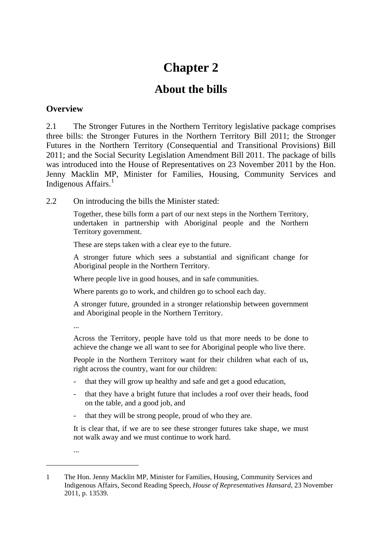# **Chapter 2**

# **About the bills**

## **Overview**

2.1 The Stronger Futures in the Northern Territory legislative package comprises three bills: the Stronger Futures in the Northern Territory Bill 2011; the Stronger Futures in the Northern Territory (Consequential and Transitional Provisions) Bill 2011; and the Social Security Legislation Amendment Bill 2011. The package of bills was introduced into the House of Representatives on 23 November 2011 by the Hon. Jenny Macklin MP, Minister for Families, Housing, Community Services and Indigenous Affairs.<sup>[1](#page-14-0)</sup>

2.2 On introducing the bills the Minister stated:

Together, these bills form a part of our next steps in the Northern Territory, undertaken in partnership with Aboriginal people and the Northern Territory government.

These are steps taken with a clear eye to the future.

A stronger future which sees a substantial and significant change for Aboriginal people in the Northern Territory.

Where people live in good houses, and in safe communities.

Where parents go to work, and children go to school each day.

A stronger future, grounded in a stronger relationship between government and Aboriginal people in the Northern Territory.

...

Across the Territory, people have told us that more needs to be done to achieve the change we all want to see for Aboriginal people who live there.

People in the Northern Territory want for their children what each of us, right across the country, want for our children:

- that they will grow up healthy and safe and get a good education,
- that they have a bright future that includes a roof over their heads, food on the table, and a good job, and
- that they will be strong people, proud of who they are.

It is clear that, if we are to see these stronger futures take shape, we must not walk away and we must continue to work hard.

...

<span id="page-14-0"></span><sup>1</sup> The Hon. Jenny Macklin MP, Minister for Families, Housing, Community Services and Indigenous Affairs, Second Reading Speech, *House of Representatives Hansard*, 23 November 2011, p. 13539.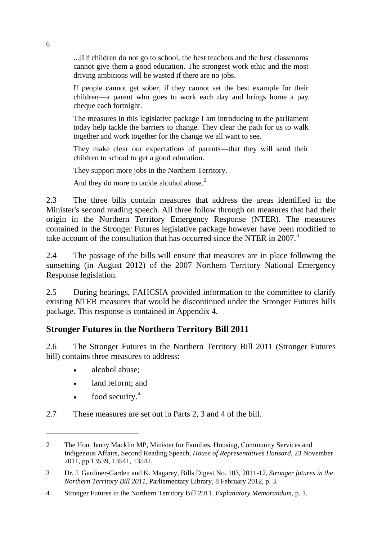...[I]f children do not go to school, the best teachers and the best classrooms cannot give them a good education. The strongest work ethic and the most driving ambitions will be wasted if there are no jobs.

If people cannot get sober, if they cannot set the best example for their children—a parent who goes to work each day and brings home a pay cheque each fortnight.

The measures in this legislative package I am introducing to the parliament today help tackle the barriers to change. They clear the path for us to walk together and work together for the change we all want to see.

They make clear our expectations of parents—that they will send their children to school to get a good education.

They support more jobs in the Northern Territory.

And they do more to tackle alcohol abuse.<sup>[2](#page-15-0)</sup>

2.3 The three bills contain measures that address the areas identified in the Minister's second reading speech. All three follow through on measures that had their origin in the Northern Territory Emergency Response (NTER). The measures contained in the Stronger Futures legislative package however have been modified to take account of the consultation that has occurred since the NTER in 2007.<sup>[3](#page-15-1)</sup>

2.4 The passage of the bills will ensure that measures are in place following the sunsetting (in August 2012) of the 2007 Northern Territory National Emergency Response legislation.

2.5 During hearings, FAHCSIA provided information to the committee to clarify existing NTER measures that would be discontinued under the Stronger Futures bills package. This response is contained in Appendix 4.

## **Stronger Futures in the Northern Territory Bill 2011**

2.6 The Stronger Futures in the Northern Territory Bill 2011 (Stronger Futures bill) contains three measures to address:

- alcohol abuse;
- land reform; and
- food security. $4$

 $\overline{a}$ 

2.7 These measures are set out in Parts 2, 3 and 4 of the bill.

<span id="page-15-0"></span><sup>2</sup> The Hon. Jenny Macklin MP, Minister for Families, Housing, Community Services and Indigenous Affairs, Second Reading Speech, *House of Representatives Hansard*, 23 November 2011, pp 13539, 13541, 13542.

<span id="page-15-1"></span><sup>3</sup> Dr. J. Gardiner-Garden and K. Magarey, Bills Digest No. 103, 2011-12, *Stronger futures in the Northern Territory Bill 2011*, Parliamentary Library, 8 February 2012, p. 3.

<span id="page-15-2"></span><sup>4</sup> Stronger Futures in the Northern Territory Bill 2011, *Explanatory Memorandum*, p. 1.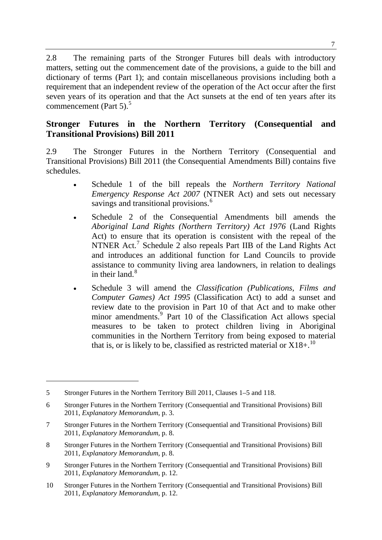2.8 The remaining parts of the Stronger Futures bill deals with introductory matters, setting out the commencement date of the provisions, a guide to the bill and dictionary of terms (Part 1); and contain miscellaneous provisions including both a requirement that an independent review of the operation of the Act occur after the first seven years of its operation and that the Act sunsets at the end of ten years after its commencement (Part [5](#page-16-0)). $5$ 

## **Stronger Futures in the Northern Territory (Consequential and Transitional Provisions) Bill 2011**

2.9 The Stronger Futures in the Northern Territory (Consequential and Transitional Provisions) Bill 2011 (the Consequential Amendments Bill) contains five schedules.

- Schedule 1 of the bill repeals the *Northern Territory National Emergency Response Act 2007* (NTNER Act) and sets out necessary savings and transitional provisions.<sup>[6](#page-16-1)</sup>
- Schedule 2 of the Consequential Amendments bill amends the *Aboriginal Land Rights (Northern Territory) Act 1976* (Land Rights Act) to ensure that its operation is consistent with the repeal of the NTNER Act.<sup>[7](#page-16-2)</sup> Schedule 2 also repeals Part IIB of the Land Rights Act and introduces an additional function for Land Councils to provide assistance to community living area landowners, in relation to dealings in their land. $8$
- Schedule 3 will amend the *Classification (Publications, Films and Computer Games) Act 1995* (Classification Act) to add a sunset and review date to the provision in Part 10 of that Act and to make other minor amendments.<sup>[9](#page-16-4)</sup> Part 10 of the Classification Act allows special measures to be taken to protect children living in Aboriginal communities in the Northern Territory from being exposed to material that is, or is likely to be, classified as restricted material or  $X18+$ <sup>[10](#page-16-5)</sup>

<span id="page-16-0"></span><sup>5</sup> Stronger Futures in the Northern Territory Bill 2011, Clauses 1–5 and 118.

<span id="page-16-1"></span><sup>6</sup> Stronger Futures in the Northern Territory (Consequential and Transitional Provisions) Bill 2011, *Explanatory Memorandum*, p. 3.

<span id="page-16-2"></span><sup>7</sup> Stronger Futures in the Northern Territory (Consequential and Transitional Provisions) Bill 2011, *Explanatory Memorandum*, p. 8.

<span id="page-16-3"></span><sup>8</sup> Stronger Futures in the Northern Territory (Consequential and Transitional Provisions) Bill 2011, *Explanatory Memorandum*, p. 8.

<span id="page-16-4"></span><sup>9</sup> Stronger Futures in the Northern Territory (Consequential and Transitional Provisions) Bill 2011, *Explanatory Memorandum*, p. 12.

<span id="page-16-5"></span><sup>10</sup> Stronger Futures in the Northern Territory (Consequential and Transitional Provisions) Bill 2011, *Explanatory Memorandum*, p. 12.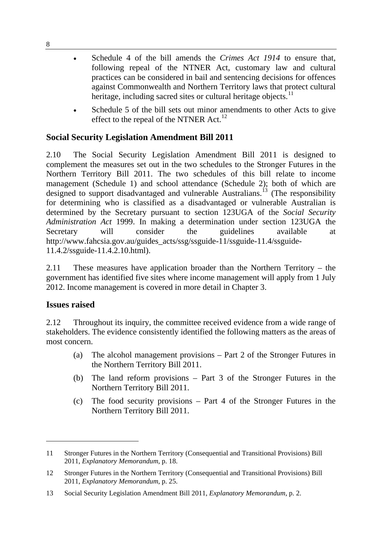- Schedule 4 of the bill amends the *Crimes Act 1914* to ensure that, following repeal of the NTNER Act, customary law and cultural practices can be considered in bail and sentencing decisions for offences against Commonwealth and Northern Territory laws that protect cultural heritage, including sacred sites or cultural heritage objects.<sup>[11](#page-17-0)</sup>
- Schedule 5 of the bill sets out minor amendments to other Acts to give effect to the repeal of the NTNER Act.<sup>[12](#page-17-1)</sup>

# **Social Security Legislation Amendment Bill 2011**

2.10 The Social Security Legislation Amendment Bill 2011 is designed to complement the measures set out in the two schedules to the Stronger Futures in the Northern Territory Bill 2011. The two schedules of this bill relate to income management (Schedule 1) and school attendance (Schedule 2); both of which are designed to support disadvantaged and vulnerable Australians.<sup>[13](#page-17-2)</sup> (The responsibility for determining who is classified as a disadvantaged or vulnerable Australian is determined by the Secretary pursuant to section 123UGA of the *Social Security Administration Act* 1999. In making a determination under section 123UGA the Secretary will consider the guidelines available at http://www.fahcsia.gov.au/guides\_acts/ssg/ssguide-11/ssguide-11.4/ssguide-11.4.2/ssguide-11.4.2.10.html).

2.11 These measures have application broader than the Northern Territory – the government has identified five sites where income management will apply from 1 July 2012. Income management is covered in more detail in Chapter 3.

## **Issues raised**

 $\overline{a}$ 

2.12 Throughout its inquiry, the committee received evidence from a wide range of stakeholders. The evidence consistently identified the following matters as the areas of most concern.

- (a) The alcohol management provisions Part 2 of the Stronger Futures in the Northern Territory Bill 2011.
- (b) The land reform provisions Part 3 of the Stronger Futures in the Northern Territory Bill 2011.
- (c) The food security provisions Part 4 of the Stronger Futures in the Northern Territory Bill 2011.

<span id="page-17-0"></span><sup>11</sup> Stronger Futures in the Northern Territory (Consequential and Transitional Provisions) Bill 2011, *Explanatory Memorandum*, p. 18.

<span id="page-17-1"></span><sup>12</sup> Stronger Futures in the Northern Territory (Consequential and Transitional Provisions) Bill 2011, *Explanatory Memorandum*, p. 25.

<span id="page-17-2"></span><sup>13</sup> Social Security Legislation Amendment Bill 2011, *Explanatory Memorandum*, p. 2.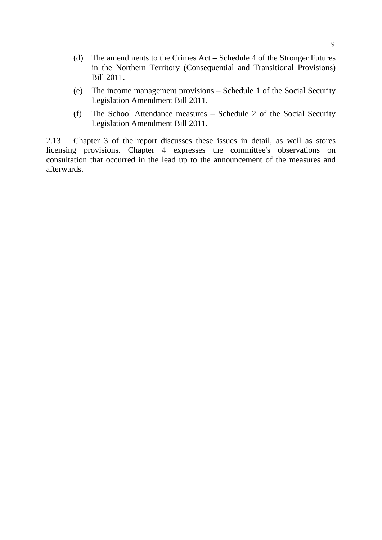- (d) The amendments to the Crimes Act Schedule 4 of the Stronger Futures in the Northern Territory (Consequential and Transitional Provisions) Bill 2011.
- (e) The income management provisions Schedule 1 of the Social Security Legislation Amendment Bill 2011.
- (f) The School Attendance measures Schedule 2 of the Social Security Legislation Amendment Bill 2011.

2.13 Chapter 3 of the report discusses these issues in detail, as well as stores licensing provisions. Chapter 4 expresses the committee's observations on consultation that occurred in the lead up to the announcement of the measures and afterwards.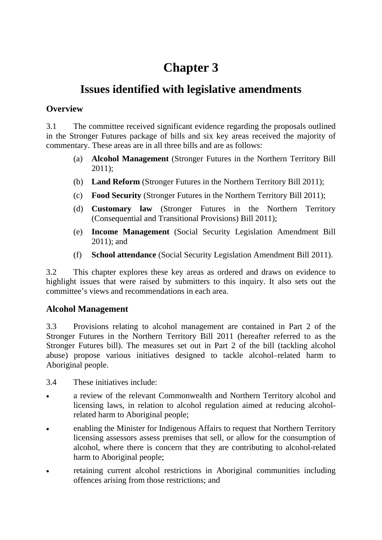# **Chapter 3**

# **Issues identified with legislative amendments**

# **Overview**

3.1 The committee received significant evidence regarding the proposals outlined in the Stronger Futures package of bills and six key areas received the majority of commentary. These areas are in all three bills and are as follows:

- (a) **Alcohol Management** (Stronger Futures in the Northern Territory Bill 2011);
- (b) **Land Reform** (Stronger Futures in the Northern Territory Bill 2011);
- (c) **Food Security** (Stronger Futures in the Northern Territory Bill 2011);
- (d) **Customary law** (Stronger Futures in the Northern Territory (Consequential and Transitional Provisions) Bill 2011);
- (e) **Income Management** (Social Security Legislation Amendment Bill 2011); and
- (f) **School attendance** (Social Security Legislation Amendment Bill 2011).

3.2 This chapter explores these key areas as ordered and draws on evidence to highlight issues that were raised by submitters to this inquiry. It also sets out the committee's views and recommendations in each area.

# **Alcohol Management**

3.3 Provisions relating to alcohol management are contained in Part 2 of the Stronger Futures in the Northern Territory Bill 2011 (hereafter referred to as the Stronger Futures bill). The measures set out in Part 2 of the bill (tackling alcohol abuse) propose various initiatives designed to tackle alcohol–related harm to Aboriginal people.

- 3.4 These initiatives include:
- a review of the relevant Commonwealth and Northern Territory alcohol and licensing laws, in relation to alcohol regulation aimed at reducing alcoholrelated harm to Aboriginal people;
- enabling the Minister for Indigenous Affairs to request that Northern Territory licensing assessors assess premises that sell, or allow for the consumption of alcohol, where there is concern that they are contributing to alcohol-related harm to Aboriginal people;
- retaining current alcohol restrictions in Aboriginal communities including offences arising from those restrictions; and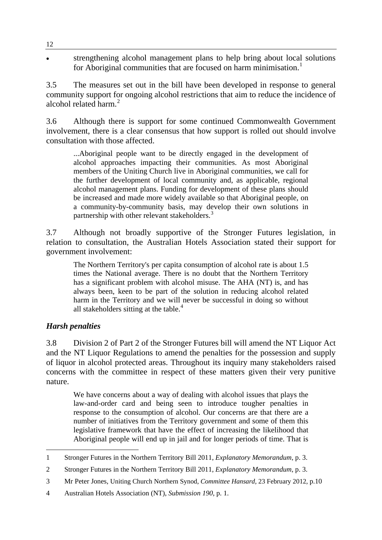strengthening alcohol management plans to help bring about local solutions for Aboriginal communities that are focused on harm minimisation.<sup>[1](#page-21-0)</sup>

3.5 The measures set out in the bill have been developed in response to general community support for ongoing alcohol restrictions that aim to reduce the incidence of alcohol related harm.<sup>[2](#page-21-1)</sup>

3.6 Although there is support for some continued Commonwealth Government involvement, there is a clear consensus that how support is rolled out should involve consultation with those affected.

...Aboriginal people want to be directly engaged in the development of alcohol approaches impacting their communities. As most Aboriginal members of the Uniting Church live in Aboriginal communities, we call for the further development of local community and, as applicable, regional alcohol management plans. Funding for development of these plans should be increased and made more widely available so that Aboriginal people, on a community-by-community basis, may develop their own solutions in partnership with other relevant stakeholders.<sup>[3](#page-21-2)</sup>

3.7 Although not broadly supportive of the Stronger Futures legislation, in relation to consultation, the Australian Hotels Association stated their support for government involvement:

The Northern Territory's per capita consumption of alcohol rate is about 1.5 times the National average. There is no doubt that the Northern Territory has a significant problem with alcohol misuse. The AHA (NT) is, and has always been, keen to be part of the solution in reducing alcohol related harm in the Territory and we will never be successful in doing so without all stakeholders sitting at the table.<sup>[4](#page-21-3)</sup>

## *Harsh penalties*

3.8 Division 2 of Part 2 of the Stronger Futures bill will amend the NT Liquor Act and the NT Liquor Regulations to amend the penalties for the possession and supply of liquor in alcohol protected areas. Throughout its inquiry many stakeholders raised concerns with the committee in respect of these matters given their very punitive nature.

We have concerns about a way of dealing with alcohol issues that plays the law-and-order card and being seen to introduce tougher penalties in response to the consumption of alcohol. Our concerns are that there are a number of initiatives from the Territory government and some of them this legislative framework that have the effect of increasing the likelihood that Aboriginal people will end up in jail and for longer periods of time. That is

<span id="page-21-0"></span> 1 Stronger Futures in the Northern Territory Bill 2011, *Explanatory Memorandum*, p. 3.

<span id="page-21-1"></span><sup>2</sup> Stronger Futures in the Northern Territory Bill 2011, *Explanatory Memorandum*, p. 3.

<span id="page-21-2"></span><sup>3</sup> Mr Peter Jones, Uniting Church Northern Synod, *Committee Hansard*, 23 February 2012, p.10

<span id="page-21-3"></span><sup>4</sup> Australian Hotels Association (NT), *Submission 190*, p. 1.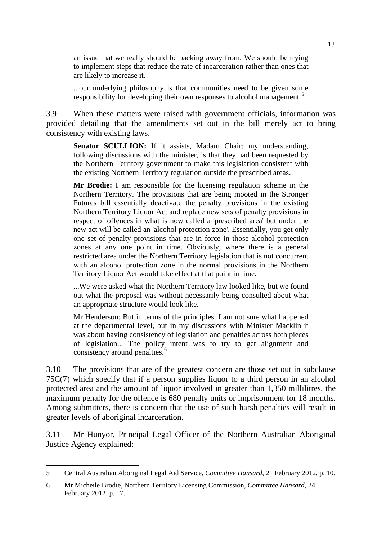an issue that we really should be backing away from. We should be trying to implement steps that reduce the rate of incarceration rather than ones that are likely to increase it.

...our underlying philosophy is that communities need to be given some responsibility for developing their own responses to alcohol management.<sup>[5](#page-22-0)</sup>

3.9 When these matters were raised with government officials, information was provided detailing that the amendments set out in the bill merely act to bring consistency with existing laws.

Senator SCULLION: If it assists, Madam Chair: my understanding, following discussions with the minister, is that they had been requested by the Northern Territory government to make this legislation consistent with the existing Northern Territory regulation outside the prescribed areas.

**Mr Brodie:** I am responsible for the licensing regulation scheme in the Northern Territory. The provisions that are being mooted in the Stronger Futures bill essentially deactivate the penalty provisions in the existing Northern Territory Liquor Act and replace new sets of penalty provisions in respect of offences in what is now called a 'prescribed area' but under the new act will be called an 'alcohol protection zone'. Essentially, you get only one set of penalty provisions that are in force in those alcohol protection zones at any one point in time. Obviously, where there is a general restricted area under the Northern Territory legislation that is not concurrent with an alcohol protection zone in the normal provisions in the Northern Territory Liquor Act would take effect at that point in time.

...We were asked what the Northern Territory law looked like, but we found out what the proposal was without necessarily being consulted about what an appropriate structure would look like.

Mr Henderson: But in terms of the principles: I am not sure what happened at the departmental level, but in my discussions with Minister Macklin it was about having consistency of legislation and penalties across both pieces of legislation... The policy intent was to try to get alignment and consistency around penalties.<sup>[6](#page-22-1)</sup>

3.10 The provisions that are of the greatest concern are those set out in subclause 75C(7) which specify that if a person supplies liquor to a third person in an alcohol protected area and the amount of liquor involved in greater than 1,350 millilitres, the maximum penalty for the offence is 680 penalty units or imprisonment for 18 months. Among submitters, there is concern that the use of such harsh penalties will result in greater levels of aboriginal incarceration.

3.11 Mr Hunyor, Principal Legal Officer of the Northern Australian Aboriginal Justice Agency explained:

<span id="page-22-0"></span><sup>5</sup> Central Australian Aboriginal Legal Aid Service, *Committee Hansard*, 21 February 2012, p. 10.

<span id="page-22-1"></span><sup>6</sup> Mr Micheile Brodie, Northern Territory Licensing Commission, *Committee Hansard*, 24 February 2012, p. 17.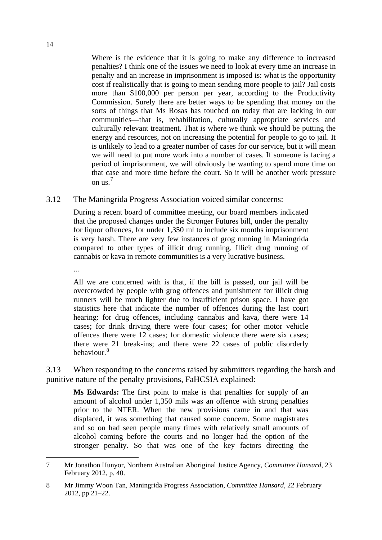Where is the evidence that it is going to make any difference to increased penalties? I think one of the issues we need to look at every time an increase in penalty and an increase in imprisonment is imposed is: what is the opportunity cost if realistically that is going to mean sending more people to jail? Jail costs more than \$100,000 per person per year, according to the Productivity Commission. Surely there are better ways to be spending that money on the sorts of things that Ms Rosas has touched on today that are lacking in our communities—that is, rehabilitation, culturally appropriate services and culturally relevant treatment. That is where we think we should be putting the energy and resources, not on increasing the potential for people to go to jail. It is unlikely to lead to a greater number of cases for our service, but it will mean we will need to put more work into a number of cases. If someone is facing a period of imprisonment, we will obviously be wanting to spend more time on that case and more time before the court. So it will be another work pressure on us. [7](#page-23-0)

3.12 The Maningrida Progress Association voiced similar concerns:

During a recent board of committee meeting, our board members indicated that the proposed changes under the Stronger Futures bill, under the penalty for liquor offences, for under 1,350 ml to include six months imprisonment is very harsh. There are very few instances of grog running in Maningrida compared to other types of illicit drug running. Illicit drug running of cannabis or kava in remote communities is a very lucrative business.

...

All we are concerned with is that, if the bill is passed, our jail will be overcrowded by people with grog offences and punishment for illicit drug runners will be much lighter due to insufficient prison space. I have got statistics here that indicate the number of offences during the last court hearing: for drug offences, including cannabis and kava, there were 14 cases; for drink driving there were four cases; for other motor vehicle offences there were 12 cases; for domestic violence there were six cases; there were 21 break-ins; and there were 22 cases of public disorderly behaviour.[8](#page-23-1)

3.13 When responding to the concerns raised by submitters regarding the harsh and punitive nature of the penalty provisions, FaHCSIA explained:

**Ms Edwards:** The first point to make is that penalties for supply of an amount of alcohol under 1,350 mils was an offence with strong penalties prior to the NTER. When the new provisions came in and that was displaced, it was something that caused some concern. Some magistrates and so on had seen people many times with relatively small amounts of alcohol coming before the courts and no longer had the option of the stronger penalty. So that was one of the key factors directing the

<span id="page-23-0"></span><sup>7</sup> Mr Jonathon Hunyor, Northern Australian Aboriginal Justice Agency, *Committee Hansard*, 23 February 2012, p. 40.

<span id="page-23-1"></span><sup>8</sup> Mr Jimmy Woon Tan, Maningrida Progress Association, *Committee Hansard*, 22 February 2012, pp 21–22.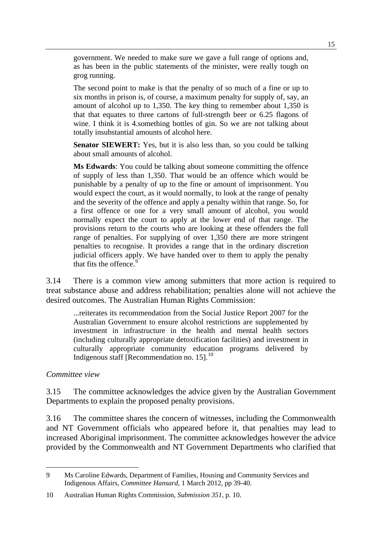government. We needed to make sure we gave a full range of options and, as has been in the public statements of the minister, were really tough on grog running.

The second point to make is that the penalty of so much of a fine or up to six months in prison is, of course, a maximum penalty for supply of, say, an amount of alcohol up to 1,350. The key thing to remember about 1,350 is that that equates to three cartons of full-strength beer or 6.25 flagons of wine. I think it is 4.something bottles of gin. So we are not talking about totally insubstantial amounts of alcohol here.

**Senator SIEWERT:** Yes, but it is also less than, so you could be talking about small amounts of alcohol.

**Ms Edwards**: You could be talking about someone committing the offence of supply of less than 1,350. That would be an offence which would be punishable by a penalty of up to the fine or amount of imprisonment. You would expect the court, as it would normally, to look at the range of penalty and the severity of the offence and apply a penalty within that range. So, for a first offence or one for a very small amount of alcohol, you would normally expect the court to apply at the lower end of that range. The provisions return to the courts who are looking at these offenders the full range of penalties. For supplying of over 1,350 there are more stringent penalties to recognise. It provides a range that in the ordinary discretion judicial officers apply. We have handed over to them to apply the penalty that fits the offence. $\frac{5}{9}$  $\frac{5}{9}$  $\frac{5}{9}$ 

3.14 There is a common view among submitters that more action is required to treat substance abuse and address rehabilitation; penalties alone will not achieve the desired outcomes. The Australian Human Rights Commission:

...reiterates its recommendation from the Social Justice Report 2007 for the Australian Government to ensure alcohol restrictions are supplemented by investment in infrastructure in the health and mental health sectors (including culturally appropriate detoxification facilities) and investment in culturally appropriate community education programs delivered by Indigenous staff [Recommendation no.  $15$ ].<sup>[10](#page-24-1)</sup>

#### *Committee view*

3.15 The committee acknowledges the advice given by the Australian Government Departments to explain the proposed penalty provisions.

3.16 The committee shares the concern of witnesses, including the Commonwealth and NT Government officials who appeared before it, that penalties may lead to increased Aboriginal imprisonment. The committee acknowledges however the advice provided by the Commonwealth and NT Government Departments who clarified that

<span id="page-24-0"></span><sup>9</sup> Ms Caroline Edwards, Department of Families, Housing and Community Services and Indigenous Affairs, *Committee Hansard*, 1 March 2012, pp 39-40.

<span id="page-24-1"></span><sup>10</sup> Australian Human Rights Commission, *Submission 351*, p. 10.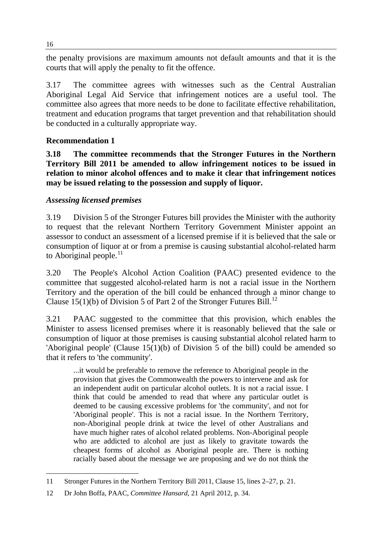the penalty provisions are maximum amounts not default amounts and that it is the courts that will apply the penalty to fit the offence.

3.17 The committee agrees with witnesses such as the Central Australian Aboriginal Legal Aid Service that infringement notices are a useful tool. The committee also agrees that more needs to be done to facilitate effective rehabilitation, treatment and education programs that target prevention and that rehabilitation should be conducted in a culturally appropriate way.

# **Recommendation 1**

**3.18 The committee recommends that the Stronger Futures in the Northern Territory Bill 2011 be amended to allow infringement notices to be issued in relation to minor alcohol offences and to make it clear that infringement notices may be issued relating to the possession and supply of liquor.** 

## *Assessing licensed premises*

3.19 Division 5 of the Stronger Futures bill provides the Minister with the authority to request that the relevant Northern Territory Government Minister appoint an assessor to conduct an assessment of a licensed premise if it is believed that the sale or consumption of liquor at or from a premise is causing substantial alcohol-related harm to Aboriginal people.<sup>[11](#page-25-0)</sup>

3.20 The People's Alcohol Action Coalition (PAAC) presented evidence to the committee that suggested alcohol-related harm is not a racial issue in the Northern Territory and the operation of the bill could be enhanced through a minor change to Clause 15(1)(b) of Division 5 of Part 2 of the Stronger Futures Bill.<sup>[12](#page-25-1)</sup>

3.21 PAAC suggested to the committee that this provision, which enables the Minister to assess licensed premises where it is reasonably believed that the sale or consumption of liquor at those premises is causing substantial alcohol related harm to 'Aboriginal people' (Clause 15(1)(b) of Division 5 of the bill) could be amended so that it refers to 'the community'.

...it would be preferable to remove the reference to Aboriginal people in the provision that gives the Commonwealth the powers to intervene and ask for an independent audit on particular alcohol outlets. It is not a racial issue. I think that could be amended to read that where any particular outlet is deemed to be causing excessive problems for 'the community', and not for 'Aboriginal people'. This is not a racial issue. In the Northern Territory, non-Aboriginal people drink at twice the level of other Australians and have much higher rates of alcohol related problems. Non-Aboriginal people who are addicted to alcohol are just as likely to gravitate towards the cheapest forms of alcohol as Aboriginal people are. There is nothing racially based about the message we are proposing and we do not think the

<span id="page-25-0"></span> 11 Stronger Futures in the Northern Territory Bill 2011, Clause 15, lines 2–27, p. 21.

<span id="page-25-1"></span><sup>12</sup> Dr John Boffa, PAAC, *Committee Hansard*, 21 April 2012, p. 34.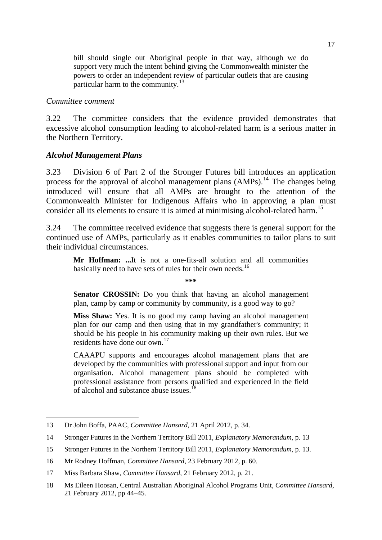bill should single out Aboriginal people in that way, although we do support very much the intent behind giving the Commonwealth minister the powers to order an independent review of particular outlets that are causing particular harm to the community.<sup>[13](#page-26-0)</sup>

#### *Committee comment*

3.22 The committee considers that the evidence provided demonstrates that excessive alcohol consumption leading to alcohol-related harm is a serious matter in the Northern Territory.

#### *Alcohol Management Plans*

3.23 Division 6 of Part 2 of the Stronger Futures bill introduces an application process for the approval of alcohol management plans  $(AMPs)$ .<sup>[14](#page-26-1)</sup> The changes being introduced will ensure that all AMPs are brought to the attention of the Commonwealth Minister for Indigenous Affairs who in approving a plan must consider all its elements to ensure it is aimed at minimising alcohol-related harm.<sup>[15](#page-26-2)</sup>

3.24 The committee received evidence that suggests there is general support for the continued use of AMPs, particularly as it enables communities to tailor plans to suit their individual circumstances.

**Mr Hoffman: ...**It is not a one-fits-all solution and all communities basically need to have sets of rules for their own needs.<sup>[16](#page-26-3)</sup>

**\*\*\***

**Senator CROSSIN:** Do you think that having an alcohol management plan, camp by camp or community by community, is a good way to go?

**Miss Shaw:** Yes. It is no good my camp having an alcohol management plan for our camp and then using that in my grandfather's community; it should be his people in his community making up their own rules. But we residents have done our own.[17](#page-26-4)

CAAAPU supports and encourages alcohol management plans that are developed by the communities with professional support and input from our organisation. Alcohol management plans should be completed with professional assistance from persons qualified and experienced in the field of alcohol and substance abuse issues.[18](#page-26-5)

<span id="page-26-0"></span><sup>13</sup> Dr John Boffa, PAAC, *Committee Hansard*, 21 April 2012, p. 34.

<span id="page-26-1"></span><sup>14</sup> Stronger Futures in the Northern Territory Bill 2011, *Explanatory Memorandum*, p. 13

<span id="page-26-2"></span><sup>15</sup> Stronger Futures in the Northern Territory Bill 2011, *Explanatory Memorandum*, p. 13.

<span id="page-26-3"></span><sup>16</sup> Mr Rodney Hoffman, *Committee Hansard*, 23 February 2012, p. 60.

<span id="page-26-4"></span><sup>17</sup> Miss Barbara Shaw, *Committee Hansard*, 21 February 2012, p. 21.

<span id="page-26-5"></span><sup>18</sup> Ms Eileen Hoosan, Central Australian Aboriginal Alcohol Programs Unit, *Committee Hansard*, 21 February 2012, pp 44–45.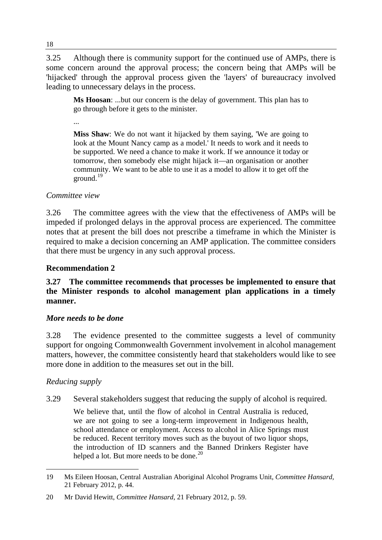3.25 Although there is community support for the continued use of AMPs, there is some concern around the approval process; the concern being that AMPs will be 'hijacked' through the approval process given the 'layers' of bureaucracy involved leading to unnecessary delays in the process.

**Ms Hoosan**: ...but our concern is the delay of government. This plan has to go through before it gets to the minister.

...

**Miss Shaw**: We do not want it hijacked by them saying, 'We are going to look at the Mount Nancy camp as a model.' It needs to work and it needs to be supported. We need a chance to make it work. If we announce it today or tomorrow, then somebody else might hijack it—an organisation or another community. We want to be able to use it as a model to allow it to get off the ground.[19](#page-27-0)

### *Committee view*

3.26 The committee agrees with the view that the effectiveness of AMPs will be impeded if prolonged delays in the approval process are experienced. The committee notes that at present the bill does not prescribe a timeframe in which the Minister is required to make a decision concerning an AMP application. The committee considers that there must be urgency in any such approval process.

### **Recommendation 2**

#### **3.27 The committee recommends that processes be implemented to ensure that the Minister responds to alcohol management plan applications in a timely manner.**

#### *More needs to be done*

3.28 The evidence presented to the committee suggests a level of community support for ongoing Commonwealth Government involvement in alcohol management matters, however, the committee consistently heard that stakeholders would like to see more done in addition to the measures set out in the bill.

#### *Reducing supply*

3.29 Several stakeholders suggest that reducing the supply of alcohol is required.

We believe that, until the flow of alcohol in Central Australia is reduced, we are not going to see a long-term improvement in Indigenous health, school attendance or employment. Access to alcohol in Alice Springs must be reduced. Recent territory moves such as the buyout of two liquor shops, the introduction of ID scanners and the Banned Drinkers Register have helped a lot. But more needs to be done.<sup>[20](#page-27-1)</sup>

<span id="page-27-0"></span><sup>19</sup> Ms Eileen Hoosan, Central Australian Aboriginal Alcohol Programs Unit, *Committee Hansard,*  21 February 2012, p. 44.

<span id="page-27-1"></span><sup>20</sup> Mr David Hewitt, *Committee Hansard*, 21 February 2012, p. 59.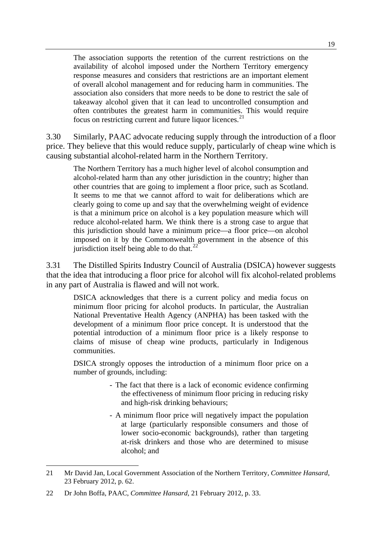The association supports the retention of the current restrictions on the availability of alcohol imposed under the Northern Territory emergency response measures and considers that restrictions are an important element of overall alcohol management and for reducing harm in communities. The association also considers that more needs to be done to restrict the sale of takeaway alcohol given that it can lead to uncontrolled consumption and often contributes the greatest harm in communities. This would require focus on restricting current and future liquor licences. $21$ 

3.30 Similarly, PAAC advocate reducing supply through the introduction of a floor price. They believe that this would reduce supply, particularly of cheap wine which is causing substantial alcohol-related harm in the Northern Territory.

The Northern Territory has a much higher level of alcohol consumption and alcohol-related harm than any other jurisdiction in the country; higher than other countries that are going to implement a floor price, such as Scotland. It seems to me that we cannot afford to wait for deliberations which are clearly going to come up and say that the overwhelming weight of evidence is that a minimum price on alcohol is a key population measure which will reduce alcohol-related harm. We think there is a strong case to argue that this jurisdiction should have a minimum price—a floor price—on alcohol imposed on it by the Commonwealth government in the absence of this jurisdiction itself being able to do that. $^{22}$  $^{22}$  $^{22}$ 

3.31 The Distilled Spirits Industry Council of Australia (DSICA) however suggests that the idea that introducing a floor price for alcohol will fix alcohol-related problems in any part of Australia is flawed and will not work.

DSICA acknowledges that there is a current policy and media focus on minimum floor pricing for alcohol products. In particular, the Australian National Preventative Health Agency (ANPHA) has been tasked with the development of a minimum floor price concept. It is understood that the potential introduction of a minimum floor price is a likely response to claims of misuse of cheap wine products, particularly in Indigenous communities.

DSICA strongly opposes the introduction of a minimum floor price on a number of grounds, including:

- The fact that there is a lack of economic evidence confirming the effectiveness of minimum floor pricing in reducing risky and high-risk drinking behaviours;
- A minimum floor price will negatively impact the population at large (particularly responsible consumers and those of lower socio-economic backgrounds), rather than targeting at-risk drinkers and those who are determined to misuse alcohol; and

<span id="page-28-0"></span><sup>21</sup> Mr David Jan, Local Government Association of the Northern Territory, *Committee Hansard*, 23 February 2012, p. 62.

<span id="page-28-1"></span><sup>22</sup> Dr John Boffa, PAAC, *Committee Hansard*, 21 February 2012, p. 33.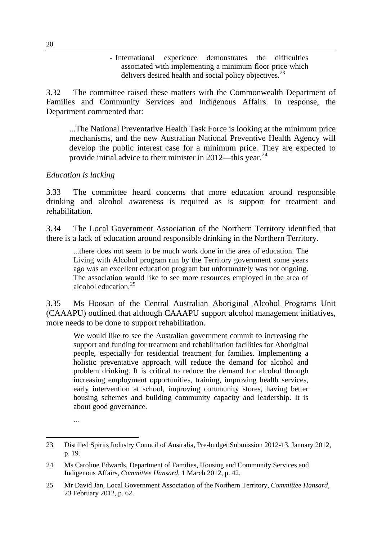- International experience demonstrates the difficulties associated with implementing a minimum floor price which delivers desired health and social policy objectives.<sup>[23](#page-29-0)</sup>

3.32 The committee raised these matters with the Commonwealth Department of Families and Community Services and Indigenous Affairs. In response, the Department commented that:

...The National Preventative Health Task Force is looking at the minimum price mechanisms, and the new Australian National Preventive Health Agency will develop the public interest case for a minimum price. They are expected to provide initial advice to their minister in 2012—this year.<sup>[24](#page-29-1)</sup>

#### *Education is lacking*

3.33 The committee heard concerns that more education around responsible drinking and alcohol awareness is required as is support for treatment and rehabilitation.

3.34 The Local Government Association of the Northern Territory identified that there is a lack of education around responsible drinking in the Northern Territory.

...there does not seem to be much work done in the area of education. The Living with Alcohol program run by the Territory government some years ago was an excellent education program but unfortunately was not ongoing. The association would like to see more resources employed in the area of alcohol education $^{25}$  $^{25}$  $^{25}$ 

3.35 Ms Hoosan of the Central Australian Aboriginal Alcohol Programs Unit (CAAAPU) outlined that although CAAAPU support alcohol management initiatives, more needs to be done to support rehabilitation.

We would like to see the Australian government commit to increasing the support and funding for treatment and rehabilitation facilities for Aboriginal people, especially for residential treatment for families. Implementing a holistic preventative approach will reduce the demand for alcohol and problem drinking. It is critical to reduce the demand for alcohol through increasing employment opportunities, training, improving health services, early intervention at school, improving community stores, having better housing schemes and building community capacity and leadership. It is about good governance.

<sup>...</sup> 

<span id="page-29-0"></span> 23 Distilled Spirits Industry Council of Australia, Pre-budget Submission 2012-13, January 2012, p. 19.

<span id="page-29-1"></span><sup>24</sup> Ms Caroline Edwards, Department of Families, Housing and Community Services and Indigenous Affairs, *Committee Hansard*, 1 March 2012, p. 42.

<span id="page-29-2"></span><sup>25</sup> Mr David Jan, Local Government Association of the Northern Territory, *Committee Hansard*, 23 February 2012, p. 62.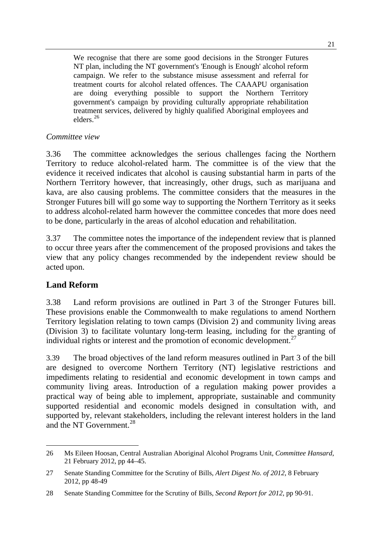We recognise that there are some good decisions in the Stronger Futures NT plan, including the NT government's 'Enough is Enough' alcohol reform campaign. We refer to the substance misuse assessment and referral for treatment courts for alcohol related offences. The CAAAPU organisation are doing everything possible to support the Northern Territory government's campaign by providing culturally appropriate rehabilitation treatment services, delivered by highly qualified Aboriginal employees and elders.[26](#page-30-0)

### *Committee view*

3.36 The committee acknowledges the serious challenges facing the Northern Territory to reduce alcohol-related harm. The committee is of the view that the evidence it received indicates that alcohol is causing substantial harm in parts of the Northern Territory however, that increasingly, other drugs, such as marijuana and kava, are also causing problems. The committee considers that the measures in the Stronger Futures bill will go some way to supporting the Northern Territory as it seeks to address alcohol-related harm however the committee concedes that more does need to be done, particularly in the areas of alcohol education and rehabilitation.

3.37 The committee notes the importance of the independent review that is planned to occur three years after the commencement of the proposed provisions and takes the view that any policy changes recommended by the independent review should be acted upon.

## **Land Reform**

3.38 Land reform provisions are outlined in Part 3 of the Stronger Futures bill. These provisions enable the Commonwealth to make regulations to amend Northern Territory legislation relating to town camps (Division 2) and community living areas (Division 3) to facilitate voluntary long-term leasing, including for the granting of individual rights or interest and the promotion of economic development. $27$ 

3.39 The broad objectives of the land reform measures outlined in Part 3 of the bill are designed to overcome Northern Territory (NT) legislative restrictions and impediments relating to residential and economic development in town camps and community living areas. Introduction of a regulation making power provides a practical way of being able to implement, appropriate, sustainable and community supported residential and economic models designed in consultation with, and supported by, relevant stakeholders, including the relevant interest holders in the land and the NT Government.<sup>[28](#page-30-2)</sup>

<span id="page-30-0"></span> 26 Ms Eileen Hoosan, Central Australian Aboriginal Alcohol Programs Unit, *Committee Hansard*, 21 February 2012, pp 44–45.

<span id="page-30-1"></span><sup>27</sup> Senate Standing Committee for the Scrutiny of Bills, *Alert Digest No. of 2012*, 8 February 2012, pp 48-49

<span id="page-30-2"></span><sup>28</sup> Senate Standing Committee for the Scrutiny of Bills, *Second Report for 2012*, pp 90-91.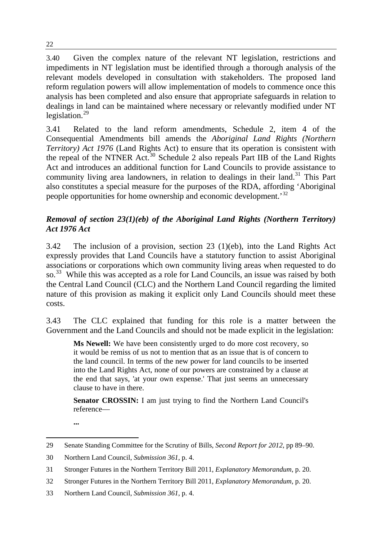3.40 Given the complex nature of the relevant NT legislation, restrictions and impediments in NT legislation must be identified through a thorough analysis of the relevant models developed in consultation with stakeholders. The proposed land reform regulation powers will allow implementation of models to commence once this analysis has been completed and also ensure that appropriate safeguards in relation to dealings in land can be maintained where necessary or relevantly modified under NT legislation. $^{29}$  $^{29}$  $^{29}$ 

3.41 Related to the land reform amendments, Schedule 2, item 4 of the Consequential Amendments bill amends the *Aboriginal Land Rights (Northern Territory) Act 1976* (Land Rights Act) to ensure that its operation is consistent with the repeal of the NTNER Act.<sup>[30](#page-31-1)</sup> Schedule 2 also repeals Part IIB of the Land Rights Act and introduces an additional function for Land Councils to provide assistance to community living area landowners, in relation to dealings in their land.<sup>[31](#page-31-2)</sup> This Part also constitutes a special measure for the purposes of the RDA, affording 'Aboriginal people opportunities for home ownership and economic development.'[32](#page-31-3)

# *Removal of section 23(1)(eb) of the Aboriginal Land Rights (Northern Territory) Act 1976 Act*

3.42 The inclusion of a provision, section 23 (1)(eb), into the Land Rights Act expressly provides that Land Councils have a statutory function to assist Aboriginal associations or corporations which own community living areas when requested to do so.<sup>[33](#page-31-4)</sup> While this was accepted as a role for Land Councils, an issue was raised by both the Central Land Council (CLC) and the Northern Land Council regarding the limited nature of this provision as making it explicit only Land Councils should meet these costs.

3.43 The CLC explained that funding for this role is a matter between the Government and the Land Councils and should not be made explicit in the legislation:

**Ms Newell:** We have been consistently urged to do more cost recovery, so it would be remiss of us not to mention that as an issue that is of concern to the land council. In terms of the new power for land councils to be inserted into the Land Rights Act, none of our powers are constrained by a clause at the end that says, 'at your own expense.' That just seems an unnecessary clause to have in there.

**Senator CROSSIN:** I am just trying to find the Northern Land Council's reference—

**...**

<span id="page-31-0"></span> 29 Senate Standing Committee for the Scrutiny of Bills, *Second Report for 2012*, pp 89–90.

<span id="page-31-1"></span><sup>30</sup> Northern Land Council, *Submission 361*, p. 4.

<span id="page-31-2"></span><sup>31</sup> Stronger Futures in the Northern Territory Bill 2011, *Explanatory Memorandum*, p. 20.

<span id="page-31-3"></span><sup>32</sup> Stronger Futures in the Northern Territory Bill 2011, *Explanatory Memorandum*, p. 20.

<span id="page-31-4"></span><sup>33</sup> Northern Land Council, *Submission 361*, p. 4.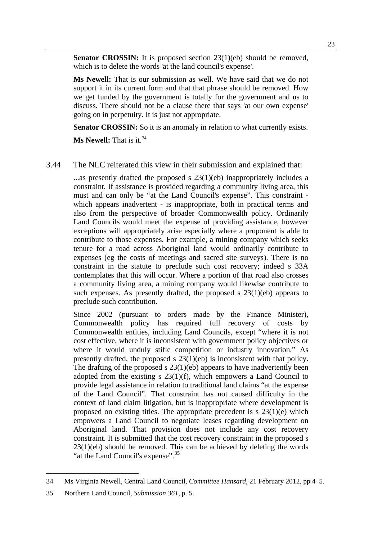**Senator CROSSIN:** It is proposed section 23(1)(eb) should be removed, which is to delete the words 'at the land council's expense'.

**Ms Newell:** That is our submission as well. We have said that we do not support it in its current form and that that phrase should be removed. How we get funded by the government is totally for the government and us to discuss. There should not be a clause there that says 'at our own expense' going on in perpetuity. It is just not appropriate.

**Senator CROSSIN:** So it is an anomaly in relation to what currently exists.

**Ms Newell:** That is it.<sup>[34](#page-32-0)</sup>

#### 3.44 The NLC reiterated this view in their submission and explained that:

 $\ldots$  as presently drafted the proposed s 23(1)(eb) inappropriately includes a constraint. If assistance is provided regarding a community living area, this must and can only be "at the Land Council's expense". This constraint which appears inadvertent - is inappropriate, both in practical terms and also from the perspective of broader Commonwealth policy. Ordinarily Land Councils would meet the expense of providing assistance, however exceptions will appropriately arise especially where a proponent is able to contribute to those expenses. For example, a mining company which seeks tenure for a road across Aboriginal land would ordinarily contribute to expenses (eg the costs of meetings and sacred site surveys). There is no constraint in the statute to preclude such cost recovery; indeed s 33A contemplates that this will occur. Where a portion of that road also crosses a community living area, a mining company would likewise contribute to such expenses. As presently drafted, the proposed s  $23(1)(eb)$  appears to preclude such contribution.

Since 2002 (pursuant to orders made by the Finance Minister), Commonwealth policy has required full recovery of costs by Commonwealth entities, including Land Councils, except "where it is not cost effective, where it is inconsistent with government policy objectives or where it would unduly stifle competition or industry innovation." As presently drafted, the proposed s 23(1)(eb) is inconsistent with that policy. The drafting of the proposed  $s$  23(1)(eb) appears to have inadvertently been adopted from the existing  $s$  23(1)(f), which empowers a Land Council to provide legal assistance in relation to traditional land claims "at the expense of the Land Council". That constraint has not caused difficulty in the context of land claim litigation, but is inappropriate where development is proposed on existing titles. The appropriate precedent is  $s$  23(1)(e) which empowers a Land Council to negotiate leases regarding development on Aboriginal land. That provision does not include any cost recovery constraint. It is submitted that the cost recovery constraint in the proposed s 23(1)(eb) should be removed. This can be achieved by deleting the words "at the Land Council's expense".<sup>[35](#page-32-1)</sup>

<span id="page-32-0"></span><sup>34</sup> Ms Virginia Newell, Central Land Council, *Committee Hansard*, 21 February 2012, pp 4–5.

<span id="page-32-1"></span><sup>35</sup> Northern Land Council, *Submission 361*, p. 5.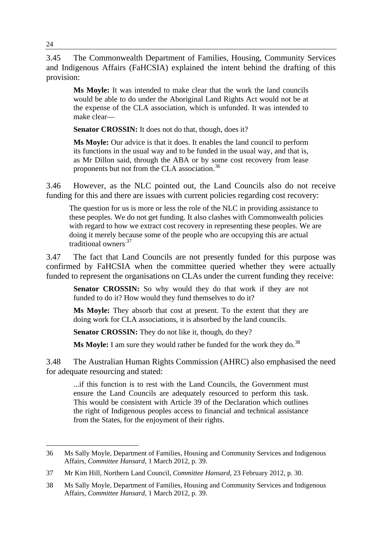3.45 The Commonwealth Department of Families, Housing, Community Services and Indigenous Affairs (FaHCSIA) explained the intent behind the drafting of this provision:

**Ms Moyle:** It was intended to make clear that the work the land councils would be able to do under the Aboriginal Land Rights Act would not be at the expense of the CLA association, which is unfunded. It was intended to make clear—

Senator CROSSIN: It does not do that, though, does it?

**Ms Moyle:** Our advice is that it does. It enables the land council to perform its functions in the usual way and to be funded in the usual way, and that is, as Mr Dillon said, through the ABA or by some cost recovery from lease proponents but not from the CLA association.<sup>[36](#page-33-0)</sup>

3.46 However, as the NLC pointed out, the Land Councils also do not receive funding for this and there are issues with current policies regarding cost recovery:

The question for us is more or less the role of the NLC in providing assistance to these peoples. We do not get funding. It also clashes with Commonwealth policies with regard to how we extract cost recovery in representing these peoples. We are doing it merely because some of the people who are occupying this are actual traditional owners.[37](#page-33-1)

3.47 The fact that Land Councils are not presently funded for this purpose was confirmed by FaHCSIA when the committee queried whether they were actually funded to represent the organisations on CLAs under the current funding they receive:

**Senator CROSSIN:** So why would they do that work if they are not funded to do it? How would they fund themselves to do it?

**Ms Moyle:** They absorb that cost at present. To the extent that they are doing work for CLA associations, it is absorbed by the land councils.

Senator CROSSIN: They do not like it, though, do they?

**Ms Moyle:** I am sure they would rather be funded for the work they do.<sup>[38](#page-33-2)</sup>

3.48 The Australian Human Rights Commission (AHRC) also emphasised the need for adequate resourcing and stated:

...if this function is to rest with the Land Councils, the Government must ensure the Land Councils are adequately resourced to perform this task. This would be consistent with Article 39 of the Declaration which outlines the right of Indigenous peoples access to financial and technical assistance from the States, for the enjoyment of their rights.

<span id="page-33-0"></span> 36 Ms Sally Moyle, Department of Families, Housing and Community Services and Indigenous Affairs, *Committee Hansard*, 1 March 2012, p. 39.

<span id="page-33-1"></span><sup>37</sup> Mr Kim Hill, Northern Land Council, *Committee Hansard*, 23 February 2012, p. 30.

<span id="page-33-2"></span><sup>38</sup> Ms Sally Moyle, Department of Families, Housing and Community Services and Indigenous Affairs, *Committee Hansard*, 1 March 2012, p. 39.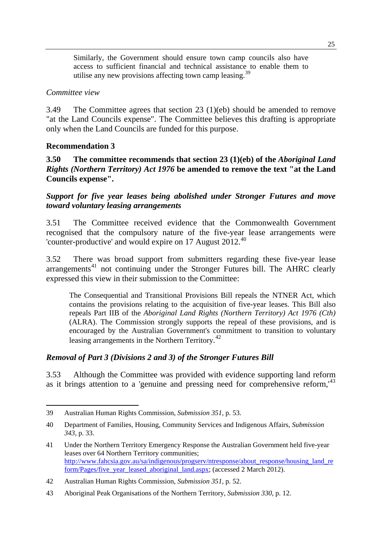Similarly, the Government should ensure town camp councils also have access to sufficient financial and technical assistance to enable them to utilise any new provisions affecting town camp leasing.<sup>[39](#page-34-0)</sup>

#### *Committee view*

3.49 The Committee agrees that section 23 (1)(eb) should be amended to remove "at the Land Councils expense". The Committee believes this drafting is appropriate only when the Land Councils are funded for this purpose.

#### **Recommendation 3**

#### **3.50 The committee recommends that section 23 (1)(eb) of the** *Aboriginal Land Rights (Northern Territory) Act 1976* **be amended to remove the text "at the Land Councils expense".**

*Support for five year leases being abolished under Stronger Futures and move toward voluntary leasing arrangements* 

3.51 The Committee received evidence that the Commonwealth Government recognised that the compulsory nature of the five-year lease arrangements were 'counter-productive' and would expire on 17 August 2012.[40](#page-34-1)

3.52 There was broad support from submitters regarding these five-year lease  $\arctan^4$  not continuing under the Stronger Futures bill. The AHRC clearly expressed this view in their submission to the Committee:

The Consequential and Transitional Provisions Bill repeals the NTNER Act, which contains the provisions relating to the acquisition of five-year leases. This Bill also repeals Part IIB of the *Aboriginal Land Rights (Northern Territory) Act 1976 (Cth)*  (ALRA). The Commission strongly supports the repeal of these provisions, and is encouraged by the Australian Government's commitment to transition to voluntary leasing arrangements in the Northern Territory.<sup>[42](#page-34-3)</sup>

#### *Removal of Part 3 (Divisions 2 and 3) of the Stronger Futures Bill*

3.53 Although the Committee was provided with evidence supporting land reform as it brings attention to a 'genuine and pressing need for comprehensive reform,<sup>[43](#page-34-4)</sup>

<span id="page-34-0"></span><sup>39</sup> Australian Human Rights Commission, *Submission 351*, p. 53.

<span id="page-34-1"></span><sup>40</sup> Department of Families, Housing, Community Services and Indigenous Affairs, *Submission 343*, p. 33.

<span id="page-34-2"></span><sup>41</sup> Under the Northern Territory Emergency Response the Australian Government held five-year leases over 64 Northern Territory communities; [http://www.fahcsia.gov.au/sa/indigenous/progserv/ntresponse/about\\_response/housing\\_land\\_re](http://www.fahcsia.gov.au/sa/indigenous/progserv/ntresponse/about_response/housing_land_reform/Pages/five_year_leased_aboriginal_land.aspx) [form/Pages/five\\_year\\_leased\\_aboriginal\\_land.aspx;](http://www.fahcsia.gov.au/sa/indigenous/progserv/ntresponse/about_response/housing_land_reform/Pages/five_year_leased_aboriginal_land.aspx) (accessed 2 March 2012).

<span id="page-34-3"></span><sup>42</sup> Australian Human Rights Commission, *Submission 351*, p. 52.

<span id="page-34-4"></span><sup>43</sup> Aboriginal Peak Organisations of the Northern Territory, *Submission 330*, p. 12.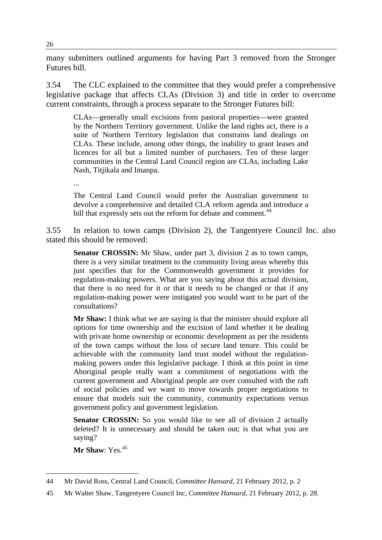many submitters outlined arguments for having Part 3 removed from the Stronger Futures bill.

3.54 The CLC explained to the committee that they would prefer a comprehensive legislative package that affects CLAs (Division 3) and title in order to overcome current constraints, through a process separate to the Stronger Futures bill:

CLAs—generally small excisions from pastoral properties—were granted by the Northern Territory government. Unlike the land rights act, there is a suite of Northern Territory legislation that constrains land dealings on CLAs. These include, among other things, the inability to grant leases and licences for all but a limited number of purchasers. Ten of these larger communities in the Central Land Council region are CLAs, including Lake Nash, Titjikala and Imanpa.

...

The Central Land Council would prefer the Australian government to devolve a comprehensive and detailed CLA reform agenda and introduce a bill that expressly sets out the reform for debate and comment.<sup>[44](#page-35-0)</sup>

3.55 In relation to town camps (Division 2), the Tangentyere Council Inc. also stated this should be removed:

**Senator CROSSIN:** Mr Shaw, under part 3, division 2 as to town camps, there is a very similar treatment to the community living areas whereby this just specifies that for the Commonwealth government it provides for regulation-making powers. What are you saying about this actual division, that there is no need for it or that it needs to be changed or that if any regulation-making power were instigated you would want to be part of the consultations?

**Mr Shaw:** I think what we are saying is that the minister should explore all options for time ownership and the excision of land whether it be dealing with private home ownership or economic development as per the residents of the town camps without the loss of secure land tenure. This could be achievable with the community land trust model without the regulationmaking powers under this legislative package. I think at this point in time Aboriginal people really want a commitment of negotiations with the current government and Aboriginal people are over consulted with the raft of social policies and we want to move towards proper negotiations to ensure that models suit the community, community expectations versus government policy and government legislation.

**Senator CROSSIN:** So you would like to see all of division 2 actually deleted? It is unnecessary and should be taken out; is that what you are saying?

Mr Shaw: Yes.<sup>[45](#page-35-1)</sup>

<span id="page-35-0"></span><sup>44</sup> Mr David Ross, Central Land Council, *Committee Hansard*, 21 February 2012, p. 2

<span id="page-35-1"></span><sup>45</sup> Mr Walter Shaw, Tangentyere Council Inc, *Committee Hansard*, 21 February 2012, p. 28.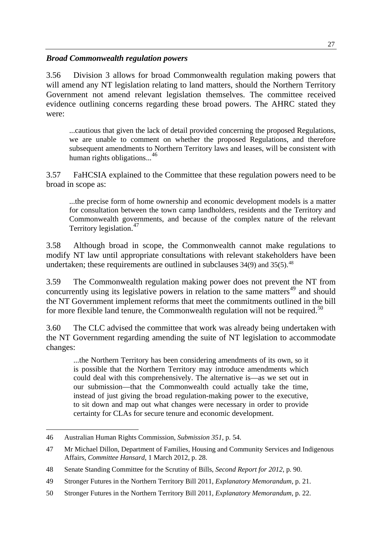#### *Broad Commonwealth regulation powers*

3.56 Division 3 allows for broad Commonwealth regulation making powers that will amend any NT legislation relating to land matters, should the Northern Territory Government not amend relevant legislation themselves. The committee received evidence outlining concerns regarding these broad powers. The AHRC stated they were:

...cautious that given the lack of detail provided concerning the proposed Regulations, we are unable to comment on whether the proposed Regulations, and therefore subsequent amendments to Northern Territory laws and leases, will be consistent with human rights obligations...<sup>[46](#page-36-0)</sup>

3.57 FaHCSIA explained to the Committee that these regulation powers need to be broad in scope as:

...the precise form of home ownership and economic development models is a matter for consultation between the town camp landholders, residents and the Territory and Commonwealth governments, and because of the complex nature of the relevant Territory legislation.<sup>[47](#page-36-1)</sup>

3.58 Although broad in scope, the Commonwealth cannot make regulations to modify NT law until appropriate consultations with relevant stakeholders have been undertaken; these requirements are outlined in subclauses  $34(9)$  and  $35(5)$ .<sup>[48](#page-36-2)</sup>

3.59 The Commonwealth regulation making power does not prevent the NT from concurrently using its legislative powers in relation to the same matters<sup>[49](#page-36-3)</sup> and should the NT Government implement reforms that meet the commitments outlined in the bill for more flexible land tenure, the Commonwealth regulation will not be required. $50$ 

3.60 The CLC advised the committee that work was already being undertaken with the NT Government regarding amending the suite of NT legislation to accommodate changes:

...the Northern Territory has been considering amendments of its own, so it is possible that the Northern Territory may introduce amendments which could deal with this comprehensively. The alternative is—as we set out in our submission—that the Commonwealth could actually take the time, instead of just giving the broad regulation-making power to the executive, to sit down and map out what changes were necessary in order to provide certainty for CLAs for secure tenure and economic development.

<span id="page-36-0"></span> 46 Australian Human Rights Commission, *Submission 351*, p. 54.

<span id="page-36-1"></span><sup>47</sup> Mr Michael Dillon, Department of Families, Housing and Community Services and Indigenous Affairs, *Committee Hansard*, 1 March 2012, p. 28.

<span id="page-36-2"></span><sup>48</sup> Senate Standing Committee for the Scrutiny of Bills, *Second Report for 2012*, p. 90.

<span id="page-36-3"></span><sup>49</sup> Stronger Futures in the Northern Territory Bill 2011, *Explanatory Memorandum*, p. 21.

<span id="page-36-4"></span><sup>50</sup> Stronger Futures in the Northern Territory Bill 2011, *Explanatory Memorandum*, p. 22.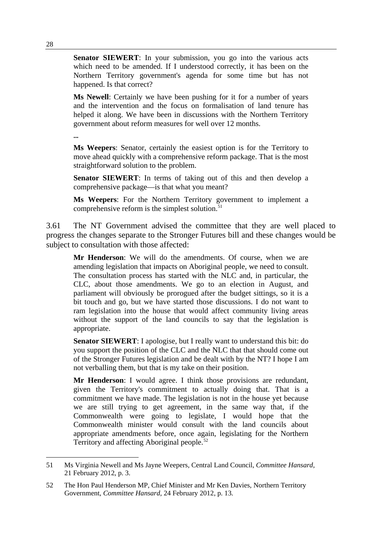**Senator SIEWERT**: In your submission, you go into the various acts which need to be amended. If I understood correctly, it has been on the Northern Territory government's agenda for some time but has not happened. Is that correct?

**Ms Newell**: Certainly we have been pushing for it for a number of years and the intervention and the focus on formalisation of land tenure has helped it along. We have been in discussions with the Northern Territory government about reform measures for well over 12 months.

**...** 

**Ms Weepers**: Senator, certainly the easiest option is for the Territory to move ahead quickly with a comprehensive reform package. That is the most straightforward solution to the problem.

**Senator SIEWERT**: In terms of taking out of this and then develop a comprehensive package—is that what you meant?

**Ms Weepers**: For the Northern Territory government to implement a comprehensive reform is the simplest solution. $51$ 

3.61 The NT Government advised the committee that they are well placed to progress the changes separate to the Stronger Futures bill and these changes would be subject to consultation with those affected:

**Mr Henderson**: We will do the amendments. Of course, when we are amending legislation that impacts on Aboriginal people, we need to consult. The consultation process has started with the NLC and, in particular, the CLC, about those amendments. We go to an election in August, and parliament will obviously be prorogued after the budget sittings, so it is a bit touch and go, but we have started those discussions. I do not want to ram legislation into the house that would affect community living areas without the support of the land councils to say that the legislation is appropriate.

**Senator SIEWERT**: I apologise, but I really want to understand this bit: do you support the position of the CLC and the NLC that that should come out of the Stronger Futures legislation and be dealt with by the NT? I hope I am not verballing them, but that is my take on their position.

**Mr Henderson**: I would agree. I think those provisions are redundant, given the Territory's commitment to actually doing that. That is a commitment we have made. The legislation is not in the house yet because we are still trying to get agreement, in the same way that, if the Commonwealth were going to legislate, I would hope that the Commonwealth minister would consult with the land councils about appropriate amendments before, once again, legislating for the Northern Territory and affecting Aboriginal people.<sup>[52](#page-37-1)</sup>

<span id="page-37-0"></span><sup>51</sup> Ms Virginia Newell and Ms Jayne Weepers, Central Land Council, *Committee Hansard*, 21 February 2012, p. 3.

<span id="page-37-1"></span><sup>52</sup> The Hon Paul Henderson MP, Chief Minister and Mr Ken Davies, Northern Territory Government, *Committee Hansard*, 24 February 2012, p. 13.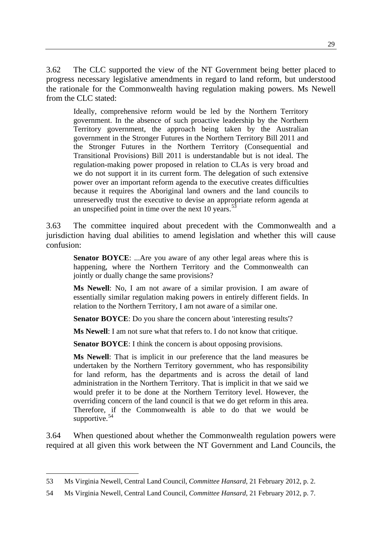3.62 The CLC supported the view of the NT Government being better placed to progress necessary legislative amendments in regard to land reform, but understood the rationale for the Commonwealth having regulation making powers. Ms Newell from the CLC stated:

Ideally, comprehensive reform would be led by the Northern Territory government. In the absence of such proactive leadership by the Northern Territory government, the approach being taken by the Australian government in the Stronger Futures in the Northern Territory Bill 2011 and the Stronger Futures in the Northern Territory (Consequential and Transitional Provisions) Bill 2011 is understandable but is not ideal. The regulation-making power proposed in relation to CLAs is very broad and we do not support it in its current form. The delegation of such extensive power over an important reform agenda to the executive creates difficulties because it requires the Aboriginal land owners and the land councils to unreservedly trust the executive to devise an appropriate reform agenda at an unspecified point in time over the next 10 years.<sup>[53](#page-38-0)</sup>

3.63 The committee inquired about precedent with the Commonwealth and a jurisdiction having dual abilities to amend legislation and whether this will cause confusion:

**Senator BOYCE**: ...Are you aware of any other legal areas where this is happening, where the Northern Territory and the Commonwealth can jointly or dually change the same provisions?

**Ms Newell**: No, I am not aware of a similar provision. I am aware of essentially similar regulation making powers in entirely different fields. In relation to the Northern Territory, I am not aware of a similar one.

**Senator BOYCE**: Do you share the concern about 'interesting results'?

**Ms Newell**: I am not sure what that refers to. I do not know that critique.

**Senator BOYCE:** I think the concern is about opposing provisions.

**Ms Newell**: That is implicit in our preference that the land measures be undertaken by the Northern Territory government, who has responsibility for land reform, has the departments and is across the detail of land administration in the Northern Territory. That is implicit in that we said we would prefer it to be done at the Northern Territory level. However, the overriding concern of the land council is that we do get reform in this area. Therefore, if the Commonwealth is able to do that we would be supportive.<sup>[54](#page-38-1)</sup>

3.64 When questioned about whether the Commonwealth regulation powers were required at all given this work between the NT Government and Land Councils, the

<span id="page-38-0"></span><sup>53</sup> Ms Virginia Newell, Central Land Council, *Committee Hansard*, 21 February 2012, p. 2.

<span id="page-38-1"></span><sup>54</sup> Ms Virginia Newell, Central Land Council, *Committee Hansard*, 21 February 2012, p. 7.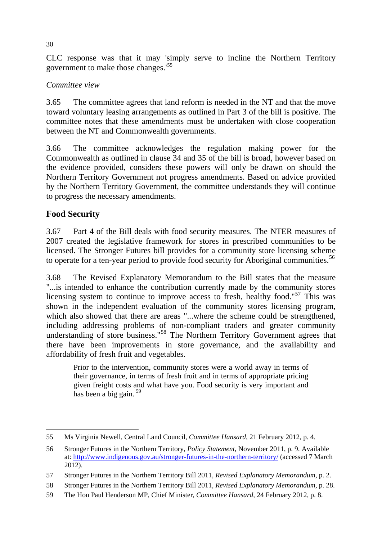CLC response was that it may 'simply serve to incline the Northern Territory government to make those changes.'<sup>55</sup>

#### *Committee view*

3.65 The committee agrees that land reform is needed in the NT and that the move toward voluntary leasing arrangements as outlined in Part 3 of the bill is positive. The committee notes that these amendments must be undertaken with close cooperation between the NT and Commonwealth governments.

3.66 The committee acknowledges the regulation making power for the Commonwealth as outlined in clause 34 and 35 of the bill is broad, however based on the evidence provided, considers these powers will only be drawn on should the Northern Territory Government not progress amendments. Based on advice provided by the Northern Territory Government, the committee understands they will continue to progress the necessary amendments.

# **Food Security**

3.67 Part 4 of the Bill deals with food security measures. The NTER measures of 2007 created the legislative framework for stores in prescribed communities to be licensed. The Stronger Futures bill provides for a community store licensing scheme to operate for a ten-year period to provide food security for Aboriginal communities.<sup>[56](#page-39-0)</sup>

3.68 The Revised Explanatory Memorandum to the Bill states that the measure "...is intended to enhance the contribution currently made by the community stores licensing system to continue to improve access to fresh, healthy food."<sup>[57](#page-39-1)</sup> This was shown in the independent evaluation of the community stores licensing program, which also showed that there are areas "...where the scheme could be strengthened, including addressing problems of non-compliant traders and greater community understanding of store business."<sup>[58](#page-39-2)</sup> The Northern Territory Government agrees that there have been improvements in store governance, and the availability and affordability of fresh fruit and vegetables.

Prior to the intervention, community stores were a world away in terms of their governance, in terms of fresh fruit and in terms of appropriate pricing given freight costs and what have you. Food security is very important and has been a big gain.  $59$ 

 55 Ms Virginia Newell, Central Land Council, *Committee Hansard*, 21 February 2012, p. 4.

<span id="page-39-0"></span><sup>56</sup> Stronger Futures in the Northern Territory, *Policy Statement*, November 2011, p. 9. Available at:<http://www.indigenous.gov.au/stronger-futures-in-the-northern-territory/>(accessed 7 March 2012).

<span id="page-39-1"></span><sup>57</sup> Stronger Futures in the Northern Territory Bill 2011, *Revised Explanatory Memorandum,* p. 2.

<span id="page-39-2"></span><sup>58</sup> Stronger Futures in the Northern Territory Bill 2011, *Revised Explanatory Memorandum,* p. 28.

<span id="page-39-3"></span><sup>59</sup> The Hon Paul Henderson MP, Chief Minister, *Committee Hansard,* 24 February 2012, p. 8.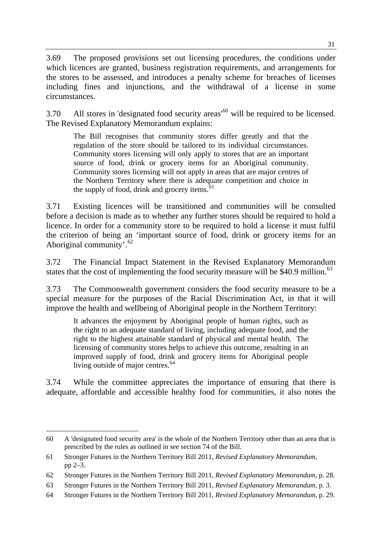3.69 The proposed provisions set out licensing procedures, the conditions under which licences are granted, business registration requirements, and arrangements for the stores to be assessed, and introduces a penalty scheme for breaches of licenses including fines and injunctions, and the withdrawal of a license in some circumstances.

3.70 All stores in 'designated food security areas'<sup>[60](#page-40-0)</sup> will be required to be licensed. The Revised Explanatory Memorandum explains:

The Bill recognises that community stores differ greatly and that the regulation of the store should be tailored to its individual circumstances. Community stores licensing will only apply to stores that are an important source of food, drink or grocery items for an Aboriginal community. Community stores licensing will not apply in areas that are major centres of the Northern Territory where there is adequate competition and choice in the supply of food, drink and grocery items.<sup>[61](#page-40-1)</sup>

3.71 Existing licences will be transitioned and communities will be consulted before a decision is made as to whether any further stores should be required to hold a licence. In order for a community store to be required to hold a license it must fulfil the criterion of being an 'important source of food, drink or grocery items for an Aboriginal community'. $62$ 

3.72 The Financial Impact Statement in the Revised Explanatory Memorandum states that the cost of implementing the food security measure will be  $$40.9$  million.<sup>[63](#page-40-3)</sup>

3.73 The Commonwealth government considers the food security measure to be a special measure for the purposes of the Racial Discrimination Act, in that it will improve the health and wellbeing of Aboriginal people in the Northern Territory:

It advances the enjoyment by Aboriginal people of human rights, such as the right to an adequate standard of living, including adequate food, and the right to the highest attainable standard of physical and mental health. The licensing of community stores helps to achieve this outcome, resulting in an improved supply of food, drink and grocery items for Aboriginal people living outside of major centres.<sup>[64](#page-40-4)</sup>

3.74 While the committee appreciates the importance of ensuring that there is adequate, affordable and accessible healthy food for communities, it also notes the

<span id="page-40-0"></span> 60 A 'designated food security area' is the whole of the Northern Territory other than an area that is prescribed by the rules as outlined in see section 74 of the Bill.

<span id="page-40-1"></span><sup>61</sup> Stronger Futures in the Northern Territory Bill 2011, *Revised Explanatory Memorandum,*  pp 2–3.

<span id="page-40-2"></span><sup>62</sup> Stronger Futures in the Northern Territory Bill 2011, *Revised Explanatory Memorandum,* p. 28.

<span id="page-40-3"></span><sup>63</sup> Stronger Futures in the Northern Territory Bill 2011, *Revised Explanatory Memorandum,* p. 3.

<span id="page-40-4"></span><sup>64</sup> Stronger Futures in the Northern Territory Bill 2011, *Revised Explanatory Memorandum,* p. 29.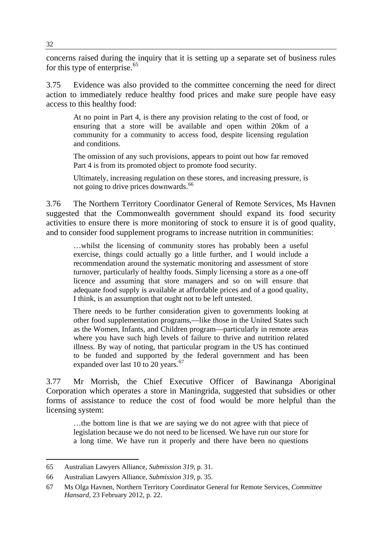concerns raised during the inquiry that it is setting up a separate set of business rules for this type of enterprise. $65$ 

3.75 Evidence was also provided to the committee concerning the need for direct action to immediately reduce healthy food prices and make sure people have easy access to this healthy food:

At no point in Part 4, is there any provision relating to the cost of food, or ensuring that a store will be available and open within 20km of a community for a community to access food, despite licensing regulation and conditions.

The omission of any such provisions, appears to point out how far removed Part 4 is from its promoted object to promote food security.

Ultimately, increasing regulation on these stores, and increasing pressure, is not going to drive prices downwards.<sup>[66](#page-41-0)</sup>

3.76 The Northern Territory Coordinator General of Remote Services, Ms Havnen suggested that the Commonwealth government should expand its food security activities to ensure there is more monitoring of stock to ensure it is of good quality, and to consider food supplement programs to increase nutrition in communities:

…whilst the licensing of community stores has probably been a useful exercise, things could actually go a little further, and I would include a recommendation around the systematic monitoring and assessment of store turnover, particularly of healthy foods. Simply licensing a store as a one-off licence and assuming that store managers and so on will ensure that adequate food supply is available at affordable prices and of a good quality, I think, is an assumption that ought not to be left untested.

There needs to be further consideration given to governments looking at other food supplementation programs,—like those in the United States such as the Women, Infants, and Children program—particularly in remote areas where you have such high levels of failure to thrive and nutrition related illness. By way of noting, that particular program in the US has continued to be funded and supported by the federal government and has been expanded over last 10 to 20 years.<sup>[67](#page-41-1)</sup>

3.77 Mr Morrish, the Chief Executive Officer of Bawinanga Aboriginal Corporation which operates a store in Maningrida, suggested that subsidies or other forms of assistance to reduce the cost of food would be more helpful than the licensing system:

…the bottom line is that we are saying we do not agree with that piece of legislation because we do not need to be licensed. We have run our store for a long time. We have run it properly and there have been no questions

<sup>65</sup> Australian Lawyers Alliance, *Submission 319,* p. 31.

<span id="page-41-0"></span><sup>66</sup> Australian Lawyers Alliance*, Submission 319,* p. 35.

<span id="page-41-1"></span><sup>67</sup> Ms Olga Havnen, Northern Territory Coordinator General for Remote Services, *Committee Hansard,* 23 February 2012, p. 22.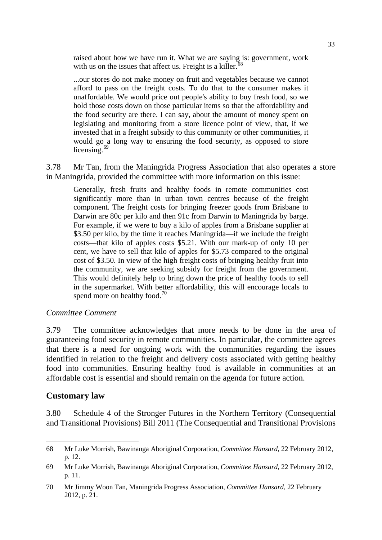raised about how we have run it. What we are saying is: government, work with us on the issues that affect us. Freight is a killer.<sup>[68](#page-42-0)</sup>

...our stores do not make money on fruit and vegetables because we cannot afford to pass on the freight costs. To do that to the consumer makes it unaffordable. We would price out people's ability to buy fresh food, so we hold those costs down on those particular items so that the affordability and the food security are there. I can say, about the amount of money spent on legislating and monitoring from a store licence point of view, that, if we invested that in a freight subsidy to this community or other communities, it would go a long way to ensuring the food security, as opposed to store licensing.<sup>[69](#page-42-1)</sup>

3.78 Mr Tan, from the Maningrida Progress Association that also operates a store in Maningrida, provided the committee with more information on this issue:

Generally, fresh fruits and healthy foods in remote communities cost significantly more than in urban town centres because of the freight component. The freight costs for bringing freezer goods from Brisbane to Darwin are 80c per kilo and then 91c from Darwin to Maningrida by barge. For example, if we were to buy a kilo of apples from a Brisbane supplier at \$3.50 per kilo, by the time it reaches Maningrida—if we include the freight costs—that kilo of apples costs \$5.21. With our mark-up of only 10 per cent, we have to sell that kilo of apples for \$5.73 compared to the original cost of \$3.50. In view of the high freight costs of bringing healthy fruit into the community, we are seeking subsidy for freight from the government. This would definitely help to bring down the price of healthy foods to sell in the supermarket. With better affordability, this will encourage locals to spend more on healthy food.<sup>[70](#page-42-2)</sup>

#### *Committee Comment*

3.79 The committee acknowledges that more needs to be done in the area of guaranteeing food security in remote communities. In particular, the committee agrees that there is a need for ongoing work with the communities regarding the issues identified in relation to the freight and delivery costs associated with getting healthy food into communities. Ensuring healthy food is available in communities at an affordable cost is essential and should remain on the agenda for future action.

#### **Customary law**

3.80 Schedule 4 of the Stronger Futures in the Northern Territory (Consequential and Transitional Provisions) Bill 2011 (The Consequential and Transitional Provisions

<span id="page-42-0"></span><sup>68</sup> Mr Luke Morrish, Bawinanga Aboriginal Corporation, *Committee Hansard,* 22 February 2012, p. 12.

<span id="page-42-1"></span><sup>69</sup> Mr Luke Morrish, Bawinanga Aboriginal Corporation, *Committee Hansard*, 22 February 2012, p. 11.

<span id="page-42-2"></span><sup>70</sup> Mr Jimmy Woon Tan, Maningrida Progress Association, *Committee Hansard*, 22 February 2012, p. 21.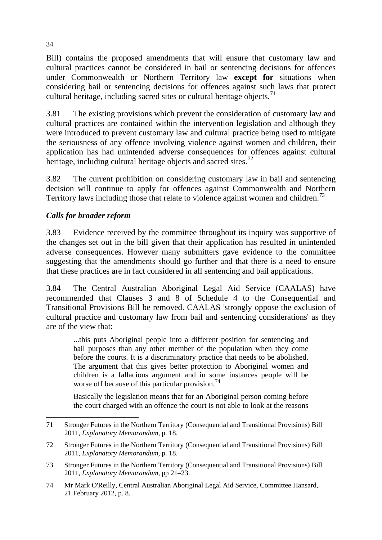Bill) contains the proposed amendments that will ensure that customary law and cultural practices cannot be considered in bail or sentencing decisions for offences under Commonwealth or Northern Territory law **except for** situations when considering bail or sentencing decisions for offences against such laws that protect cultural heritage, including sacred sites or cultural heritage objects.<sup>71</sup>

3.81 The existing provisions which prevent the consideration of customary law and cultural practices are contained within the intervention legislation and although they were introduced to prevent customary law and cultural practice being used to mitigate the seriousness of any offence involving violence against women and children, their application has had unintended adverse consequences for offences against cultural heritage, including cultural heritage objects and sacred sites.<sup>[72](#page-43-0)</sup>

3.82 The current prohibition on considering customary law in bail and sentencing decision will continue to apply for offences against Commonwealth and Northern Territory laws including those that relate to violence against women and children.<sup>[73](#page-43-1)</sup>

# *Calls for broader reform*

3.83 Evidence received by the committee throughout its inquiry was supportive of the changes set out in the bill given that their application has resulted in unintended adverse consequences. However many submitters gave evidence to the committee suggesting that the amendments should go further and that there is a need to ensure that these practices are in fact considered in all sentencing and bail applications.

3.84 The Central Australian Aboriginal Legal Aid Service (CAALAS) have recommended that Clauses 3 and 8 of Schedule 4 to the Consequential and Transitional Provisions Bill be removed. CAALAS 'strongly oppose the exclusion of cultural practice and customary law from bail and sentencing considerations' as they are of the view that:

...this puts Aboriginal people into a different position for sentencing and bail purposes than any other member of the population when they come before the courts. It is a discriminatory practice that needs to be abolished. The argument that this gives better protection to Aboriginal women and children is a fallacious argument and in some instances people will be worse off because of this particular provision.<sup>[74](#page-43-2)</sup>

Basically the legislation means that for an Aboriginal person coming before the court charged with an offence the court is not able to look at the reasons

<sup>71</sup> Stronger Futures in the Northern Territory (Consequential and Transitional Provisions) Bill 2011, *Explanatory Memorandum*, p. 18.

<span id="page-43-0"></span><sup>72</sup> Stronger Futures in the Northern Territory (Consequential and Transitional Provisions) Bill 2011, *Explanatory Memorandum*, p. 18.

<span id="page-43-1"></span><sup>73</sup> Stronger Futures in the Northern Territory (Consequential and Transitional Provisions) Bill 2011, *Explanatory Memorandum*, pp 21–23.

<span id="page-43-2"></span><sup>74</sup> Mr Mark O'Reilly, Central Australian Aboriginal Legal Aid Service, Committee Hansard, 21 February 2012, p. 8.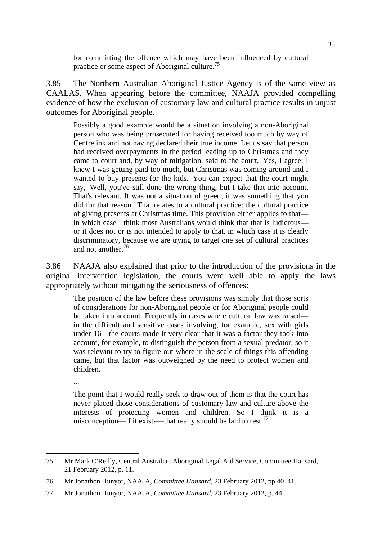for committing the offence which may have been influenced by cultural practice or some aspect of Aboriginal culture.<sup>[75](#page-44-0)</sup>

3.85 The Northern Australian Aboriginal Justice Agency is of the same view as CAALAS. When appearing before the committee, NAAJA provided compelling evidence of how the exclusion of customary law and cultural practice results in unjust outcomes for Aboriginal people.

Possibly a good example would be a situation involving a non-Aboriginal person who was being prosecuted for having received too much by way of Centrelink and not having declared their true income. Let us say that person had received overpayments in the period leading up to Christmas and they came to court and, by way of mitigation, said to the court, 'Yes, I agree; I knew I was getting paid too much, but Christmas was coming around and I wanted to buy presents for the kids.' You can expect that the court might say, 'Well, you've still done the wrong thing, but I take that into account. That's relevant. It was not a situation of greed; it was something that you did for that reason.' That relates to a cultural practice: the cultural practice of giving presents at Christmas time. This provision either applies to that in which case I think most Australians would think that that is ludicrous or it does not or is not intended to apply to that, in which case it is clearly discriminatory, because we are trying to target one set of cultural practices and not another.<sup>[76](#page-44-1)</sup>

3.86 NAAJA also explained that prior to the introduction of the provisions in the original intervention legislation, the courts were well able to apply the laws appropriately without mitigating the seriousness of offences:

The position of the law before these provisions was simply that those sorts of considerations for non-Aboriginal people or for Aboriginal people could be taken into account. Frequently in cases where cultural law was raised in the difficult and sensitive cases involving, for example, sex with girls under 16—the courts made it very clear that it was a factor they took into account, for example, to distinguish the person from a sexual predator, so it was relevant to try to figure out where in the scale of things this offending came, but that factor was outweighed by the need to protect women and children.

...

The point that I would really seek to draw out of them is that the court has never placed those considerations of customary law and culture above the interests of protecting women and children. So I think it is a misconception—if it exists—that really should be laid to rest.<sup>[77](#page-44-2)</sup>

<span id="page-44-0"></span><sup>75</sup> Mr Mark O'Reilly, Central Australian Aboriginal Legal Aid Service, Committee Hansard, 21 February 2012, p. 11.

<span id="page-44-1"></span><sup>76</sup> Mr Jonathon Hunyor, NAAJA, *Committee Hansard,* 23 February 2012, pp 40–41.

<span id="page-44-2"></span><sup>77</sup> Mr Jonathon Hunyor, NAAJA, *Committee Hansard*, 23 February 2012, p. 44.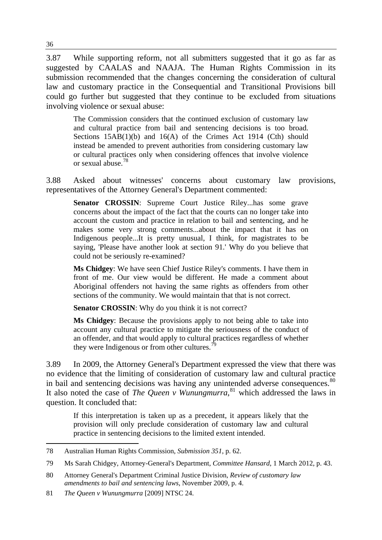3.87 While supporting reform, not all submitters suggested that it go as far as suggested by CAALAS and NAAJA. The Human Rights Commission in its submission recommended that the changes concerning the consideration of cultural law and customary practice in the Consequential and Transitional Provisions bill could go further but suggested that they continue to be excluded from situations involving violence or sexual abuse:

The Commission considers that the continued exclusion of customary law and cultural practice from bail and sentencing decisions is too broad. Sections 15AB(1)(b) and 16(A) of the Crimes Act 1914 (Cth) should instead be amended to prevent authorities from considering customary law or cultural practices only when considering offences that involve violence or sexual abuse.[78](#page-45-0)

3.88 Asked about witnesses' concerns about customary law provisions, representatives of the Attorney General's Department commented:

**Senator CROSSIN:** Supreme Court Justice Riley...has some grave concerns about the impact of the fact that the courts can no longer take into account the custom and practice in relation to bail and sentencing, and he makes some very strong comments...about the impact that it has on Indigenous people...It is pretty unusual, I think, for magistrates to be saying, 'Please have another look at section 91.' Why do you believe that could not be seriously re-examined?

**Ms Chidgey**: We have seen Chief Justice Riley's comments. I have them in front of me. Our view would be different. He made a comment about Aboriginal offenders not having the same rights as offenders from other sections of the community. We would maintain that that is not correct.

**Senator CROSSIN:** Why do you think it is not correct?

**Ms Chidgey**: Because the provisions apply to not being able to take into account any cultural practice to mitigate the seriousness of the conduct of an offender, and that would apply to cultural practices regardless of whether they were Indigenous or from other cultures.<sup>[79](#page-45-1)</sup>

3.89 In 2009, the Attorney General's Department expressed the view that there was no evidence that the limiting of consideration of customary law and cultural practice in bail and sentencing decisions was having any unintended adverse consequences.<sup>[80](#page-45-2)</sup> It also noted the case of *The Queen v Wunungmurra*, [81](#page-45-3) which addressed the laws in question. It concluded that:

If this interpretation is taken up as a precedent, it appears likely that the provision will only preclude consideration of customary law and cultural practice in sentencing decisions to the limited extent intended.

<span id="page-45-0"></span><sup>78</sup> Australian Human Rights Commission, *Submission 351*, p. 62.

<span id="page-45-1"></span><sup>79</sup> Ms Sarah Chidgey, Attorney-General's Department, *Committee Hansard*, 1 March 2012, p. 43.

<span id="page-45-2"></span><sup>80</sup> Attorney General's Department Criminal Justice Division, *Review of customary law amendments to bail and sentencing laws*, November 2009, p. 4.

<span id="page-45-3"></span><sup>81</sup> *The Queen v Wunungmurra* [2009] NTSC 24.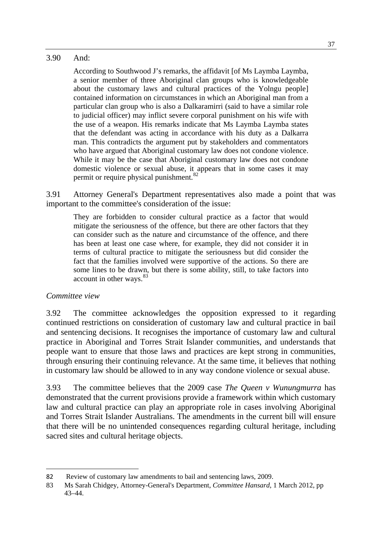#### 3.90 And:

According to Southwood J's remarks, the affidavit [of Ms Laymba Laymba, a senior member of three Aboriginal clan groups who is knowledgeable about the customary laws and cultural practices of the Yolngu people] contained information on circumstances in which an Aboriginal man from a particular clan group who is also a Dalkaramirri (said to have a similar role to judicial officer) may inflict severe corporal punishment on his wife with the use of a weapon. His remarks indicate that Ms Laymba Laymba states that the defendant was acting in accordance with his duty as a Dalkarra man. This contradicts the argument put by stakeholders and commentators who have argued that Aboriginal customary law does not condone violence. While it may be the case that Aboriginal customary law does not condone domestic violence or sexual abuse, it appears that in some cases it may permit or require physical punishment.<sup>[82](#page-46-0)</sup>

3.91 Attorney General's Department representatives also made a point that was important to the committee's consideration of the issue:

They are forbidden to consider cultural practice as a factor that would mitigate the seriousness of the offence, but there are other factors that they can consider such as the nature and circumstance of the offence, and there has been at least one case where, for example, they did not consider it in terms of cultural practice to mitigate the seriousness but did consider the fact that the families involved were supportive of the actions. So there are some lines to be drawn, but there is some ability, still, to take factors into account in other ways.<sup>[83](#page-46-1)</sup>

#### *Committee view*

3.92 The committee acknowledges the opposition expressed to it regarding continued restrictions on consideration of customary law and cultural practice in bail and sentencing decisions. It recognises the importance of customary law and cultural practice in Aboriginal and Torres Strait Islander communities, and understands that people want to ensure that those laws and practices are kept strong in communities, through ensuring their continuing relevance. At the same time, it believes that nothing in customary law should be allowed to in any way condone violence or sexual abuse.

3.93 The committee believes that the 2009 case *The Queen v Wunungmurra* has demonstrated that the current provisions provide a framework within which customary law and cultural practice can play an appropriate role in cases involving Aboriginal and Torres Strait Islander Australians. The amendments in the current bill will ensure that there will be no unintended consequences regarding cultural heritage, including sacred sites and cultural heritage objects.

<span id="page-46-0"></span><sup>82</sup> Review of customary law amendments to bail and sentencing laws, 2009.

<span id="page-46-1"></span><sup>83</sup> Ms Sarah Chidgey, Attorney-General's Department, *Committee Hansard*, 1 March 2012, pp 43–44.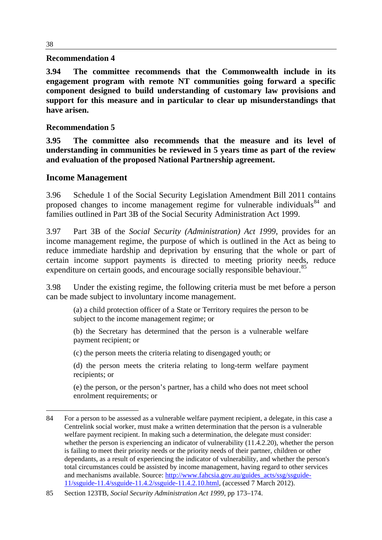#### **Recommendation 4**

**3.94 The committee recommends that the Commonwealth include in its engagement program with remote NT communities going forward a specific component designed to build understanding of customary law provisions and support for this measure and in particular to clear up misunderstandings that have arisen.** 

#### **Recommendation 5**

**3.95 The committee also recommends that the measure and its level of understanding in communities be reviewed in 5 years time as part of the review and evaluation of the proposed National Partnership agreement.** 

#### **Income Management**

3.96 Schedule 1 of the Social Security Legislation Amendment Bill 2011 contains proposed changes to income management regime for vulnerable individuals<sup>[84](#page-47-0)</sup> and families outlined in Part 3B of the Social Security Administration Act 1999.

3.97 Part 3B of the *Social Security (Administration) Act 1999*, provides for an income management regime, the purpose of which is outlined in the Act as being to reduce immediate hardship and deprivation by ensuring that the whole or part of certain income support payments is directed to meeting priority needs, reduce expenditure on certain goods, and encourage socially responsible behaviour.<sup>[85](#page-47-1)</sup>

3.98 Under the existing regime, the following criteria must be met before a person can be made subject to involuntary income management.

(a) a child protection officer of a State or Territory requires the person to be subject to the income management regime; or

(b) the Secretary has determined that the person is a vulnerable welfare payment recipient; or

(c) the person meets the criteria relating to disengaged youth; or

(d) the person meets the criteria relating to long-term welfare payment recipients; or

(e) the person, or the person's partner, has a child who does not meet school enrolment requirements; or

<span id="page-47-0"></span><sup>84</sup> For a person to be assessed as a vulnerable welfare payment recipient, a delegate, in this case a Centrelink social worker, must make a written determination that the person is a vulnerable welfare payment recipient. In making such a determination, the delegate must consider: whether the person is experiencing an indicator of vulnerability  $(11.4.2.20)$ , whether the person is failing to meet their priority needs or the priority needs of their partner, children or other dependants, as a result of experiencing the indicator of vulnerability, and whether the person's total circumstances could be assisted by income management, having regard to other services and mechanisms available. Source: [http://www.fahcsia.gov.au/guides\\_acts/ssg/ssguide-](http://www.fahcsia.gov.au/guides_acts/ssg/ssguide-11/ssguide-11.4/ssguide-11.4.2/ssguide-11.4.2.10.html)[11/ssguide-11.4/ssguide-11.4.2/ssguide-11.4.2.10.html](http://www.fahcsia.gov.au/guides_acts/ssg/ssguide-11/ssguide-11.4/ssguide-11.4.2/ssguide-11.4.2.10.html), (accessed 7 March 2012).

<span id="page-47-1"></span><sup>85</sup> Section 123TB, *Social Security Administration Act 1999*, pp 173–174.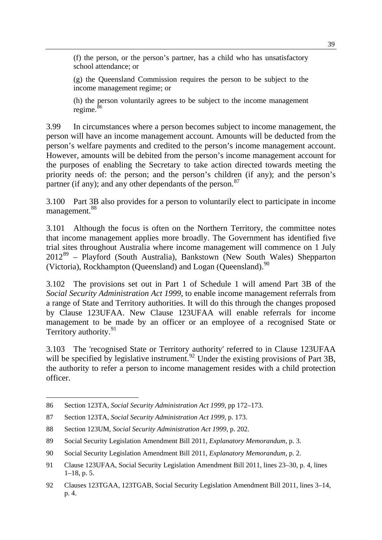(f) the person, or the person's partner, has a child who has unsatisfactory school attendance; or

(g) the Queensland Commission requires the person to be subject to the income management regime; or

(h) the person voluntarily agrees to be subject to the income management regime.<sup>[86](#page-48-0)</sup>

3.99 In circumstances where a person becomes subject to income management, the person will have an income management account. Amounts will be deducted from the person's welfare payments and credited to the person's income management account. However, amounts will be debited from the person's income management account for the purposes of enabling the Secretary to take action directed towards meeting the priority needs of: the person; and the person's children (if any); and the person's partner (if any); and any other dependants of the person.<sup>[87](#page-48-1)</sup>

3.100 Part 3B also provides for a person to voluntarily elect to participate in income management.<sup>[88](#page-48-2)</sup>

3.101 Although the focus is often on the Northern Territory, the committee notes that income management applies more broadly. The Government has identified five trial sites throughout Australia where income management will commence on 1 July  $2012^{89}$  $2012^{89}$  $2012^{89}$  – Playford (South Australia), Bankstown (New South Wales) Shepparton (Victoria), Rockhampton (Queensland) and Logan (Queensland).<sup>[90](#page-48-4)</sup>

3.102 The provisions set out in Part 1 of Schedule 1 will amend Part 3B of the *Social Security Administration Act 1999*, to enable income management referrals from a range of State and Territory authorities. It will do this through the changes proposed by Clause 123UFAA. New Clause 123UFAA will enable referrals for income management to be made by an officer or an employee of a recognised State or Territory authority.<sup>[91](#page-48-5)</sup>

3.103 The 'recognised State or Territory authority' referred to in Clause 123UFAA will be specified by legislative instrument.<sup>[92](#page-48-6)</sup> Under the existing provisions of Part 3B, the authority to refer a person to income management resides with a child protection officer.

<span id="page-48-0"></span><sup>86</sup> Section 123TA, *Social Security Administration Act 1999*, pp 172–173.

<span id="page-48-1"></span><sup>87</sup> Section 123TA, *Social Security Administration Act 1999*, p. 173.

<span id="page-48-2"></span><sup>88</sup> Section 123UM, *Social Security Administration Act 1999*, p. 202.

<span id="page-48-3"></span><sup>89</sup> Social Security Legislation Amendment Bill 2011, *Explanatory Memorandum*, p. 3.

<span id="page-48-4"></span><sup>90</sup> Social Security Legislation Amendment Bill 2011, *Explanatory Memorandum*, p. 2.

<span id="page-48-5"></span><sup>91</sup> Clause 123UFAA, Social Security Legislation Amendment Bill 2011, lines 23–30, p. 4, lines 1–18, p. 5.

<span id="page-48-6"></span><sup>92</sup> Clauses 123TGAA, 123TGAB, Social Security Legislation Amendment Bill 2011, lines 3–14, p. 4.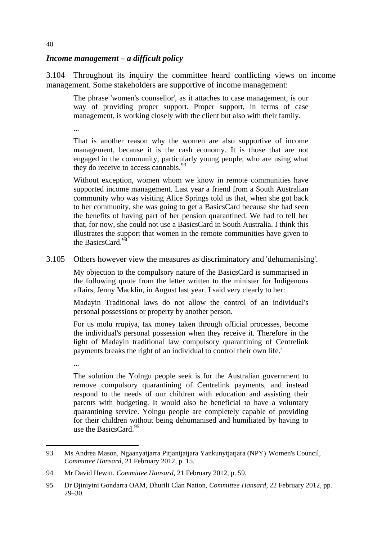#### *Income management – a difficult policy*

3.104 Throughout its inquiry the committee heard conflicting views on income management. Some stakeholders are supportive of income management:

The phrase 'women's counsellor', as it attaches to case management, is our way of providing proper support. Proper support, in terms of case management, is working closely with the client but also with their family.

...

That is another reason why the women are also supportive of income management, because it is the cash economy. It is those that are not engaged in the community, particularly young people, who are using what they do receive to access cannabis.  $93$ 

Without exception, women whom we know in remote communities have supported income management. Last year a friend from a South Australian community who was visiting Alice Springs told us that, when she got back to her community, she was going to get a BasicsCard because she had seen the benefits of having part of her pension quarantined. We had to tell her that, for now, she could not use a BasicsCard in South Australia. I think this illustrates the support that women in the remote communities have given to the BasicsCard. $94$ 

3.105 Others however view the measures as discriminatory and 'dehumanising'.

My objection to the compulsory nature of the BasicsCard is summarised in the following quote from the letter written to the minister for Indigenous affairs, Jenny Macklin, in August last year. I said very clearly to her:

Madayin Traditional laws do not allow the control of an individual's personal possessions or property by another person.

For us molu rrupiya, tax money taken through official processes, become the individual's personal possession when they receive it. Therefore in the light of Madayin traditional law compulsory quarantining of Centrelink payments breaks the right of an individual to control their own life.'

...

The solution the Yolngu people seek is for the Australian government to remove compulsory quarantining of Centrelink payments, and instead respond to the needs of our children with education and assisting their parents with budgeting. It would also be beneficial to have a voluntary quarantining service. Yolngu people are completely capable of providing for their children without being dehumanised and humiliated by having to use the BasicsCard. $95$ 

<span id="page-49-0"></span><sup>93</sup> Ms Andrea Mason, Ngaanyatjarra Pitjantjatjara Yankunytjatjara (NPY) Women's Council, *Committee Hansard,* 21 February 2012, p. 15.

<span id="page-49-1"></span><sup>94</sup> Mr David Hewitt, *Committee Hansard*, 21 February 2012, p. 59.

<span id="page-49-2"></span><sup>95</sup> Dr Djiniyini Gondarra OAM, Dhurili Clan Nation, *Committee Hansard*, 22 February 2012, pp. 29–30.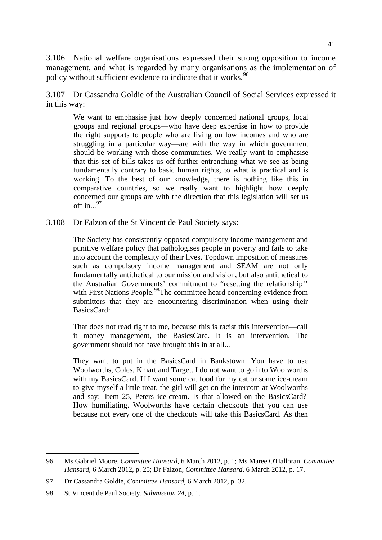3.106 National welfare organisations expressed their strong opposition to income management, and what is regarded by many organisations as the implementation of policy without sufficient evidence to indicate that it works.<sup>[96](#page-50-0)</sup>

3.107 Dr Cassandra Goldie of the Australian Council of Social Services expressed it in this way:

We want to emphasise just how deeply concerned national groups, local groups and regional groups—who have deep expertise in how to provide the right supports to people who are living on low incomes and who are struggling in a particular way—are with the way in which government should be working with those communities. We really want to emphasise that this set of bills takes us off further entrenching what we see as being fundamentally contrary to basic human rights, to what is practical and is working. To the best of our knowledge, there is nothing like this in comparative countries, so we really want to highlight how deeply concerned our groups are with the direction that this legislation will set us off in... $^{97}$  $^{97}$  $^{97}$ 

3.108 Dr Falzon of the St Vincent de Paul Society says:

The Society has consistently opposed compulsory income management and punitive welfare policy that pathologises people in poverty and fails to take into account the complexity of their lives. Topdown imposition of measures such as compulsory income management and SEAM are not only fundamentally antithetical to our mission and vision, but also antithetical to the Australian Governments' commitment to "resetting the relationship'' with First Nations People.<sup>[98](#page-50-2)</sup>The committee heard concerning evidence from submitters that they are encountering discrimination when using their BasicsCard:

That does not read right to me, because this is racist this intervention—call it money management, the BasicsCard. It is an intervention. The government should not have brought this in at all...

They want to put in the BasicsCard in Bankstown. You have to use Woolworths, Coles, Kmart and Target. I do not want to go into Woolworths with my BasicsCard. If I want some cat food for my cat or some ice-cream to give myself a little treat, the girl will get on the intercom at Woolworths and say: 'Item 25, Peters ice-cream. Is that allowed on the BasicsCard?' How humiliating. Woolworths have certain checkouts that you can use because not every one of the checkouts will take this BasicsCard. As then

<span id="page-50-0"></span><sup>96</sup> Ms Gabriel Moore, *Committee Hansard,* 6 March 2012, p. 1; Ms Maree O'Halloran, *Committee Hansard,* 6 March 2012, p. 25; Dr Falzon, *Committee Hansard,* 6 March 2012, p. 17.

<span id="page-50-1"></span><sup>97</sup> Dr Cassandra Goldie, *Committee Hansard,* 6 March 2012, p. 32.

<span id="page-50-2"></span><sup>98</sup> St Vincent de Paul Society, *Submission 24*, p. 1.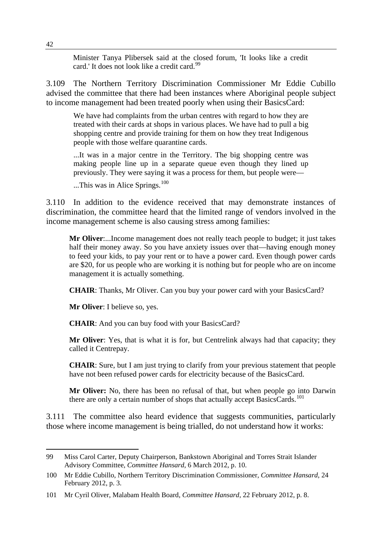Minister Tanya Plibersek said at the closed forum, 'It looks like a credit card.' It does not look like a credit card.<sup>[99](#page-51-0)</sup>

3.109 The Northern Territory Discrimination Commissioner Mr Eddie Cubillo advised the committee that there had been instances where Aboriginal people subject to income management had been treated poorly when using their BasicsCard:

We have had complaints from the urban centres with regard to how they are treated with their cards at shops in various places. We have had to pull a big shopping centre and provide training for them on how they treat Indigenous people with those welfare quarantine cards.

...It was in a major centre in the Territory. The big shopping centre was making people line up in a separate queue even though they lined up previously. They were saying it was a process for them, but people were—

...This was in Alice Springs.<sup>[100](#page-51-1)</sup>

3.110 In addition to the evidence received that may demonstrate instances of discrimination, the committee heard that the limited range of vendors involved in the income management scheme is also causing stress among families:

**Mr Oliver**:...Income management does not really teach people to budget; it just takes half their money away. So you have anxiety issues over that—having enough money to feed your kids, to pay your rent or to have a power card. Even though power cards are \$20, for us people who are working it is nothing but for people who are on income management it is actually something.

**CHAIR**: Thanks, Mr Oliver. Can you buy your power card with your BasicsCard?

**Mr Oliver**: I believe so, yes.

**CHAIR**: And you can buy food with your BasicsCard?

**Mr Oliver**: Yes, that is what it is for, but Centrelink always had that capacity; they called it Centrepay.

**CHAIR**: Sure, but I am just trying to clarify from your previous statement that people have not been refused power cards for electricity because of the BasicsCard.

**Mr Oliver:** No, there has been no refusal of that, but when people go into Darwin there are only a certain number of shops that actually accept BasicsCards.<sup>[101](#page-51-2)</sup>

3.111 The committee also heard evidence that suggests communities, particularly those where income management is being trialled, do not understand how it works:

<span id="page-51-0"></span><sup>99</sup> Miss Carol Carter, Deputy Chairperson, Bankstown Aboriginal and Torres Strait Islander Advisory Committee, *Committee Hansard*, 6 March 2012, p. 10.

<span id="page-51-1"></span><sup>100</sup> Mr Eddie Cubillo, Northern Territory Discrimination Commissioner, *Committee Hansard*, 24 February 2012, p. 3.

<span id="page-51-2"></span><sup>101</sup> Mr Cyril Oliver, Malabam Health Board, *Committee Hansard*, 22 February 2012, p. 8.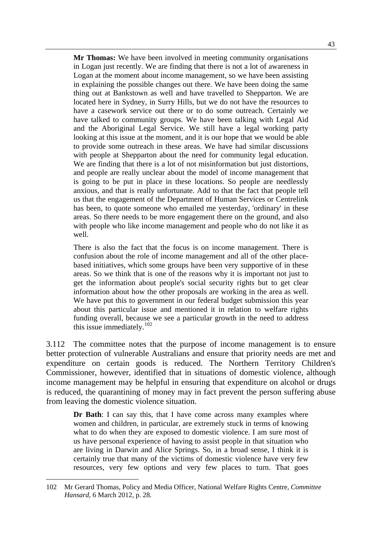**Mr Thomas:** We have been involved in meeting community organisations in Logan just recently. We are finding that there is not a lot of awareness in Logan at the moment about income management, so we have been assisting in explaining the possible changes out there. We have been doing the same thing out at Bankstown as well and have travelled to Shepparton. We are located here in Sydney, in Surry Hills, but we do not have the resources to have a casework service out there or to do some outreach. Certainly we have talked to community groups. We have been talking with Legal Aid and the Aboriginal Legal Service. We still have a legal working party looking at this issue at the moment, and it is our hope that we would be able to provide some outreach in these areas. We have had similar discussions with people at Shepparton about the need for community legal education. We are finding that there is a lot of not misinformation but just distortions, and people are really unclear about the model of income management that is going to be put in place in these locations. So people are needlessly anxious, and that is really unfortunate. Add to that the fact that people tell us that the engagement of the Department of Human Services or Centrelink has been, to quote someone who emailed me yesterday, 'ordinary' in these areas. So there needs to be more engagement there on the ground, and also with people who like income management and people who do not like it as well.

There is also the fact that the focus is on income management. There is confusion about the role of income management and all of the other placebased initiatives, which some groups have been very supportive of in these areas. So we think that is one of the reasons why it is important not just to get the information about people's social security rights but to get clear information about how the other proposals are working in the area as well. We have put this to government in our federal budget submission this year about this particular issue and mentioned it in relation to welfare rights funding overall, because we see a particular growth in the need to address this issue immediately.<sup>[102](#page-52-0)</sup>

3.112 The committee notes that the purpose of income management is to ensure better protection of vulnerable Australians and ensure that priority needs are met and expenditure on certain goods is reduced. The Northern Territory Children's Commissioner, however, identified that in situations of domestic violence, although income management may be helpful in ensuring that expenditure on alcohol or drugs is reduced, the quarantining of money may in fact prevent the person suffering abuse from leaving the domestic violence situation.

**Dr Bath**: I can say this, that I have come across many examples where women and children, in particular, are extremely stuck in terms of knowing what to do when they are exposed to domestic violence. I am sure most of us have personal experience of having to assist people in that situation who are living in Darwin and Alice Springs. So, in a broad sense, I think it is certainly true that many of the victims of domestic violence have very few resources, very few options and very few places to turn. That goes

<span id="page-52-0"></span><sup>102</sup> Mr Gerard Thomas, Policy and Media Officer, National Welfare Rights Centre, *Committee Hansard*, 6 March 2012, p. 28.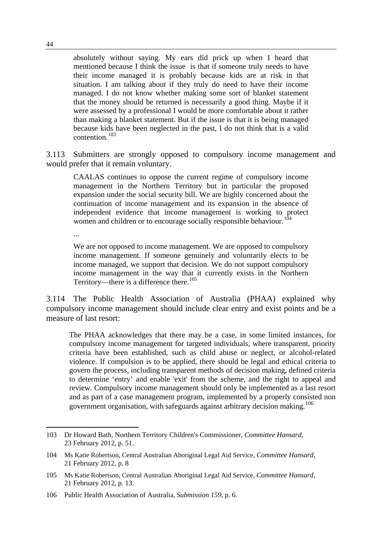absolutely without saying. My ears did prick up when I heard that mentioned because I think the issue is that if someone truly needs to have their income managed it is probably because kids are at risk in that situation. I am talking about if they truly do need to have their income managed. I do not know whether making some sort of blanket statement that the money should be returned is necessarily a good thing. Maybe if it were assessed by a professional I would be more comfortable about it rather than making a blanket statement. But if the issue is that it is being managed because kids have been neglected in the past, I do not think that is a valid contention.[103](#page-53-0)

3.113 Submitters are strongly opposed to compulsory income management and would prefer that it remain voluntary.

CAALAS continues to oppose the current regime of compulsory income management in the Northern Territory but in particular the proposed expansion under the social security bill. We are highly concerned about the continuation of income management and its expansion in the absence of independent evidence that income management is working to protect women and children or to encourage socially responsible behaviour.<sup>[104](#page-53-1)</sup>

...

We are not opposed to income management. We are opposed to compulsory income management. If someone genuinely and voluntarily elects to be income managed, we support that decision. We do not support compulsory income management in the way that it currently exists in the Northern Territory—there is a difference there.<sup>[105](#page-53-2)</sup>

3.114 The Public Health Association of Australia (PHAA) explained why compulsory income management should include clear entry and exist points and be a measure of last resort:

The PHAA acknowledges that there may be a case, in some limited instances, for compulsory income management for targeted individuals, where transparent, priority criteria have been established, such as child abuse or neglect, or alcohol-related violence. If compulsion is to be applied, there should be legal and ethical criteria to govern the process, including transparent methods of decision making, defined criteria to determine 'entry' and enable 'exit' from the scheme, and the right to appeal and review. Compulsory income management should only be implemented as a last resort and as part of a case management program, implemented by a properly consisted non government organisation, with safeguards against arbitrary decision making.<sup>[106](#page-53-3)</sup>

<span id="page-53-0"></span><sup>103</sup> Dr Howard Bath, Northern Territory Children's Commissioner, *Committee Hansard*, 23 February 2012, p. 51.

<span id="page-53-1"></span><sup>104</sup> Ms Katie Robertson, Central Australian Aboriginal Legal Aid Service, *Committee Hansard*, 21 February 2012, p. 8

<span id="page-53-2"></span><sup>105</sup> Ms Katie Robertson, Central Australian Aboriginal Legal Aid Service, *Committee Hansard*, 21 February 2012, p. 13.

<span id="page-53-3"></span><sup>106</sup> Public Health Association of Australia, *Submission 159,* p. 6.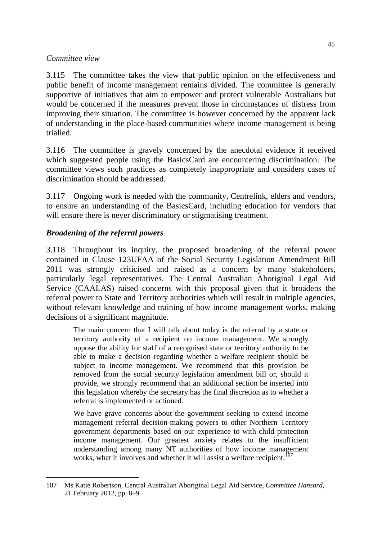#### *Committee view*

3.115 The committee takes the view that public opinion on the effectiveness and public benefit of income management remains divided. The committee is generally supportive of initiatives that aim to empower and protect vulnerable Australians but would be concerned if the measures prevent those in circumstances of distress from improving their situation. The committee is however concerned by the apparent lack of understanding in the place-based communities where income management is being trialled.

3.116 The committee is gravely concerned by the anecdotal evidence it received which suggested people using the BasicsCard are encountering discrimination. The committee views such practices as completely inappropriate and considers cases of discrimination should be addressed.

3.117 Ongoing work is needed with the community, Centrelink, elders and vendors, to ensure an understanding of the BasicsCard, including education for vendors that will ensure there is never discriminatory or stigmatising treatment.

#### *Broadening of the referral powers*

3.118 Throughout its inquiry, the proposed broadening of the referral power contained in Clause 123UFAA of the Social Security Legislation Amendment Bill 2011 was strongly criticised and raised as a concern by many stakeholders, particularly legal representatives. The Central Australian Aboriginal Legal Aid Service (CAALAS) raised concerns with this proposal given that it broadens the referral power to State and Territory authorities which will result in multiple agencies, without relevant knowledge and training of how income management works, making decisions of a significant magnitude.

The main concern that I will talk about today is the referral by a state or territory authority of a recipient on income management. We strongly oppose the ability for staff of a recognised state or territory authority to be able to make a decision regarding whether a welfare recipient should be subject to income management. We recommend that this provision be removed from the social security legislation amendment bill or, should it provide, we strongly recommend that an additional section be inserted into this legislation whereby the secretary has the final discretion as to whether a referral is implemented or actioned.

We have grave concerns about the government seeking to extend income management referral decision-making powers to other Northern Territory government departments based on our experience to with child protection income management. Our greatest anxiety relates to the insufficient understanding among many NT authorities of how income management works, what it involves and whether it will assist a welfare recipient.<sup>[107](#page-54-0)</sup>

<span id="page-54-0"></span> 107 Ms Katie Robertson, Central Australian Aboriginal Legal Aid Service, *Committee Hansard*, 21 February 2012, pp. 8–9.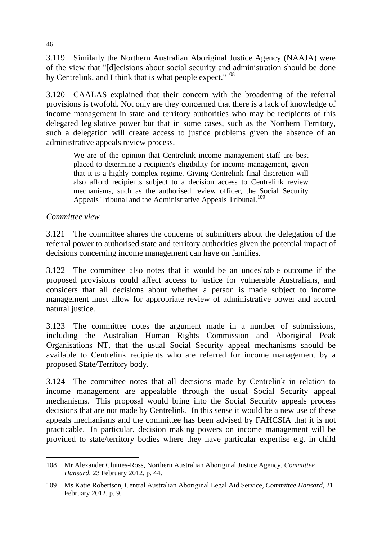3.119 Similarly the Northern Australian Aboriginal Justice Agency (NAAJA) were of the view that "[d]ecisions about social security and administration should be done by Centrelink, and I think that is what people expect."<sup>[108](#page-55-0)</sup>

3.120 CAALAS explained that their concern with the broadening of the referral provisions is twofold. Not only are they concerned that there is a lack of knowledge of income management in state and territory authorities who may be recipients of this delegated legislative power but that in some cases, such as the Northern Territory, such a delegation will create access to justice problems given the absence of an administrative appeals review process.

We are of the opinion that Centrelink income management staff are best placed to determine a recipient's eligibility for income management, given that it is a highly complex regime. Giving Centrelink final discretion will also afford recipients subject to a decision access to Centrelink review mechanisms, such as the authorised review officer, the Social Security Appeals Tribunal and the Administrative Appeals Tribunal.<sup>[109](#page-55-1)</sup>

#### *Committee view*

3.121 The committee shares the concerns of submitters about the delegation of the referral power to authorised state and territory authorities given the potential impact of decisions concerning income management can have on families.

3.122 The committee also notes that it would be an undesirable outcome if the proposed provisions could affect access to justice for vulnerable Australians, and considers that all decisions about whether a person is made subject to income management must allow for appropriate review of administrative power and accord natural justice.

3.123 The committee notes the argument made in a number of submissions, including the Australian Human Rights Commission and Aboriginal Peak Organisations NT, that the usual Social Security appeal mechanisms should be available to Centrelink recipients who are referred for income management by a proposed State/Territory body.

3.124 The committee notes that all decisions made by Centrelink in relation to income management are appealable through the usual Social Security appeal mechanisms. This proposal would bring into the Social Security appeals process decisions that are not made by Centrelink. In this sense it would be a new use of these appeals mechanisms and the committee has been advised by FAHCSIA that it is not practicable. In particular, decision making powers on income management will be provided to state/territory bodies where they have particular expertise e.g. in child

<span id="page-55-0"></span><sup>108</sup> Mr Alexander Clunies-Ross, Northern Australian Aboriginal Justice Agency, *Committee Hansard*, 23 February 2012, p. 44.

<span id="page-55-1"></span><sup>109</sup> Ms Katie Robertson, Central Australian Aboriginal Legal Aid Service, *Committee Hansard*, 21 February 2012, p. 9.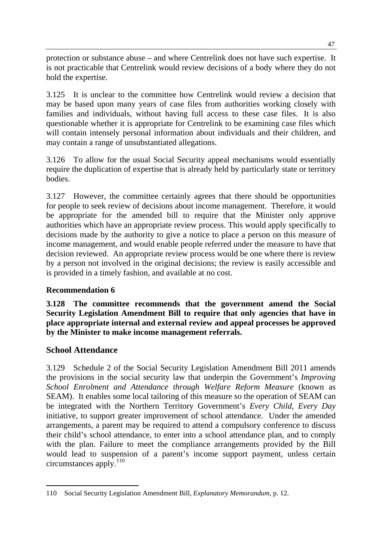protection or substance abuse – and where Centrelink does not have such expertise. It is not practicable that Centrelink would review decisions of a body where they do not hold the expertise.

3.125 It is unclear to the committee how Centrelink would review a decision that may be based upon many years of case files from authorities working closely with families and individuals, without having full access to these case files. It is also questionable whether it is appropriate for Centrelink to be examining case files which will contain intensely personal information about individuals and their children, and may contain a range of unsubstantiated allegations.

3.126 To allow for the usual Social Security appeal mechanisms would essentially require the duplication of expertise that is already held by particularly state or territory bodies.

3.127 However, the committee certainly agrees that there should be opportunities for people to seek review of decisions about income management. Therefore, it would be appropriate for the amended bill to require that the Minister only approve authorities which have an appropriate review process. This would apply specifically to decisions made by the authority to give a notice to place a person on this measure of income management, and would enable people referred under the measure to have that decision reviewed. An appropriate review process would be one where there is review by a person not involved in the original decisions; the review is easily accessible and is provided in a timely fashion, and available at no cost.

# **Recommendation 6**

**3.128 The committee recommends that the government amend the Social Security Legislation Amendment Bill to require that only agencies that have in place appropriate internal and external review and appeal processes be approved by the Minister to make income management referrals.** 

# **School Attendance**

3.129 Schedule 2 of the Social Security Legislation Amendment Bill 2011 amends the provisions in the social security law that underpin the Government's *Improving School Enrolment and Attendance through Welfare Reform Measure* (known as SEAM). It enables some local tailoring of this measure so the operation of SEAM can be integrated with the Northern Territory Government's *Every Child, Every Day*  initiative, to support greater improvement of school attendance. Under the amended arrangements, a parent may be required to attend a compulsory conference to discuss their child's school attendance, to enter into a school attendance plan, and to comply with the plan. Failure to meet the compliance arrangements provided by the Bill would lead to suspension of a parent's income support payment, unless certain circumstances apply. $110$ 

<span id="page-56-0"></span><sup>110</sup> Social Security Legislation Amendment Bill, *Explanatory Memorandum*, p. 12.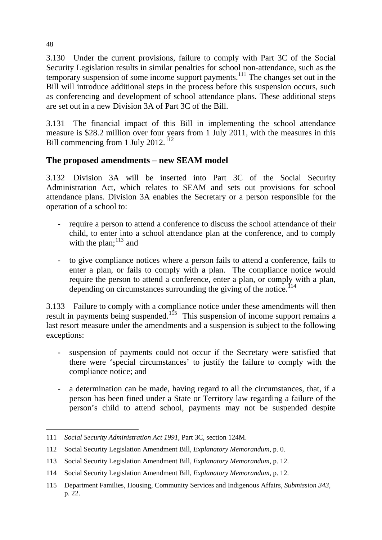3.130 Under the current provisions, failure to comply with Part 3C of the Social Security Legislation results in similar penalties for school non-attendance, such as the temporary suspension of some income support payments.<sup>[111](#page-57-0)</sup> The changes set out in the Bill will introduce additional steps in the process before this suspension occurs, such as conferencing and development of school attendance plans. These additional steps are set out in a new Division 3A of Part 3C of the Bill.

3.131 The financial impact of this Bill in implementing the school attendance measure is \$28.2 million over four years from 1 July 2011, with the measures in this Bill commencing from 1 July 2012.<sup>[112](#page-57-1)</sup>

# **The proposed amendments – new SEAM model**

3.132 Division 3A will be inserted into Part 3C of the Social Security Administration Act, which relates to SEAM and sets out provisions for school attendance plans. Division 3A enables the Secretary or a person responsible for the operation of a school to:

- require a person to attend a conference to discuss the school attendance of their child, to enter into a school attendance plan at the conference, and to comply with the plan;  $^{113}$  $^{113}$  $^{113}$  and
- to give compliance notices where a person fails to attend a conference, fails to enter a plan, or fails to comply with a plan. The compliance notice would require the person to attend a conference, enter a plan, or comply with a plan, depending on circumstances surrounding the giving of the notice.<sup> $114$ </sup>

3.133 Failure to comply with a compliance notice under these amendments will then result in payments being suspended.<sup>[115](#page-57-4)</sup> This suspension of income support remains a last resort measure under the amendments and a suspension is subject to the following exceptions:

- suspension of payments could not occur if the Secretary were satisfied that there were 'special circumstances' to justify the failure to comply with the compliance notice; and
- a determination can be made, having regard to all the circumstances, that, if a person has been fined under a State or Territory law regarding a failure of the person's child to attend school, payments may not be suspended despite

<span id="page-57-0"></span> 111 *Social Security Administration Act 1991*, Part 3C, section 124M.

<span id="page-57-1"></span><sup>112</sup> Social Security Legislation Amendment Bill, *Explanatory Memorandum*, p. 0.

<span id="page-57-2"></span><sup>113</sup> Social Security Legislation Amendment Bill, *Explanatory Memorandum*, p. 12.

<span id="page-57-3"></span><sup>114</sup> Social Security Legislation Amendment Bill, *Explanatory Memorandum*, p. 12.

<span id="page-57-4"></span><sup>115</sup> Department Families, Housing, Community Services and Indigenous Affairs, *Submission 343*, p. 22.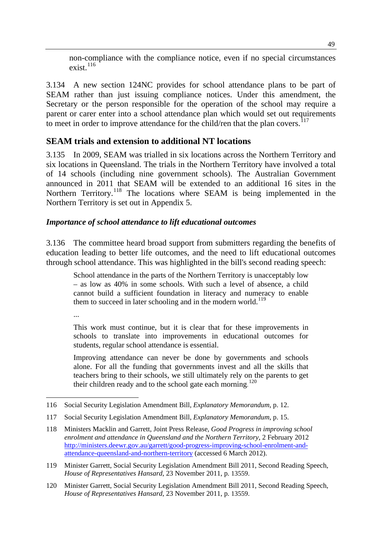non-compliance with the compliance notice, even if no special circumstances exist. $^{116}$ 

3.134 A new section 124NC provides for school attendance plans to be part of SEAM rather than just issuing compliance notices. Under this amendment, the Secretary or the person responsible for the operation of the school may require a parent or carer enter into a school attendance plan which would set out requirements to meet in order to improve attendance for the child/ren that the plan covers.<sup>[117](#page-58-0)</sup>

# **SEAM trials and extension to additional NT locations**

3.135 In 2009, SEAM was trialled in six locations across the Northern Territory and six locations in Queensland. The trials in the Northern Territory have involved a total of 14 schools (including nine government schools). The Australian Government announced in 2011 that SEAM will be extended to an additional 16 sites in the Northern Territory.<sup>[118](#page-58-1)</sup> The locations where SEAM is being implemented in the Northern Territory is set out in Appendix 5.

#### *Importance of school attendance to lift educational outcomes*

3.136 The committee heard broad support from submitters regarding the benefits of education leading to better life outcomes, and the need to lift educational outcomes through school attendance. This was highlighted in the bill's second reading speech:

School attendance in the parts of the Northern Territory is unacceptably low – as low as 40% in some schools. With such a level of absence, a child cannot build a sufficient foundation in literacy and numeracy to enable them to succeed in later schooling and in the modern world.<sup>[119](#page-58-2)</sup>

...

This work must continue, but it is clear that for these improvements in schools to translate into improvements in educational outcomes for students, regular school attendance is essential.

Improving attendance can never be done by governments and schools alone. For all the funding that governments invest and all the skills that teachers bring to their schools, we still ultimately rely on the parents to get their children ready and to the school gate each morning.<sup>[120](#page-58-3)</sup>

 116 Social Security Legislation Amendment Bill, *Explanatory Memorandum*, p. 12.

<span id="page-58-0"></span><sup>117</sup> Social Security Legislation Amendment Bill, *Explanatory Memorandum*, p. 15.

<span id="page-58-1"></span><sup>118</sup> Ministers Macklin and Garrett, Joint Press Release, *Good Progress in improving school enrolment and attendance in Queensland and the Northern Territory*, 2 February 2012 [http://ministers.deewr.gov.au/garrett/good-progress-improving-school-enrolment-and](http://ministers.deewr.gov.au/garrett/good-progress-improving-school-enrolment-and-attendance-queensland-and-northern-territory)[attendance-queensland-and-northern-territory](http://ministers.deewr.gov.au/garrett/good-progress-improving-school-enrolment-and-attendance-queensland-and-northern-territory) (accessed 6 March 2012).

<span id="page-58-2"></span><sup>119</sup> Minister Garrett, Social Security Legislation Amendment Bill 2011, Second Reading Speech, *House of Representatives Hansard*, 23 November 2011, p. 13559.

<span id="page-58-3"></span><sup>120</sup> Minister Garrett, Social Security Legislation Amendment Bill 2011, Second Reading Speech, *House of Representatives Hansard*, 23 November 2011, p. 13559.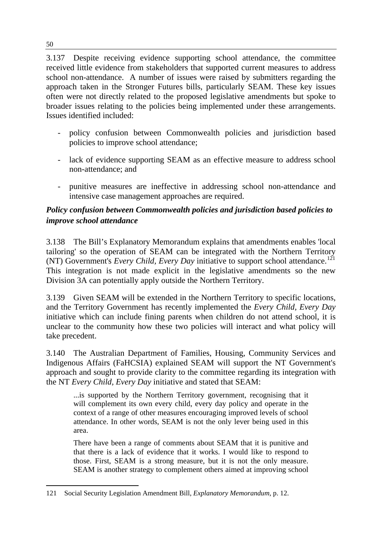3.137 Despite receiving evidence supporting school attendance, the committee received little evidence from stakeholders that supported current measures to address school non-attendance. A number of issues were raised by submitters regarding the approach taken in the Stronger Futures bills, particularly SEAM. These key issues often were not directly related to the proposed legislative amendments but spoke to broader issues relating to the policies being implemented under these arrangements. Issues identified included:

- policy confusion between Commonwealth policies and jurisdiction based policies to improve school attendance;
- lack of evidence supporting SEAM as an effective measure to address school non-attendance; and
- punitive measures are ineffective in addressing school non-attendance and intensive case management approaches are required.

# *Policy confusion between Commonwealth policies and jurisdiction based policies to improve school attendance*

3.138 The Bill's Explanatory Memorandum explains that amendments enables 'local tailoring' so the operation of SEAM can be integrated with the Northern Territory (NT) Government's *Every Child, Every Day* initiative to support school attendance.<sup>[121](#page-59-0)</sup> This integration is not made explicit in the legislative amendments so the new Division 3A can potentially apply outside the Northern Territory.

3.139 Given SEAM will be extended in the Northern Territory to specific locations, and the Territory Government has recently implemented the *Every Child, Every Day* initiative which can include fining parents when children do not attend school, it is unclear to the community how these two policies will interact and what policy will take precedent.

3.140 The Australian Department of Families, Housing, Community Services and Indigenous Affairs (FaHCSIA) explained SEAM will support the NT Government's approach and sought to provide clarity to the committee regarding its integration with the NT *Every Child, Every Day* initiative and stated that SEAM:

...is supported by the Northern Territory government, recognising that it will complement its own every child, every day policy and operate in the context of a range of other measures encouraging improved levels of school attendance. In other words, SEAM is not the only lever being used in this area.

There have been a range of comments about SEAM that it is punitive and that there is a lack of evidence that it works. I would like to respond to those. First, SEAM is a strong measure, but it is not the only measure. SEAM is another strategy to complement others aimed at improving school

<span id="page-59-0"></span> 121 Social Security Legislation Amendment Bill, *Explanatory Memorandum*, p. 12.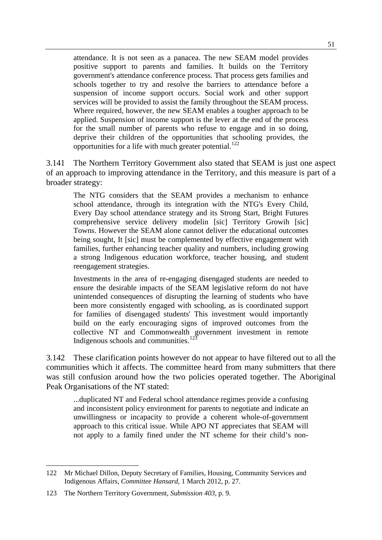attendance. It is not seen as a panacea. The new SEAM model provides positive support to parents and families. It builds on the Territory government's attendance conference process. That process gets families and schools together to try and resolve the barriers to attendance before a suspension of income support occurs. Social work and other support services will be provided to assist the family throughout the SEAM process. Where required, however, the new SEAM enables a tougher approach to be applied. Suspension of income support is the lever at the end of the process for the small number of parents who refuse to engage and in so doing, deprive their children of the opportunities that schooling provides, the opportunities for a life with much greater potential.<sup>[122](#page-60-0)</sup>

3.141 The Northern Territory Government also stated that SEAM is just one aspect of an approach to improving attendance in the Territory, and this measure is part of a broader strategy:

The NTG considers that the SEAM provides a mechanism to enhance school attendance, through its integration with the NTG's Every Child, Every Day school attendance strategy and its Strong Start, Bright Futures comprehensive service delivery modelin [sic] Territory Growih [sic] Towns. However the SEAM alone cannot deliver the educational outcomes being sought, It [sic] must be complemented by effective engagement with families, further enhancing teacher quality and numbers, including growing a strong Indigenous education workforce, teacher housing, and student reengagement strategies.

Investments in the area of re-engaging disengaged students are needed to ensure the desirable impacts of the SEAM legislative reform do not have unintended consequences of disrupting the learning of students who have been more consistently engaged with schooling, as is coordinated support for families of disengaged students' This investment would importantly build on the early encouraging signs of improved outcomes from the collective NT and Commonwealth government investment in remote Indigenous schools and communities.<sup>[123](#page-60-1)</sup>

3.142 These clarification points however do not appear to have filtered out to all the communities which it affects. The committee heard from many submitters that there was still confusion around how the two policies operated together. The Aboriginal Peak Organisations of the NT stated:

...duplicated NT and Federal school attendance regimes provide a confusing and inconsistent policy environment for parents to negotiate and indicate an unwillingness or incapacity to provide a coherent whole-of-government approach to this critical issue. While APO NT appreciates that SEAM will not apply to a family fined under the NT scheme for their child's non-

<span id="page-60-0"></span><sup>122</sup> Mr Michael Dillon, Deputy Secretary of Families, Housing, Community Services and Indigenous Affairs, *Committee Hansard*, 1 March 2012, p. 27.

<span id="page-60-1"></span><sup>123</sup> The Northern Territory Government, *Submission 403*, p. 9.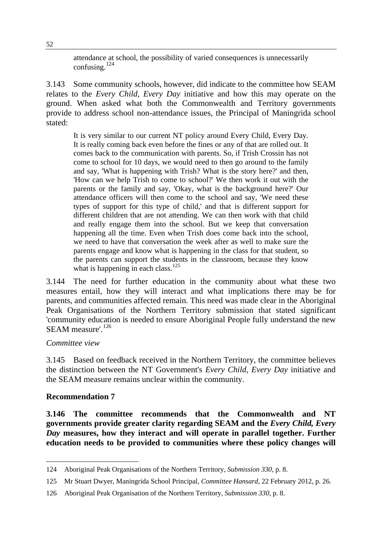attendance at school, the possibility of varied consequences is unnecessarily confusing. $124$ 

3.143 Some community schools, however, did indicate to the committee how SEAM relates to the *Every Child, Every Day* initiative and how this may operate on the ground. When asked what both the Commonwealth and Territory governments provide to address school non-attendance issues, the Principal of Maningrida school stated:

It is very similar to our current NT policy around Every Child, Every Day. It is really coming back even before the fines or any of that are rolled out. It comes back to the communication with parents. So, if Trish Crossin has not come to school for 10 days, we would need to then go around to the family and say, 'What is happening with Trish? What is the story here?' and then, 'How can we help Trish to come to school?' We then work it out with the parents or the family and say, 'Okay, what is the background here?' Our attendance officers will then come to the school and say, 'We need these types of support for this type of child,' and that is different support for different children that are not attending. We can then work with that child and really engage them into the school. But we keep that conversation happening all the time. Even when Trish does come back into the school, we need to have that conversation the week after as well to make sure the parents engage and know what is happening in the class for that student, so the parents can support the students in the classroom, because they know what is happening in each class.<sup>[125](#page-61-1)</sup>

3.144 The need for further education in the community about what these two measures entail, how they will interact and what implications there may be for parents, and communities affected remain. This need was made clear in the Aboriginal Peak Organisations of the Northern Territory submission that stated significant 'community education is needed to ensure Aboriginal People fully understand the new SEAM measure'.<sup>[126](#page-61-2)</sup>

#### *Committee view*

3.145 Based on feedback received in the Northern Territory, the committee believes the distinction between the NT Government's *Every Child, Every Day* initiative and the SEAM measure remains unclear within the community.

#### **Recommendation 7**

**3.146 The committee recommends that the Commonwealth and NT governments provide greater clarity regarding SEAM and the** *Every Child, Every Day* **measures, how they interact and will operate in parallel together. Further education needs to be provided to communities where these policy changes will** 

<span id="page-61-0"></span><sup>124</sup> Aboriginal Peak Organisations of the Northern Territory, *Submission 330*, p. 8.

<span id="page-61-1"></span><sup>125</sup> Mr Stuart Dwyer, Maningrida School Principal, *Committee Hansard*, 22 February 2012, p. 26.

<span id="page-61-2"></span><sup>126</sup> Aboriginal Peak Organisation of the Northern Territory, *Submission 330*, p. 8.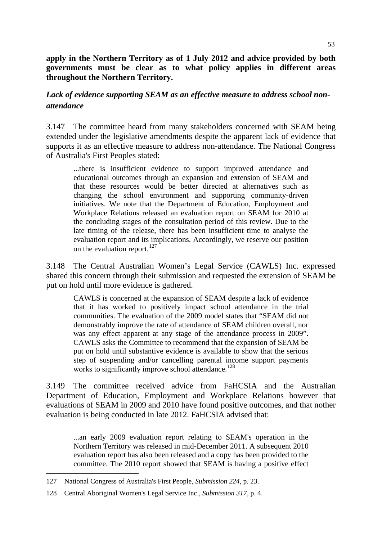**apply in the Northern Territory as of 1 July 2012 and advice provided by both governments must be clear as to what policy applies in different areas throughout the Northern Territory.** 

# *Lack of evidence supporting SEAM as an effective measure to address school nonattendance*

3.147 The committee heard from many stakeholders concerned with SEAM being extended under the legislative amendments despite the apparent lack of evidence that supports it as an effective measure to address non-attendance. The National Congress of Australia's First Peoples stated:

...there is insufficient evidence to support improved attendance and educational outcomes through an expansion and extension of SEAM and that these resources would be better directed at alternatives such as changing the school environment and supporting community-driven initiatives. We note that the Department of Education, Employment and Workplace Relations released an evaluation report on SEAM for 2010 at the concluding stages of the consultation period of this review. Due to the late timing of the release, there has been insufficient time to analyse the evaluation report and its implications. Accordingly, we reserve our position on the evaluation report.<sup>[127](#page-62-0)</sup>

3.148 The Central Australian Women's Legal Service (CAWLS) Inc. expressed shared this concern through their submission and requested the extension of SEAM be put on hold until more evidence is gathered.

CAWLS is concerned at the expansion of SEAM despite a lack of evidence that it has worked to positively impact school attendance in the trial communities. The evaluation of the 2009 model states that "SEAM did not demonstrably improve the rate of attendance of SEAM children overall, nor was any effect apparent at any stage of the attendance process in 2009". CAWLS asks the Committee to recommend that the expansion of SEAM be put on hold until substantive evidence is available to show that the serious step of suspending and/or cancelling parental income support payments works to significantly improve school attendance.<sup>[128](#page-62-1)</sup>

3.149 The committee received advice from FaHCSIA and the Australian Department of Education, Employment and Workplace Relations however that evaluations of SEAM in 2009 and 2010 have found positive outcomes, and that nother evaluation is being conducted in late 2012. FaHCSIA advised that:

...an early 2009 evaluation report relating to SEAM's operation in the Northern Territory was released in mid-December 2011. A subsequent 2010 evaluation report has also been released and a copy has been provided to the committee. The 2010 report showed that SEAM is having a positive effect

<span id="page-62-0"></span><sup>127</sup> National Congress of Australia's First People, *Submission 224*, p. 23.

<span id="page-62-1"></span><sup>128</sup> Central Aboriginal Women's Legal Service Inc., *Submission 317*, p. 4.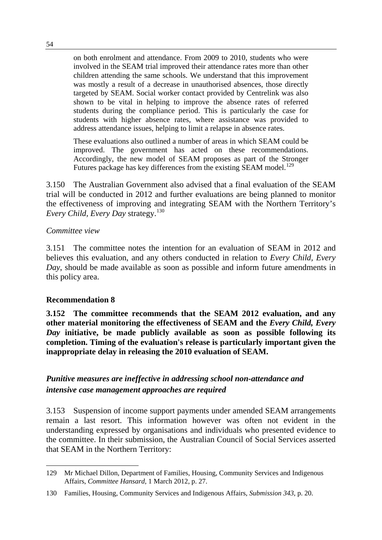on both enrolment and attendance. From 2009 to 2010, students who were involved in the SEAM trial improved their attendance rates more than other children attending the same schools. We understand that this improvement was mostly a result of a decrease in unauthorised absences, those directly targeted by SEAM. Social worker contact provided by Centrelink was also shown to be vital in helping to improve the absence rates of referred students during the compliance period. This is particularly the case for students with higher absence rates, where assistance was provided to address attendance issues, helping to limit a relapse in absence rates.

These evaluations also outlined a number of areas in which SEAM could be improved. The government has acted on these recommendations. Accordingly, the new model of SEAM proposes as part of the Stronger Futures package has key differences from the existing SEAM model.<sup>[129](#page-63-0)</sup>

3.150 The Australian Government also advised that a final evaluation of the SEAM trial will be conducted in 2012 and further evaluations are being planned to monitor the effectiveness of improving and integrating SEAM with the Northern Territory's *Every Child, Every Day strategy.*<sup>[130](#page-63-1)</sup>

#### *Committee view*

3.151 The committee notes the intention for an evaluation of SEAM in 2012 and believes this evaluation, and any others conducted in relation to *Every Child, Every Day*, should be made available as soon as possible and inform future amendments in this policy area.

#### **Recommendation 8**

**3.152 The committee recommends that the SEAM 2012 evaluation, and any other material monitoring the effectiveness of SEAM and the** *Every Child, Every Day* **initiative, be made publicly available as soon as possible following its completion. Timing of the evaluation's release is particularly important given the inappropriate delay in releasing the 2010 evaluation of SEAM.** 

# *Punitive measures are ineffective in addressing school non-attendance and intensive case management approaches are required*

3.153 Suspension of income support payments under amended SEAM arrangements remain a last resort. This information however was often not evident in the understanding expressed by organisations and individuals who presented evidence to the committee. In their submission, the Australian Council of Social Services asserted that SEAM in the Northern Territory:

<span id="page-63-0"></span> 129 Mr Michael Dillon, Department of Families, Housing, Community Services and Indigenous Affairs, *Committee Hansard*, 1 March 2012, p. 27.

<span id="page-63-1"></span><sup>130</sup> Families, Housing, Community Services and Indigenous Affairs, *Submission 343*, p. 20.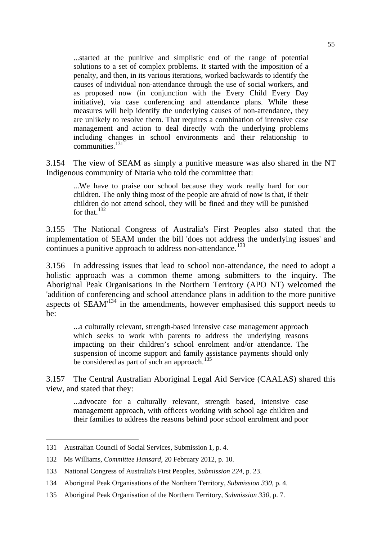...started at the punitive and simplistic end of the range of potential solutions to a set of complex problems. It started with the imposition of a penalty, and then, in its various iterations, worked backwards to identify the causes of individual non-attendance through the use of social workers, and as proposed now (in conjunction with the Every Child Every Day initiative), via case conferencing and attendance plans. While these measures will help identify the underlying causes of non-attendance, they are unlikely to resolve them. That requires a combination of intensive case management and action to deal directly with the underlying problems including changes in school environments and their relationship to communities<sup>[131](#page-64-0)</sup>

3.154 The view of SEAM as simply a punitive measure was also shared in the NT Indigenous community of Ntaria who told the committee that:

...We have to praise our school because they work really hard for our children. The only thing most of the people are afraid of now is that, if their children do not attend school, they will be fined and they will be punished for that. $132$ 

3.155 The National Congress of Australia's First Peoples also stated that the implementation of SEAM under the bill 'does not address the underlying issues' and continues a punitive approach to address non-attendance.<sup>[133](#page-64-2)</sup>

3.156 In addressing issues that lead to school non-attendance, the need to adopt a holistic approach was a common theme among submitters to the inquiry. The Aboriginal Peak Organisations in the Northern Territory (APO NT) welcomed the 'addition of conferencing and school attendance plans in addition to the more punitive aspects of SEAM'[134](#page-64-3) in the amendments, however emphasised this support needs to  $he:$ 

...a culturally relevant, strength-based intensive case management approach which seeks to work with parents to address the underlying reasons impacting on their children's school enrolment and/or attendance. The suspension of income support and family assistance payments should only be considered as part of such an approach.<sup>[135](#page-64-4)</sup>

3.157 The Central Australian Aboriginal Legal Aid Service (CAALAS) shared this view, and stated that they:

...advocate for a culturally relevant, strength based, intensive case management approach, with officers working with school age children and their families to address the reasons behind poor school enrolment and poor

<span id="page-64-0"></span><sup>131</sup> Australian Council of Social Services, Submission 1, p. 4.

<span id="page-64-1"></span><sup>132</sup> Ms Williams, *Committee Hansard*, 20 February 2012, p. 10.

<span id="page-64-2"></span><sup>133</sup> National Congress of Australia's First Peoples, *Submission 224*, p. 23.

<span id="page-64-3"></span><sup>134</sup> Aboriginal Peak Organisations of the Northern Territory, *Submission 330*, p. 4.

<span id="page-64-4"></span><sup>135</sup> Aboriginal Peak Organisation of the Northern Territory, *Submission 330*, p. 7.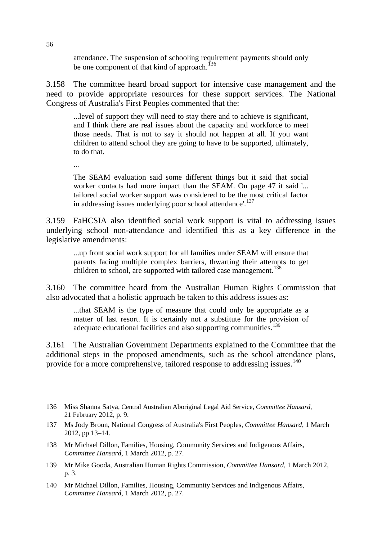attendance. The suspension of schooling requirement payments should only be one component of that kind of approach.<sup>[136](#page-65-0)</sup>

3.158 The committee heard broad support for intensive case management and the need to provide appropriate resources for these support services. The National Congress of Australia's First Peoples commented that the:

...level of support they will need to stay there and to achieve is significant, and I think there are real issues about the capacity and workforce to meet those needs. That is not to say it should not happen at all. If you want children to attend school they are going to have to be supported, ultimately, to do that.

...

The SEAM evaluation said some different things but it said that social worker contacts had more impact than the SEAM. On page 47 it said '... tailored social worker support was considered to be the most critical factor in addressing issues underlying poor school attendance'.<sup>[137](#page-65-1)</sup>

3.159 FaHCSIA also identified social work support is vital to addressing issues underlying school non-attendance and identified this as a key difference in the legislative amendments:

...up front social work support for all families under SEAM will ensure that parents facing multiple complex barriers, thwarting their attempts to get children to school, are supported with tailored case management.<sup>[138](#page-65-2)</sup>

3.160 The committee heard from the Australian Human Rights Commission that also advocated that a holistic approach be taken to this address issues as:

...that SEAM is the type of measure that could only be appropriate as a matter of last resort. It is certainly not a substitute for the provision of adequate educational facilities and also supporting communities.<sup>[139](#page-65-3)</sup>

3.161 The Australian Government Departments explained to the Committee that the additional steps in the proposed amendments, such as the school attendance plans, provide for a more comprehensive, tailored response to addressing issues.<sup>[140](#page-65-4)</sup>

<span id="page-65-0"></span><sup>136</sup> Miss Shanna Satya, Central Australian Aboriginal Legal Aid Service, *Committee Hansard*, 21 February 2012, p. 9.

<span id="page-65-1"></span><sup>137</sup> Ms Jody Broun, National Congress of Australia's First Peoples, *Committee Hansard*, 1 March 2012, pp 13–14.

<span id="page-65-2"></span><sup>138</sup> Mr Michael Dillon, Families, Housing, Community Services and Indigenous Affairs, *Committee Hansard*, 1 March 2012, p. 27.

<span id="page-65-3"></span><sup>139</sup> Mr Mike Gooda, Australian Human Rights Commission, *Committee Hansard*, 1 March 2012, p. 3.

<span id="page-65-4"></span><sup>140</sup> Mr Michael Dillon, Families, Housing, Community Services and Indigenous Affairs, *Committee Hansard*, 1 March 2012, p. 27.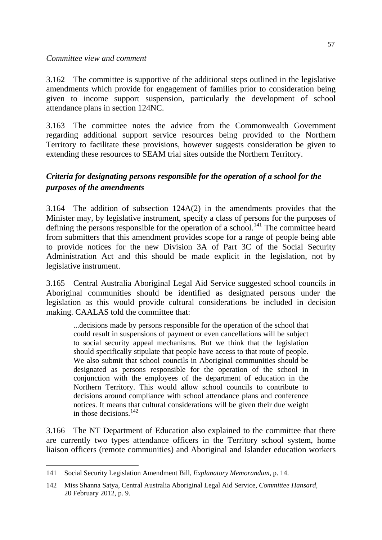#### *Committee view and comment*

3.162 The committee is supportive of the additional steps outlined in the legislative amendments which provide for engagement of families prior to consideration being given to income support suspension, particularly the development of school attendance plans in section 124NC.

3.163 The committee notes the advice from the Commonwealth Government regarding additional support service resources being provided to the Northern Territory to facilitate these provisions, however suggests consideration be given to extending these resources to SEAM trial sites outside the Northern Territory.

# *Criteria for designating persons responsible for the operation of a school for the purposes of the amendments*

3.164 The addition of subsection 124A(2) in the amendments provides that the Minister may, by legislative instrument, specify a class of persons for the purposes of defining the persons responsible for the operation of a school.<sup>[141](#page-66-0)</sup> The committee heard from submitters that this amendment provides scope for a range of people being able to provide notices for the new Division 3A of Part 3C of the Social Security Administration Act and this should be made explicit in the legislation, not by legislative instrument.

3.165 Central Australia Aboriginal Legal Aid Service suggested school councils in Aboriginal communities should be identified as designated persons under the legislation as this would provide cultural considerations be included in decision making. CAALAS told the committee that:

...decisions made by persons responsible for the operation of the school that could result in suspensions of payment or even cancellations will be subject to social security appeal mechanisms. But we think that the legislation should specifically stipulate that people have access to that route of people. We also submit that school councils in Aboriginal communities should be designated as persons responsible for the operation of the school in conjunction with the employees of the department of education in the Northern Territory. This would allow school councils to contribute to decisions around compliance with school attendance plans and conference notices. It means that cultural considerations will be given their due weight in those decisions.  $142$ 

3.166 The NT Department of Education also explained to the committee that there are currently two types attendance officers in the Territory school system, home liaison officers (remote communities) and Aboriginal and Islander education workers

<span id="page-66-0"></span><sup>141</sup> Social Security Legislation Amendment Bill, *Explanatory Memorandum*, p. 14.

<span id="page-66-1"></span><sup>142</sup> Miss Shanna Satya, Central Australia Aboriginal Legal Aid Service, *Committee Hansard*, 20 February 2012, p. 9.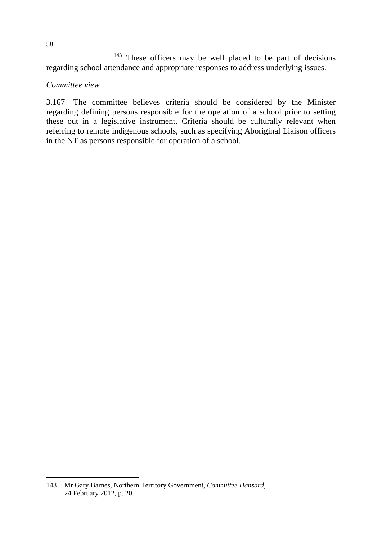<sup>143</sup> These officers may be well placed to be part of decisions regarding school attendance and appropriate responses to address underlying issues.

#### *Committee view*

3.167 The committee believes criteria should be considered by the Minister regarding defining persons responsible for the operation of a school prior to setting these out in a legislative instrument. Criteria should be culturally relevant when referring to remote indigenous schools, such as specifying Aboriginal Liaison officers in the NT as persons responsible for operation of a school.

 143 Mr Gary Barnes, Northern Territory Government, *Committee Hansard*, 24 February 2012, p. 20.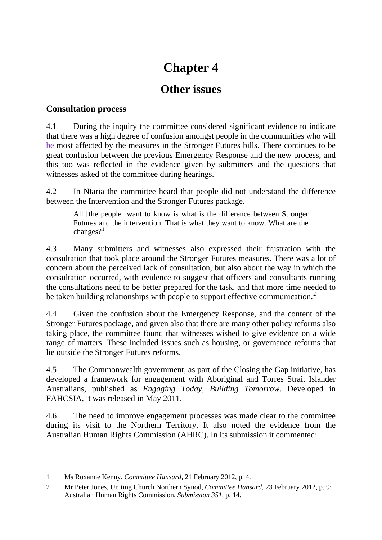# **Chapter 4**

# **Other issues**

# **Consultation process**

4.1 During the inquiry the committee considered significant evidence to indicate that there was a high degree of confusion amongst people in the communities who will be most affected by the measures in the Stronger Futures bills. There continues to be great confusion between the previous Emergency Response and the new process, and this too was reflected in the evidence given by submitters and the questions that witnesses asked of the committee during hearings.

4.2 In Ntaria the committee heard that people did not understand the difference between the Intervention and the Stronger Futures package.

All [the people] want to know is what is the difference between Stronger Futures and the intervention. That is what they want to know. What are the changes? $1$ 

4.3 Many submitters and witnesses also expressed their frustration with the consultation that took place around the Stronger Futures measures. There was a lot of concern about the perceived lack of consultation, but also about the way in which the consultation occurred, with evidence to suggest that officers and consultants running the consultations need to be better prepared for the task, and that more time needed to be taken building relationships with people to support effective communication.<sup>[2](#page-68-1)</sup>

4.4 Given the confusion about the Emergency Response, and the content of the Stronger Futures package, and given also that there are many other policy reforms also taking place, the committee found that witnesses wished to give evidence on a wide range of matters. These included issues such as housing, or governance reforms that lie outside the Stronger Futures reforms.

4.5 The Commonwealth government, as part of the Closing the Gap initiative, has developed a framework for engagement with Aboriginal and Torres Strait Islander Australians, published as *Engaging Today, Building Tomorrow*. Developed in FAHCSIA, it was released in May 2011.

4.6 The need to improve engagement processes was made clear to the committee during its visit to the Northern Territory. It also noted the evidence from the Australian Human Rights Commission (AHRC). In its submission it commented:

 $\overline{a}$ 

<span id="page-68-0"></span><sup>1</sup> Ms Roxanne Kenny, *Committee Hansard,* 21 February 2012, p. 4.

<span id="page-68-1"></span><sup>2</sup> Mr Peter Jones, Uniting Church Northern Synod, *Committee Hansard,* 23 February 2012, p. 9; Australian Human Rights Commission, *Submission 351,* p. 14.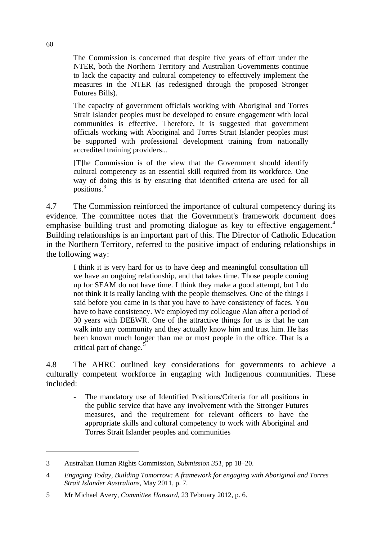The Commission is concerned that despite five years of effort under the NTER, both the Northern Territory and Australian Governments continue to lack the capacity and cultural competency to effectively implement the measures in the NTER (as redesigned through the proposed Stronger Futures Bills).

The capacity of government officials working with Aboriginal and Torres Strait Islander peoples must be developed to ensure engagement with local communities is effective. Therefore, it is suggested that government officials working with Aboriginal and Torres Strait Islander peoples must be supported with professional development training from nationally accredited training providers...

[T]he Commission is of the view that the Government should identify cultural competency as an essential skill required from its workforce. One way of doing this is by ensuring that identified criteria are used for all positions.[3](#page-69-0)

4.7 The Commission reinforced the importance of cultural competency during its evidence. The committee notes that the Government's framework document does emphasise building trust and promoting dialogue as key to effective engagement.<sup>[4](#page-69-1)</sup> Building relationships is an important part of this. The Director of Catholic Education in the Northern Territory, referred to the positive impact of enduring relationships in the following way:

I think it is very hard for us to have deep and meaningful consultation till we have an ongoing relationship, and that takes time. Those people coming up for SEAM do not have time. I think they make a good attempt, but I do not think it is really landing with the people themselves. One of the things I said before you came in is that you have to have consistency of faces. You have to have consistency. We employed my colleague Alan after a period of 30 years with DEEWR. One of the attractive things for us is that he can walk into any community and they actually know him and trust him. He has been known much longer than me or most people in the office. That is a critical part of change. $5$ 

4.8 The AHRC outlined key considerations for governments to achieve a culturally competent workforce in engaging with Indigenous communities. These included:

The mandatory use of Identified Positions/Criteria for all positions in the public service that have any involvement with the Stronger Futures measures, and the requirement for relevant officers to have the appropriate skills and cultural competency to work with Aboriginal and Torres Strait Islander peoples and communities

 $\overline{a}$ 

<span id="page-69-0"></span><sup>3</sup> Australian Human Rights Commission, *Submission 351*, pp 18–20.

<span id="page-69-1"></span><sup>4</sup> *Engaging Today, Building Tomorrow: A framework for engaging with Aboriginal and Torres Strait Islander Australians*, May 2011, p. 7.

<span id="page-69-2"></span><sup>5</sup> Mr Michael Avery, *Committee Hansard,* 23 February 2012, p. 6.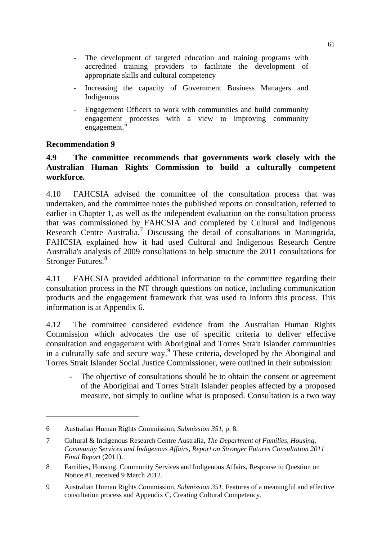- The development of targeted education and training programs with accredited training providers to facilitate the development of appropriate skills and cultural competency
- Increasing the capacity of Government Business Managers and Indigenous
- Engagement Officers to work with communities and build community engagement processes with a view to improving community engagement.<sup>[6](#page-70-0)</sup>

#### **Recommendation 9**

 $\overline{a}$ 

#### **4.9 The committee recommends that governments work closely with the Australian Human Rights Commission to build a culturally competent workforce.**

4.10 FAHCSIA advised the committee of the consultation process that was undertaken, and the committee notes the published reports on consultation, referred to earlier in Chapter 1, as well as the independent evaluation on the consultation process that was commissioned by FAHCSIA and completed by Cultural and Indigenous Research Centre Australia.<sup>[7](#page-70-1)</sup> Discussing the detail of consultations in Maningrida, FAHCSIA explained how it had used Cultural and Indigenous Research Centre Australia's analysis of 2009 consultations to help structure the 2011 consultations for Stronger Futures.<sup>[8](#page-70-2)</sup>

4.11 FAHCSIA provided additional information to the committee regarding their consultation process in the NT through questions on notice, including communication products and the engagement framework that was used to inform this process. This information is at Appendix 6.

4.12 The committee considered evidence from the Australian Human Rights Commission which advocates the use of specific criteria to deliver effective consultation and engagement with Aboriginal and Torres Strait Islander communities in a culturally safe and secure way.<sup>[9](#page-70-3)</sup> These criteria, developed by the Aboriginal and Torres Strait Islander Social Justice Commissioner, were outlined in their submission:

The objective of consultations should be to obtain the consent or agreement of the Aboriginal and Torres Strait Islander peoples affected by a proposed measure, not simply to outline what is proposed. Consultation is a two way

<span id="page-70-0"></span><sup>6</sup> Australian Human Rights Commission, *Submission 351*, p. 8.

<span id="page-70-1"></span><sup>7</sup> Cultural & Indigenous Research Centre Australia, *The Department of Families, Housing, Community Services and Indigenous Affairs, Report on Stronger Futures Consultation 2011 Final Report* (2011).

<span id="page-70-2"></span><sup>8</sup> Families, Housing, Community Services and Indigenous Affairs, Response to Question on Notice #1, received 9 March 2012.

<span id="page-70-3"></span><sup>9</sup> Australian Human Rights Commission, *Submission 351,* Features of a meaningful and effective consultation process and Appendix C, Creating Cultural Competency.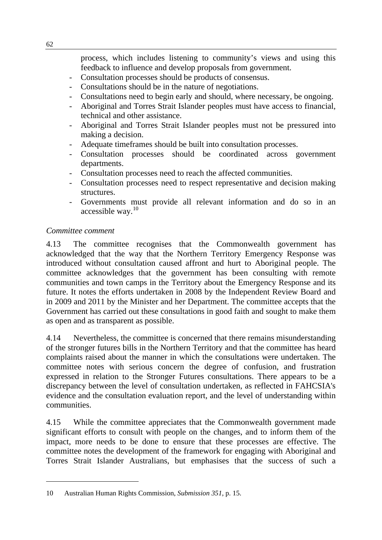process, which includes listening to community's views and using this feedback to influence and develop proposals from government.

- Consultation processes should be products of consensus.
- Consultations should be in the nature of negotiations.
- Consultations need to begin early and should, where necessary, be ongoing.
- Aboriginal and Torres Strait Islander peoples must have access to financial, technical and other assistance.
- Aboriginal and Torres Strait Islander peoples must not be pressured into making a decision.
- Adequate timeframes should be built into consultation processes.
- Consultation processes should be coordinated across government departments.
- Consultation processes need to reach the affected communities.
- Consultation processes need to respect representative and decision making structures.
- Governments must provide all relevant information and do so in an accessible way.[10](#page-71-0)

# *Committee comment*

 $\overline{a}$ 

4.13 The committee recognises that the Commonwealth government has acknowledged that the way that the Northern Territory Emergency Response was introduced without consultation caused affront and hurt to Aboriginal people. The committee acknowledges that the government has been consulting with remote communities and town camps in the Territory about the Emergency Response and its future. It notes the efforts undertaken in 2008 by the Independent Review Board and in 2009 and 2011 by the Minister and her Department. The committee accepts that the Government has carried out these consultations in good faith and sought to make them as open and as transparent as possible.

4.14 Nevertheless, the committee is concerned that there remains misunderstanding of the stronger futures bills in the Northern Territory and that the committee has heard complaints raised about the manner in which the consultations were undertaken. The committee notes with serious concern the degree of confusion, and frustration expressed in relation to the Stronger Futures consultations. There appears to be a discrepancy between the level of consultation undertaken, as reflected in FAHCSIA's evidence and the consultation evaluation report, and the level of understanding within communities.

4.15 While the committee appreciates that the Commonwealth government made significant efforts to consult with people on the changes, and to inform them of the impact, more needs to be done to ensure that these processes are effective. The committee notes the development of the framework for engaging with Aboriginal and Torres Strait Islander Australians, but emphasises that the success of such a

<span id="page-71-0"></span><sup>10</sup> Australian Human Rights Commission, *Submission 351*, p. 15.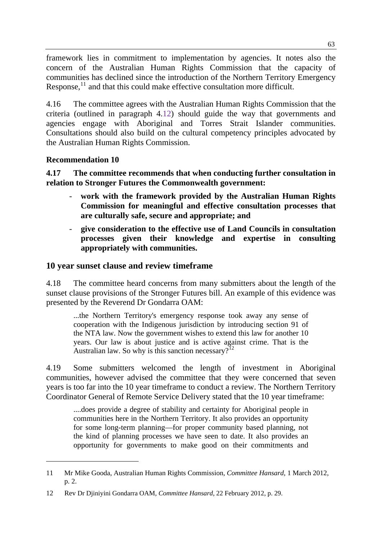framework lies in commitment to implementation by agencies. It notes also the concern of the Australian Human Rights Commission that the capacity of communities has declined since the introduction of the Northern Territory Emergency Response,<sup>11</sup> and that this could make effective consultation more difficult.

4.16 The committee agrees with the Australian Human Rights Commission that the criteria (outlined in paragraph 4.12) should guide the way that governments and agencies engage with Aboriginal and Torres Strait Islander communities. Consultations should also build on the cultural competency principles advocated by the Australian Human Rights Commission.

## **Recommendation 10**

 $\overline{a}$ 

**4.17 The committee recommends that when conducting further consultation in relation to Stronger Futures the Commonwealth government:** 

- work with the framework provided by the Australian Human Rights **Commission for meaningful and effective consultation processes that are culturally safe, secure and appropriate; and**
- **give consideration to the effective use of Land Councils in consultation processes given their knowledge and expertise in consulting appropriately with communities.**

# **10 year sunset clause and review timeframe**

4.18 The committee heard concerns from many submitters about the length of the sunset clause provisions of the Stronger Futures bill. An example of this evidence was presented by the Reverend Dr Gondarra OAM:

...the Northern Territory's emergency response took away any sense of cooperation with the Indigenous jurisdiction by introducing section 91 of the NTA law. Now the government wishes to extend this law for another 10 years. Our law is about justice and is active against crime. That is the Australian law. So why is this sanction necessary?<sup>[12](#page-72-0)</sup>

4.19 Some submitters welcomed the length of investment in Aboriginal communities, however advised the committee that they were concerned that seven years is too far into the 10 year timeframe to conduct a review. The Northern Territory Coordinator General of Remote Service Delivery stated that the 10 year timeframe:

....does provide a degree of stability and certainty for Aboriginal people in communities here in the Northern Territory. It also provides an opportunity for some long-term planning—for proper community based planning, not the kind of planning processes we have seen to date. It also provides an opportunity for governments to make good on their commitments and

<sup>11</sup> Mr Mike Gooda, Australian Human Rights Commission, *Committee Hansard*, 1 March 2012, p. 2.

<span id="page-72-0"></span><sup>12</sup> Rev Dr Djiniyini Gondarra OAM, *Committee Hansard*, 22 February 2012, p. 29.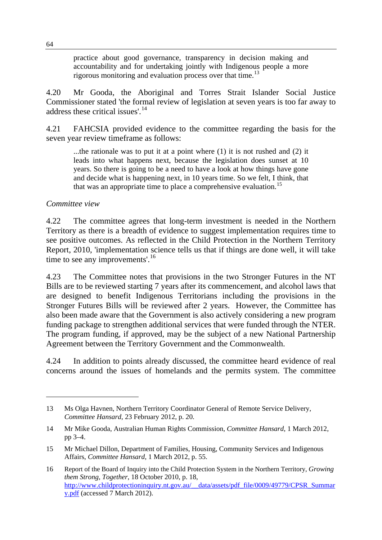practice about good governance, transparency in decision making and accountability and for undertaking jointly with Indigenous people a more rigorous monitoring and evaluation process over that time.<sup>[13](#page-73-0)</sup>

4.20 Mr Gooda, the Aboriginal and Torres Strait Islander Social Justice Commissioner stated 'the formal review of legislation at seven years is too far away to address these critical issues'.<sup>[14](#page-73-1)</sup>

4.21 FAHCSIA provided evidence to the committee regarding the basis for the seven year review timeframe as follows:

...the rationale was to put it at a point where (1) it is not rushed and (2) it leads into what happens next, because the legislation does sunset at 10 years. So there is going to be a need to have a look at how things have gone and decide what is happening next, in 10 years time. So we felt, I think, that that was an appropriate time to place a comprehensive evaluation.<sup>[15](#page-73-2)</sup>

#### *Committee view*

 $\overline{a}$ 

4.22 The committee agrees that long-term investment is needed in the Northern Territory as there is a breadth of evidence to suggest implementation requires time to see positive outcomes. As reflected in the Child Protection in the Northern Territory Report, 2010, 'implementation science tells us that if things are done well, it will take time to see any improvements'.<sup>[16](#page-73-3)</sup>

4.23 The Committee notes that provisions in the two Stronger Futures in the NT Bills are to be reviewed starting 7 years after its commencement, and alcohol laws that are designed to benefit Indigenous Territorians including the provisions in the Stronger Futures Bills will be reviewed after 2 years. However, the Committee has also been made aware that the Government is also actively considering a new program funding package to strengthen additional services that were funded through the NTER. The program funding, if approved, may be the subject of a new National Partnership Agreement between the Territory Government and the Commonwealth.

4.24 In addition to points already discussed, the committee heard evidence of real concerns around the issues of homelands and the permits system. The committee

<span id="page-73-0"></span><sup>13</sup> Ms Olga Havnen, Northern Territory Coordinator General of Remote Service Delivery, *Committee Hansard*, 23 February 2012, p. 20.

<span id="page-73-1"></span><sup>14</sup> Mr Mike Gooda, Australian Human Rights Commission, *Committee Hansard*, 1 March 2012, pp 3–4.

<span id="page-73-2"></span><sup>15</sup> Mr Michael Dillon, Department of Families, Housing, Community Services and Indigenous Affairs, *Committee Hansard*, 1 March 2012, p. 55.

<span id="page-73-3"></span><sup>16</sup> Report of the Board of Inquiry into the Child Protection System in the Northern Territory, *Growing them Strong, Together*, 18 October 2010, p. 18, [http://www.childprotectioninquiry.nt.gov.au/\\_\\_data/assets/pdf\\_file/0009/49779/CPSR\\_Summar](http://www.childprotectioninquiry.nt.gov.au/__data/assets/pdf_file/0009/49779/CPSR_Summary.pdf) [y.pdf](http://www.childprotectioninquiry.nt.gov.au/__data/assets/pdf_file/0009/49779/CPSR_Summary.pdf) (accessed 7 March 2012).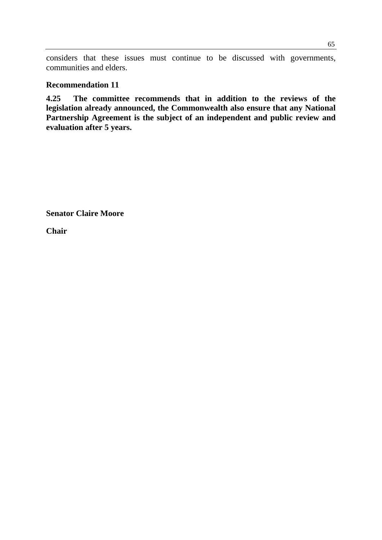considers that these issues must continue to be discussed with governments, communities and elders.

#### **Recommendation 11**

**4.25 The committee recommends that in addition to the reviews of the legislation already announced, the Commonwealth also ensure that any National Partnership Agreement is the subject of an independent and public review and evaluation after 5 years.** 

**Senator Claire Moore** 

**Chair**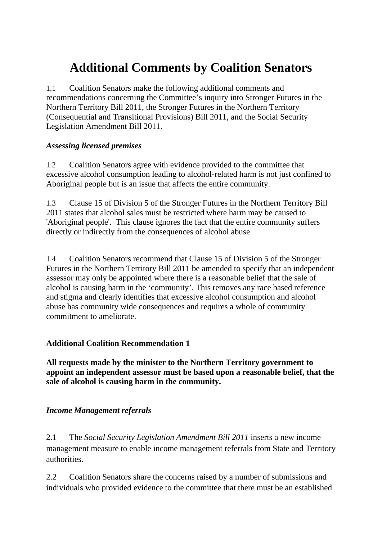# **Additional Comments by Coalition Senators**

1.1 Coalition Senators make the following additional comments and recommendations concerning the Committee's inquiry into Stronger Futures in the Northern Territory Bill 2011, the Stronger Futures in the Northern Territory (Consequential and Transitional Provisions) Bill 2011, and the Social Security Legislation Amendment Bill 2011.

# *Assessing licensed premises*

1.2 Coalition Senators agree with evidence provided to the committee that excessive alcohol consumption leading to alcohol-related harm is not just confined to Aboriginal people but is an issue that affects the entire community.

1.3 Clause 15 of Division 5 of the Stronger Futures in the Northern Territory Bill 2011 states that alcohol sales must be restricted where harm may be caused to 'Aboriginal people'. This clause ignores the fact that the entire community suffers directly or indirectly from the consequences of alcohol abuse.

1.4 Coalition Senators recommend that Clause 15 of Division 5 of the Stronger Futures in the Northern Territory Bill 2011 be amended to specify that an independent assessor may only be appointed where there is a reasonable belief that the sale of alcohol is causing harm in the 'community'. This removes any race based reference and stigma and clearly identifies that excessive alcohol consumption and alcohol abuse has community wide consequences and requires a whole of community commitment to ameliorate.

# **Additional Coalition Recommendation 1**

**All requests made by the minister to the Northern Territory government to appoint an independent assessor must be based upon a reasonable belief, that the sale of alcohol is causing harm in the community.** 

## *Income Management referrals*

2.1 The *Social Security Legislation Amendment Bill 2011* inserts a new income management measure to enable income management referrals from State and Territory authorities.

2.2 Coalition Senators share the concerns raised by a number of submissions and individuals who provided evidence to the committee that there must be an established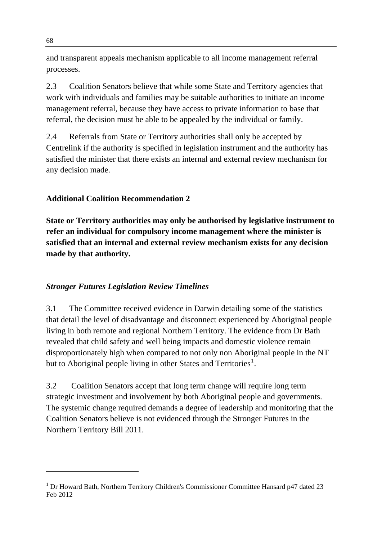and transparent appeals mechanism applicable to all income management referral processes.

2.3 Coalition Senators believe that while some State and Territory agencies that work with individuals and families may be suitable authorities to initiate an income management referral, because they have access to private information to base that referral, the decision must be able to be appealed by the individual or family.

2.4 Referrals from State or Territory authorities shall only be accepted by Centrelink if the authority is specified in legislation instrument and the authority has satisfied the minister that there exists an internal and external review mechanism for any decision made.

# **Additional Coalition Recommendation 2**

**State or Territory authorities may only be authorised by legislative instrument to refer an individual for compulsory income management where the minister is satisfied that an internal and external review mechanism exists for any decision made by that authority.** 

## *Stronger Futures Legislation Review Timelines*

3.1 The Committee received evidence in Darwin detailing some of the statistics that detail the level of disadvantage and disconnect experienced by Aboriginal people living in both remote and regional Northern Territory. The evidence from Dr Bath revealed that child safety and well being impacts and domestic violence remain disproportionately high when compared to not only non Aboriginal people in the NT but to Aboriginal people living in other States and Territories<sup>[1](#page-77-0)</sup>.

3.2 Coalition Senators accept that long term change will require long term strategic investment and involvement by both Aboriginal people and governments. The systemic change required demands a degree of leadership and monitoring that the Coalition Senators believe is not evidenced through the Stronger Futures in the Northern Territory Bill 2011.

<span id="page-77-0"></span><sup>&</sup>lt;sup>1</sup> Dr Howard Bath, Northern Territory Children's Commissioner Committee Hansard p47 dated 23 Feb 2012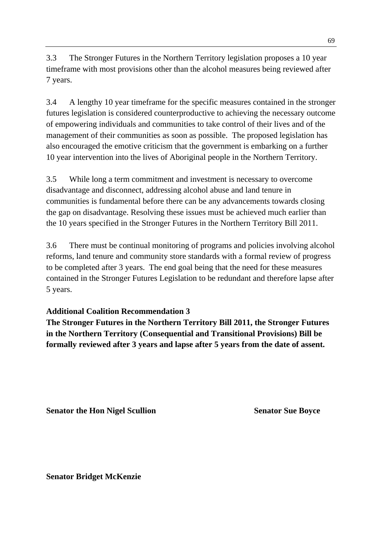3.3 The Stronger Futures in the Northern Territory legislation proposes a 10 year timeframe with most provisions other than the alcohol measures being reviewed after 7 years.

3.4 A lengthy 10 year timeframe for the specific measures contained in the stronger futures legislation is considered counterproductive to achieving the necessary outcome of empowering individuals and communities to take control of their lives and of the management of their communities as soon as possible. The proposed legislation has also encouraged the emotive criticism that the government is embarking on a further 10 year intervention into the lives of Aboriginal people in the Northern Territory.

3.5 While long a term commitment and investment is necessary to overcome disadvantage and disconnect, addressing alcohol abuse and land tenure in communities is fundamental before there can be any advancements towards closing the gap on disadvantage. Resolving these issues must be achieved much earlier than the 10 years specified in the Stronger Futures in the Northern Territory Bill 2011.

3.6 There must be continual monitoring of programs and policies involving alcohol reforms, land tenure and community store standards with a formal review of progress to be completed after 3 years. The end goal being that the need for these measures contained in the Stronger Futures Legislation to be redundant and therefore lapse after 5 years.

## **Additional Coalition Recommendation 3**

**The Stronger Futures in the Northern Territory Bill 2011, the Stronger Futures in the Northern Territory (Consequential and Transitional Provisions) Bill be formally reviewed after 3 years and lapse after 5 years from the date of assent.** 

**Senator the Hon Nigel Scullion Senator Sue Boyce Senator Sue Boyce** 

**Senator Bridget McKenzie**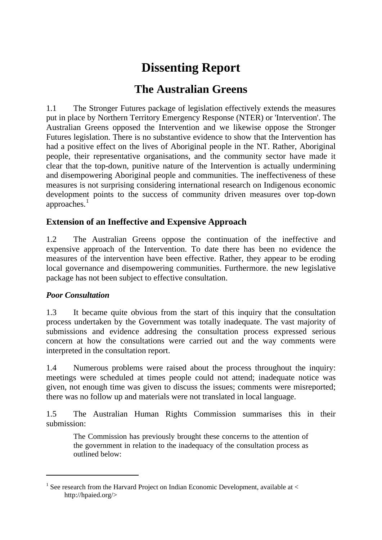# **Dissenting Report**

# **The Australian Greens**

1.1 The Stronger Futures package of legislation effectively extends the measures put in place by Northern Territory Emergency Response (NTER) or 'Intervention'. The Australian Greens opposed the Intervention and we likewise oppose the Stronger Futures legislation. There is no substantive evidence to show that the Intervention has had a positive effect on the lives of Aboriginal people in the NT. Rather, Aboriginal people, their representative organisations, and the community sector have made it clear that the top-down, punitive nature of the Intervention is actually undermining and disempowering Aboriginal people and communities. The ineffectiveness of these measures is not surprising considering international research on Indigenous economic development points to the success of community driven measures over top-down approaches. $<sup>1</sup>$  $<sup>1</sup>$  $<sup>1</sup>$ </sup>

# **Extension of an Ineffective and Expensive Approach**

1.2 The Australian Greens oppose the continuation of the ineffective and expensive approach of the Intervention. To date there has been no evidence the measures of the intervention have been effective. Rather, they appear to be eroding local governance and disempowering communities. Furthermore. the new legislative package has not been subject to effective consultation.

# *Poor Consultation*

 $\overline{a}$ 

1.3 It became quite obvious from the start of this inquiry that the consultation process undertaken by the Government was totally inadequate. The vast majority of submissions and evidence addresing the consultation process expressed serious concern at how the consultations were carried out and the way comments were interpreted in the consultation report.

1.4 Numerous problems were raised about the process throughout the inquiry: meetings were scheduled at times people could not attend; inadequate notice was given, not enough time was given to discuss the issues; comments were misreported; there was no follow up and materials were not translated in local language.

1.5 The Australian Human Rights Commission summarises this in their submission:

The Commission has previously brought these concerns to the attention of the government in relation to the inadequacy of the consultation process as outlined below:

<span id="page-80-0"></span><sup>&</sup>lt;sup>1</sup> See research from the Harvard Project on Indian Economic Development, available at  $\lt$ http://hpaied.org/>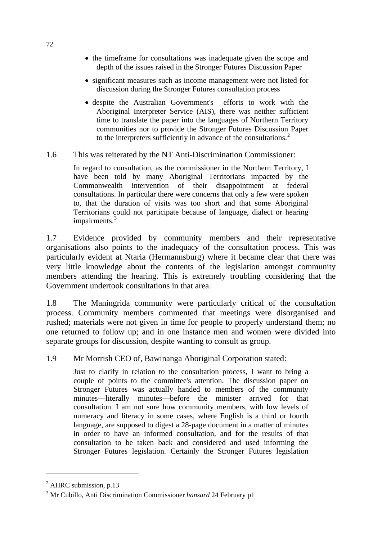- the timeframe for consultations was inadequate given the scope and depth of the issues raised in the Stronger Futures Discussion Paper
- significant measures such as income management were not listed for discussion during the Stronger Futures consultation process
- despite the Australian Government's efforts to work with the Aboriginal Interpreter Service (AIS), there was neither sufficient time to translate the paper into the languages of Northern Territory communities nor to provide the Stronger Futures Discussion Paper to the interpreters sufficiently in advance of the consultations. $<sup>2</sup>$  $<sup>2</sup>$  $<sup>2</sup>$ </sup>
- 1.6 This was reiterated by the NT Anti-Discrimination Commissioner:

In regard to consultation, as the commissioner in the Northern Territory, I have been told by many Aboriginal Territorians impacted by the Commonwealth intervention of their disappointment at federal consultations. In particular there were concerns that only a few were spoken to, that the duration of visits was too short and that some Aboriginal Territorians could not participate because of language, dialect or hearing impairments.<sup>[3](#page-81-1)</sup>

1.7 Evidence provided by community members and their representative organisations also points to the inadequacy of the consultation process. This was particularly evident at Ntaria (Hermannsburg) where it became clear that there was very little knowledge about the contents of the legislation amongst community members attending the hearing. This is extremely troubling considering that the Government undertook consultations in that area.

1.8 The Maningrida community were particularly critical of the consultation process. Community members commented that meetings were disorganised and rushed; materials were not given in time for people to properly understand them; no one returned to follow up; and in one instance men and women were divided into separate groups for discussion, despite wanting to consult as group.

#### 1.9 Mr Morrish CEO of, Bawinanga Aboriginal Corporation stated:

Just to clarify in relation to the consultation process, I want to bring a couple of points to the committee's attention. The discussion paper on Stronger Futures was actually handed to members of the community minutes—literally minutes—before the minister arrived for that consultation. I am not sure how community members, with low levels of numeracy and literacy in some cases, where English is a third or fourth language, are supposed to digest a 28-page document in a matter of minutes in order to have an informed consultation, and for the results of that consultation to be taken back and considered and used informing the Stronger Futures legislation. Certainly the Stronger Futures legislation

<span id="page-81-0"></span> $<sup>2</sup>$  AHRC submission, p.13</sup>

<span id="page-81-1"></span><sup>3</sup> Mr Cubillo, Anti Discrimination Commissioner *hansard* 24 February p1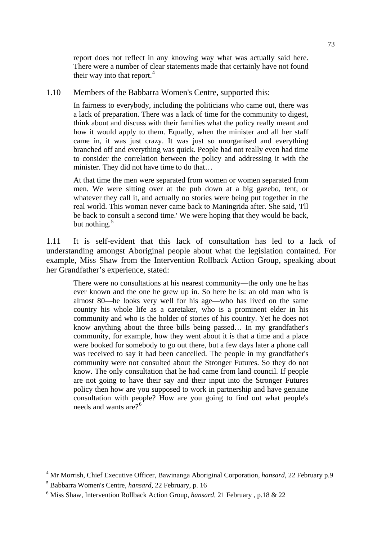report does not reflect in any knowing way what was actually said here. There were a number of clear statements made that certainly have not found their way into that report. $4$ 

1.10 Members of the Babbarra Women's Centre, supported this:

In fairness to everybody, including the politicians who came out, there was a lack of preparation. There was a lack of time for the community to digest, think about and discuss with their families what the policy really meant and how it would apply to them. Equally, when the minister and all her staff came in, it was just crazy. It was just so unorganised and everything branched off and everything was quick. People had not really even had time to consider the correlation between the policy and addressing it with the minister. They did not have time to do that…

At that time the men were separated from women or women separated from men. We were sitting over at the pub down at a big gazebo, tent, or whatever they call it, and actually no stories were being put together in the real world. This woman never came back to Maningrida after. She said, 'I'll be back to consult a second time.' We were hoping that they would be back, but nothing. $5$ 

1.11 It is self-evident that this lack of consultation has led to a lack of understanding amongst Aboriginal people about what the legislation contained. For example, Miss Shaw from the Intervention Rollback Action Group, speaking about her Grandfather's experience, stated:

There were no consultations at his nearest community—the only one he has ever known and the one he grew up in. So here he is: an old man who is almost 80—he looks very well for his age—who has lived on the same country his whole life as a caretaker, who is a prominent elder in his community and who is the holder of stories of his country. Yet he does not know anything about the three bills being passed… In my grandfather's community, for example, how they went about it is that a time and a place were booked for somebody to go out there, but a few days later a phone call was received to say it had been cancelled. The people in my grandfather's community were not consulted about the Stronger Futures. So they do not know. The only consultation that he had came from land council. If people are not going to have their say and their input into the Stronger Futures policy then how are you supposed to work in partnership and have genuine consultation with people? How are you going to find out what people's needs and wants are?<sup>[6](#page-82-2)</sup>

<span id="page-82-0"></span><sup>4</sup> Mr Morrish, Chief Executive Officer, Bawinanga Aboriginal Corporation, *hansard,* 22 February p.9

<span id="page-82-1"></span><sup>5</sup> Babbarra Women's Centre, *hansard,* 22 February, p. 16

<span id="page-82-2"></span><sup>6</sup> Miss Shaw, Intervention Rollback Action Group, *hansard*, 21 February , p.18 & 22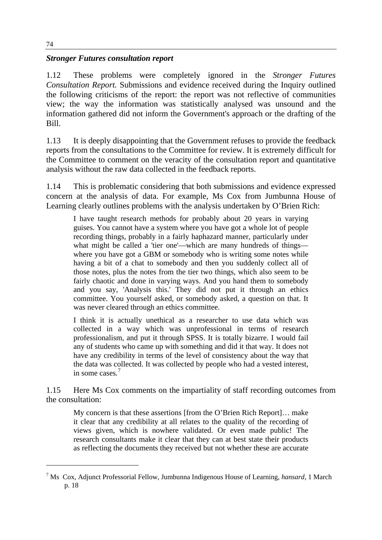# *Stronger Futures consultation report*

1.12 These problems were completely ignored in the *Stronger Futures Consultation Report.* Submissions and evidence received during the Inquiry outlined the following criticisms of the report: the report was not reflective of communities view; the way the information was statistically analysed was unsound and the information gathered did not inform the Government's approach or the drafting of the Bill.

1.13 It is deeply disappointing that the Government refuses to provide the feedback reports from the consultations to the Committee for review. It is extremely difficult for the Committee to comment on the veracity of the consultation report and quantitative analysis without the raw data collected in the feedback reports.

1.14 This is problematic considering that both submissions and evidence expressed concern at the analysis of data. For example, Ms Cox from Jumbunna House of Learning clearly outlines problems with the analysis undertaken by O'Brien Rich:

I have taught research methods for probably about 20 years in varying guises. You cannot have a system where you have got a whole lot of people recording things, probably in a fairly haphazard manner, particularly under what might be called a 'tier one'—which are many hundreds of things where you have got a GBM or somebody who is writing some notes while having a bit of a chat to somebody and then you suddenly collect all of those notes, plus the notes from the tier two things, which also seem to be fairly chaotic and done in varying ways. And you hand them to somebody and you say, 'Analysis this.' They did not put it through an ethics committee. You yourself asked, or somebody asked, a question on that. It was never cleared through an ethics committee.

I think it is actually unethical as a researcher to use data which was collected in a way which was unprofessional in terms of research professionalism, and put it through SPSS. It is totally bizarre. I would fail any of students who came up with something and did it that way. It does not have any credibility in terms of the level of consistency about the way that the data was collected. It was collected by people who had a vested interest, in some cases*.* [7](#page-83-0)

1.15 Here Ms Cox comments on the impartiality of staff recording outcomes from the consultation:

My concern is that these assertions [from the O'Brien Rich Report]… make it clear that any credibility at all relates to the quality of the recording of views given, which is nowhere validated. Or even made public! The research consultants make it clear that they can at best state their products as reflecting the documents they received but not whether these are accurate

<span id="page-83-0"></span><sup>7</sup> Ms Cox, Adjunct Professorial Fellow, Jumbunna Indigenous House of Learning, *hansard,* 1 March p. 18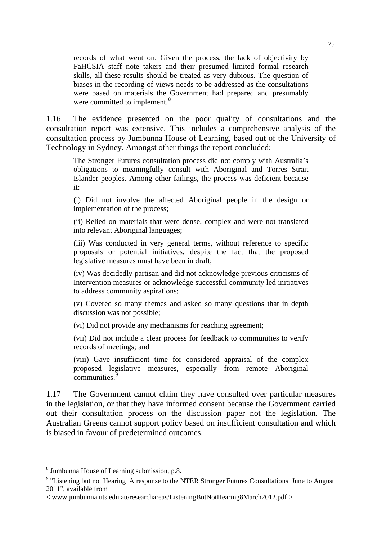records of what went on. Given the process, the lack of objectivity by FaHCSIA staff note takers and their presumed limited formal research skills, all these results should be treated as very dubious. The question of biases in the recording of views needs to be addressed as the consultations were based on materials the Government had prepared and presumably were committed to implement. $8$ 

1.16 The evidence presented on the poor quality of consultations and the consultation report was extensive. This includes a comprehensive analysis of the consultation process by Jumbunna House of Learning, based out of the University of Technology in Sydney. Amongst other things the report concluded:

The Stronger Futures consultation process did not comply with Australia's obligations to meaningfully consult with Aboriginal and Torres Strait Islander peoples. Among other failings, the process was deficient because it:

(i) Did not involve the affected Aboriginal people in the design or implementation of the process;

(ii) Relied on materials that were dense, complex and were not translated into relevant Aboriginal languages;

(iii) Was conducted in very general terms, without reference to specific proposals or potential initiatives, despite the fact that the proposed legislative measures must have been in draft;

(iv) Was decidedly partisan and did not acknowledge previous criticisms of Intervention measures or acknowledge successful community led initiatives to address community aspirations;

(v) Covered so many themes and asked so many questions that in depth discussion was not possible;

(vi) Did not provide any mechanisms for reaching agreement;

(vii) Did not include a clear process for feedback to communities to verify records of meetings; and

(viii) Gave insufficient time for considered appraisal of the complex proposed legislative measures, especially from remote Aboriginal communities.<sup>[9](#page-84-1)</sup>

1.17 The Government cannot claim they have consulted over particular measures in the legislation, or that they have informed consent because the Government carried out their consultation process on the discussion paper not the legislation. The Australian Greens cannot support policy based on insufficient consultation and which is biased in favour of predetermined outcomes.

<span id="page-84-0"></span><sup>8</sup> Jumbunna House of Learning submission, p.8.

<span id="page-84-1"></span> $9$  "Listening but not Hearing A response to the NTER Stronger Futures Consultations June to August 2011", available from

<sup>&</sup>lt; www.jumbunna.uts.edu.au/researchareas/ListeningButNotHearing8March2012.pdf >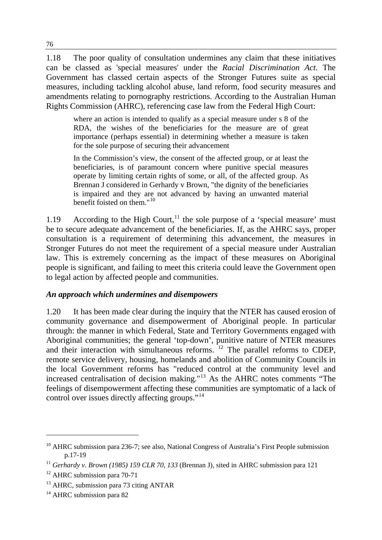1.18 The poor quality of consultation undermines any claim that these initiatives can be classed as 'special measures' under the *Racial Discrimination Act*. The Government has classed certain aspects of the Stronger Futures suite as special measures, including tackling alcohol abuse, land reform, food security measures and amendments relating to pornography restrictions. According to the Australian Human Rights Commission (AHRC), referencing case law from the Federal High Court:

where an action is intended to qualify as a special measure under s 8 of the RDA, the wishes of the beneficiaries for the measure are of great importance (perhaps essential) in determining whether a measure is taken for the sole purpose of securing their advancement

In the Commission's view, the consent of the affected group, or at least the beneficiaries, is of paramount concern where punitive special measures operate by limiting certain rights of some, or all, of the affected group. As Brennan J considered in Gerhardy v Brown, "the dignity of the beneficiaries is impaired and they are not advanced by having an unwanted material benefit foisted on them."<sup>[10](#page-85-0)</sup>

1.19 According to the High Court,<sup>[11](#page-85-1)</sup> the sole purpose of a 'special measure' must be to secure adequate advancement of the beneficiaries. If, as the AHRC says, proper consultation is a requirement of determining this advancement, the measures in Stronger Futures do not meet the requirement of a special measure under Australian law. This is extremely concerning as the impact of these measures on Aboriginal people is significant, and failing to meet this criteria could leave the Government open to legal action by affected people and communities.

## *An approach which undermines and disempowers*

1.20 It has been made clear during the inquiry that the NTER has caused erosion of community governance and disempowerment of Aboriginal people. In particular through: the manner in which Federal, State and Territory Governments engaged with Aboriginal communities; the general 'top-down', punitive nature of NTER measures and their interaction with simultaneous reforms.  $12$  The parallel reforms to CDEP, remote service delivery, housing, homelands and abolition of Community Councils in the local Government reforms has "reduced control at the community level and increased centralisation of decision making."[13](#page-85-3) As the AHRC notes comments "The feelings of disempowerment affecting these communities are symptomatic of a lack of control over issues directly affecting groups."[14](#page-85-4)

<span id="page-85-0"></span> $10$  AHRC submission para 236-7; see also, National Congress of Australia's First People submission p.17-19

<span id="page-85-1"></span><sup>&</sup>lt;sup>11</sup> *Gerhardy v. Brown (1985) 159 CLR 70, 133* (Brennan J), sited in AHRC submission para 121

<span id="page-85-2"></span><sup>&</sup>lt;sup>12</sup> AHRC submission para 70-71

<span id="page-85-3"></span><sup>&</sup>lt;sup>13</sup> AHRC, submission para 73 citing ANTAR

<span id="page-85-4"></span><sup>&</sup>lt;sup>14</sup> AHRC submission para 82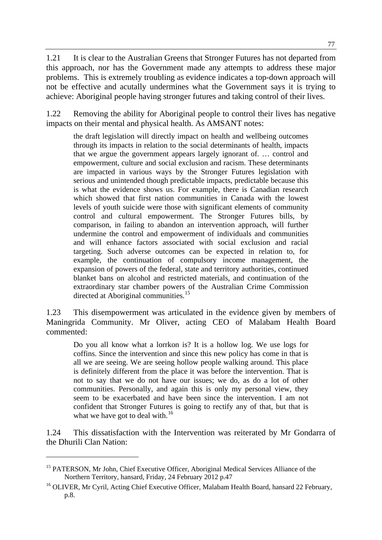1.21 It is clear to the Australian Greens that Stronger Futures has not departed from this approach, nor has the Government made any attempts to address these major problems. This is extremely troubling as evidence indicates a top-down approach will not be effective and acutally undermines what the Government says it is trying to achieve: Aboriginal people having stronger futures and taking control of their lives.

1.22 Removing the ability for Aboriginal people to control their lives has negative impacts on their mental and physical health. As AMSANT notes:

the draft legislation will directly impact on health and wellbeing outcomes through its impacts in relation to the social determinants of health, impacts that we argue the government appears largely ignorant of. … control and empowerment, culture and social exclusion and racism. These determinants are impacted in various ways by the Stronger Futures legislation with serious and unintended though predictable impacts, predictable because this is what the evidence shows us. For example, there is Canadian research which showed that first nation communities in Canada with the lowest levels of youth suicide were those with significant elements of community control and cultural empowerment. The Stronger Futures bills, by comparison, in failing to abandon an intervention approach, will further undermine the control and empowerment of individuals and communities and will enhance factors associated with social exclusion and racial targeting. Such adverse outcomes can be expected in relation to, for example, the continuation of compulsory income management, the expansion of powers of the federal, state and territory authorities, continued blanket bans on alcohol and restricted materials, and continuation of the extraordinary star chamber powers of the Australian Crime Commission directed at Aboriginal communities.<sup>[15](#page-86-0)</sup>

1.23 This disempowerment was articulated in the evidence given by members of Maningrida Community. Mr Oliver, acting CEO of Malabam Health Board commented:

Do you all know what a lorrkon is? It is a hollow log. We use logs for coffins. Since the intervention and since this new policy has come in that is all we are seeing. We are seeing hollow people walking around. This place is definitely different from the place it was before the intervention. That is not to say that we do not have our issues; we do, as do a lot of other communities. Personally, and again this is only my personal view, they seem to be exacerbated and have been since the intervention. I am not confident that Stronger Futures is going to rectify any of that, but that is what we have got to deal with.<sup>[16](#page-86-1)</sup>

1.24 This dissatisfaction with the Intervention was reiterated by Mr Gondarra of the Dhurili Clan Nation:

<span id="page-86-0"></span><sup>&</sup>lt;sup>15</sup> PATERSON, Mr John, Chief Executive Officer, Aboriginal Medical Services Alliance of the Northern Territory, hansard, Friday, 24 February 2012 p.47

<span id="page-86-1"></span><sup>&</sup>lt;sup>16</sup> OLIVER, Mr Cyril, Acting Chief Executive Officer, Malabam Health Board, hansard 22 February, p.8.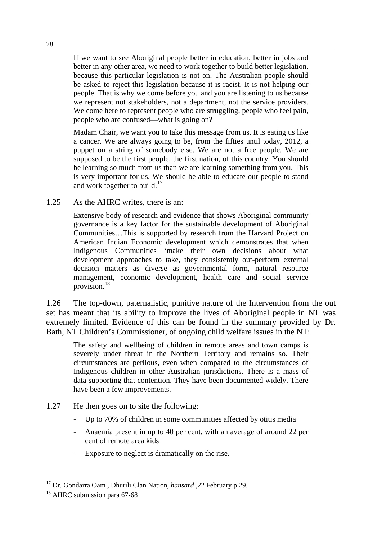If we want to see Aboriginal people better in education, better in jobs and better in any other area, we need to work together to build better legislation, because this particular legislation is not on. The Australian people should be asked to reject this legislation because it is racist. It is not helping our people. That is why we come before you and you are listening to us because we represent not stakeholders, not a department, not the service providers. We come here to represent people who are struggling, people who feel pain, people who are confused—what is going on?

Madam Chair, we want you to take this message from us. It is eating us like a cancer. We are always going to be, from the fifties until today, 2012, a puppet on a string of somebody else. We are not a free people. We are supposed to be the first people, the first nation, of this country. You should be learning so much from us than we are learning something from you. This is very important for us. We should be able to educate our people to stand and work together to build.<sup>[17](#page-87-0)</sup>

1.25 As the AHRC writes, there is an:

Extensive body of research and evidence that shows Aboriginal community governance is a key factor for the sustainable development of Aboriginal Communities…This is supported by research from the Harvard Project on American Indian Economic development which demonstrates that when Indigenous Communities 'make their own decisions about what development approaches to take, they consistently out-perform external decision matters as diverse as governmental form, natural resource management, economic development, health care and social service provision.[18](#page-87-1)

1.26 The top-down, paternalistic, punitive nature of the Intervention from the out set has meant that its ability to improve the lives of Aboriginal people in NT was extremely limited. Evidence of this can be found in the summary provided by Dr. Bath, NT Children's Commissioner, of ongoing child welfare issues in the NT:

The safety and wellbeing of children in remote areas and town camps is severely under threat in the Northern Territory and remains so. Their circumstances are perilous, even when compared to the circumstances of Indigenous children in other Australian jurisdictions. There is a mass of data supporting that contention. They have been documented widely. There have been a few improvements.

- 1.27 He then goes on to site the following:
	- Up to 70% of children in some communities affected by otitis media
	- Anaemia present in up to 40 per cent, with an average of around 22 per cent of remote area kids
	- Exposure to neglect is dramatically on the rise.

<span id="page-87-0"></span><sup>17</sup> Dr. Gondarra Oam , Dhurili Clan Nation, *hansard* ,22 February p.29.

<span id="page-87-1"></span><sup>&</sup>lt;sup>18</sup> AHRC submission para 67-68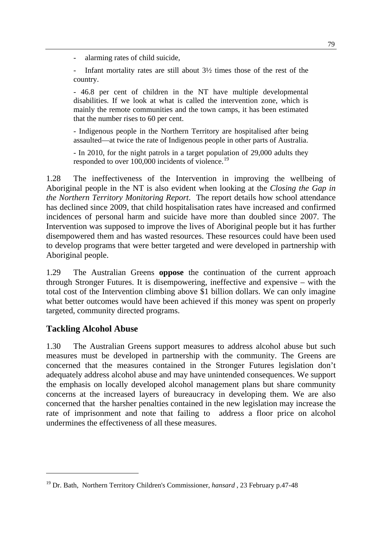alarming rates of child suicide,

Infant mortality rates are still about  $3\frac{1}{2}$  times those of the rest of the country.

- 46.8 per cent of children in the NT have multiple developmental disabilities. If we look at what is called the intervention zone, which is mainly the remote communities and the town camps, it has been estimated that the number rises to 60 per cent.

- Indigenous people in the Northern Territory are hospitalised after being assaulted—at twice the rate of Indigenous people in other parts of Australia.

- In 2010, for the night patrols in a target population of 29,000 adults they responded to over 100,000 incidents of violence.<sup>[19](#page-88-0)</sup>

1.28 The ineffectiveness of the Intervention in improving the wellbeing of Aboriginal people in the NT is also evident when looking at the *Closing the Gap in the Northern Territory Monitoring Report*. The report details how school attendance has declined since 2009, that child hospitalisation rates have increased and confirmed incidences of personal harm and suicide have more than doubled since 2007. The Intervention was supposed to improve the lives of Aboriginal people but it has further disempowered them and has wasted resources. These resources could have been used to develop programs that were better targeted and were developed in partnership with Aboriginal people.

1.29 The Australian Greens **oppose** the continuation of the current approach through Stronger Futures. It is disempowering, ineffective and expensive – with the total cost of the Intervention climbing above \$1 billion dollars. We can only imagine what better outcomes would have been achieved if this money was spent on properly targeted, community directed programs.

# **Tackling Alcohol Abuse**

 $\overline{a}$ 

1.30 The Australian Greens support measures to address alcohol abuse but such measures must be developed in partnership with the community. The Greens are concerned that the measures contained in the Stronger Futures legislation don't adequately address alcohol abuse and may have unintended consequences. We support the emphasis on locally developed alcohol management plans but share community concerns at the increased layers of bureaucracy in developing them. We are also concerned that the harsher penalties contained in the new legislation may increase the rate of imprisonment and note that failing to address a floor price on alcohol undermines the effectiveness of all these measures.

<span id="page-88-0"></span><sup>19</sup> Dr. Bath, Northern Territory Children's Commissioner, *hansard* , 23 February p.47-48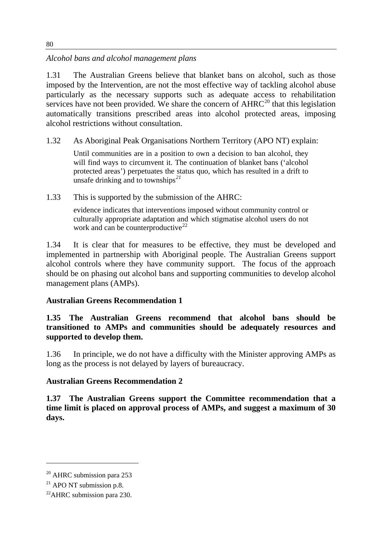*Alcohol bans and alcohol management plans* 

1.31 The Australian Greens believe that blanket bans on alcohol, such as those imposed by the Intervention, are not the most effective way of tackling alcohol abuse particularly as the necessary supports such as adequate access to rehabilitation services have not been provided. We share the concern of  $AHRC^{20}$  $AHRC^{20}$  $AHRC^{20}$  that this legislation automatically transitions prescribed areas into alcohol protected areas, imposing alcohol restrictions without consultation.

1.32 As Aboriginal Peak Organisations Northern Territory (APO NT) explain:

Until communities are in a position to own a decision to ban alcohol, they will find ways to circumvent it. The continuation of blanket bans ('alcohol protected areas') perpetuates the status quo, which has resulted in a drift to unsafe drinking and to townships*[21](#page-89-1)*

1.33 This is supported by the submission of the AHRC:

evidence indicates that interventions imposed without community control or culturally appropriate adaptation and which stigmatise alcohol users do not work and can be counterproductive<sup>[22](#page-89-2)</sup>

1.34 It is clear that for measures to be effective, they must be developed and implemented in partnership with Aboriginal people. The Australian Greens support alcohol controls where they have community support. The focus of the approach should be on phasing out alcohol bans and supporting communities to develop alcohol management plans (AMPs).

# **Australian Greens Recommendation 1**

**1.35 The Australian Greens recommend that alcohol bans should be transitioned to AMPs and communities should be adequately resources and supported to develop them.** 

1.36 In principle, we do not have a difficulty with the Minister approving AMPs as long as the process is not delayed by layers of bureaucracy.

# **Australian Greens Recommendation 2**

**1.37 The Australian Greens support the Committee recommendation that a time limit is placed on approval process of AMPs, and suggest a maximum of 30 days.**

<span id="page-89-0"></span> $20$  AHRC submission para 253

<span id="page-89-1"></span> $21$  APO NT submission p.8.

<span id="page-89-2"></span> $^{22}$ AHRC submission para 230.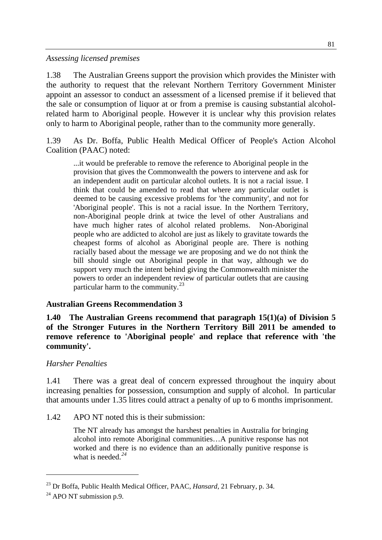*Assessing licensed premises* 

1.38 The Australian Greens support the provision which provides the Minister with the authority to request that the relevant Northern Territory Government Minister appoint an assessor to conduct an assessment of a licensed premise if it believed that the sale or consumption of liquor at or from a premise is causing substantial alcoholrelated harm to Aboriginal people. However it is unclear why this provision relates only to harm to Aboriginal people, rather than to the community more generally.

1.39 As Dr. Boffa, Public Health Medical Officer of People's Action Alcohol Coalition (PAAC) noted:

...it would be preferable to remove the reference to Aboriginal people in the provision that gives the Commonwealth the powers to intervene and ask for an independent audit on particular alcohol outlets. It is not a racial issue. I think that could be amended to read that where any particular outlet is deemed to be causing excessive problems for 'the community', and not for 'Aboriginal people'. This is not a racial issue. In the Northern Territory, non-Aboriginal people drink at twice the level of other Australians and have much higher rates of alcohol related problems. Non-Aboriginal people who are addicted to alcohol are just as likely to gravitate towards the cheapest forms of alcohol as Aboriginal people are. There is nothing racially based about the message we are proposing and we do not think the bill should single out Aboriginal people in that way, although we do support very much the intent behind giving the Commonwealth minister the powers to order an independent review of particular outlets that are causing particular harm to the community. $^{23}$  $^{23}$  $^{23}$ 

## **Australian Greens Recommendation 3**

**1.40 The Australian Greens recommend that paragraph 15(1)(a) of Division 5 of the Stronger Futures in the Northern Territory Bill 2011 be amended to remove reference to 'Aboriginal people' and replace that reference with 'the community'.** 

## *Harsher Penalties*

1.41 There was a great deal of concern expressed throughout the inquiry about increasing penalties for possession, consumption and supply of alcohol. In particular that amounts under 1.35 litres could attract a penalty of up to 6 months imprisonment.

1.42 APO NT noted this is their submission:

The NT already has amongst the harshest penalties in Australia for bringing alcohol into remote Aboriginal communities…A punitive response has not worked and there is no evidence than an additionally punitive response is what is needed.*[24](#page-90-1)*

<span id="page-90-0"></span><sup>23</sup> Dr Boffa, Public Health Medical Officer, PAAC, *Hansard*, 21 February, p. 34.

<span id="page-90-1"></span> $24$  APO NT submission p.9.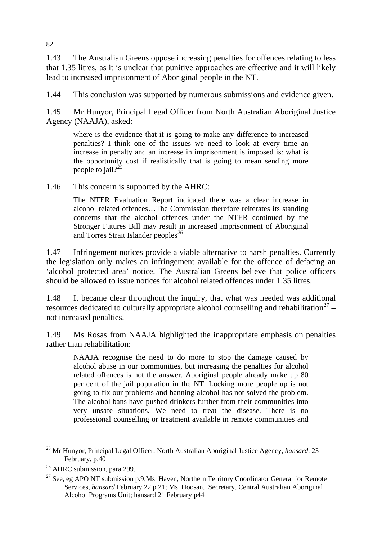1.43 The Australian Greens oppose increasing penalties for offences relating to less that 1.35 litres, as it is unclear that punitive approaches are effective and it will likely lead to increased imprisonment of Aboriginal people in the NT.

1.44 This conclusion was supported by numerous submissions and evidence given.

1.45 Mr Hunyor, Principal Legal Officer from North Australian Aboriginal Justice Agency (NAAJA), asked:

where is the evidence that it is going to make any difference to increased penalties? I think one of the issues we need to look at every time an increase in penalty and an increase in imprisonment is imposed is: what is the opportunity cost if realistically that is going to mean sending more people to jail?*[25](#page-91-0)*

1.46 This concern is supported by the AHRC:

The NTER Evaluation Report indicated there was a clear increase in alcohol related offences…The Commission therefore reiterates its standing concerns that the alcohol offences under the NTER continued by the Stronger Futures Bill may result in increased imprisonment of Aboriginal and Torres Strait Islander peoples*[26](#page-91-1)*

1.47 Infringement notices provide a viable alternative to harsh penalties. Currently the legislation only makes an infringement available for the offence of defacing an 'alcohol protected area' notice. The Australian Greens believe that police officers should be allowed to issue notices for alcohol related offences under 1.35 litres.

1.48 It became clear throughout the inquiry, that what was needed was additional resources dedicated to culturally appropriate alcohol counselling and rehabilitation<sup>[27](#page-91-2)</sup> – not increased penalties.

1.49 Ms Rosas from NAAJA highlighted the inappropriate emphasis on penalties rather than rehabilitation:

NAAJA recognise the need to do more to stop the damage caused by alcohol abuse in our communities, but increasing the penalties for alcohol related offences is not the answer. Aboriginal people already make up 80 per cent of the jail population in the NT. Locking more people up is not going to fix our problems and banning alcohol has not solved the problem. The alcohol bans have pushed drinkers further from their communities into very unsafe situations. We need to treat the disease. There is no professional counselling or treatment available in remote communities and

<span id="page-91-0"></span><sup>25</sup> Mr Hunyor, Principal Legal Officer, North Australian Aboriginal Justice Agency, *hansard,* 23 February, p.40

<span id="page-91-1"></span><sup>&</sup>lt;sup>26</sup> AHRC submission, para 299.

<span id="page-91-2"></span> $27$  See, eg APO NT submission p.9;Ms Haven, Northern Territory Coordinator General for Remote Services, *hansard* February 22 p.21; Ms Hoosan, Secretary, Central Australian Aboriginal Alcohol Programs Unit; hansard 21 February p44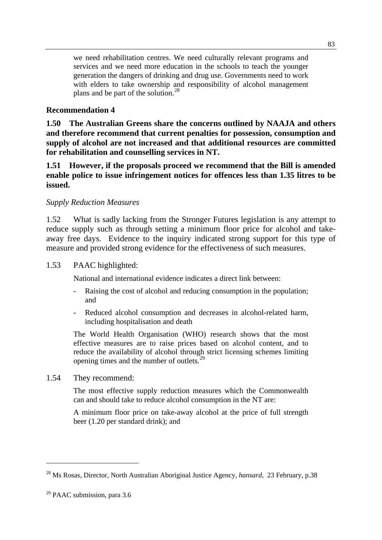we need rehabilitation centres. We need culturally relevant programs and services and we need more education in the schools to teach the younger generation the dangers of drinking and drug use. Governments need to work with elders to take ownership and responsibility of alcohol management plans and be part of the solution.<sup>[28](#page-92-0)</sup>

## **Recommendation 4**

**1.50 The Australian Greens share the concerns outlined by NAAJA and others and therefore recommend that current penalties for possession, consumption and supply of alcohol are not increased and that additional resources are committed for rehabilitation and counselling services in NT.** 

**1.51 However, if the proposals proceed we recommend that the Bill is amended enable police to issue infringement notices for offences less than 1.35 litres to be issued.** 

#### *Supply Reduction Measures*

1.52 What is sadly lacking from the Stronger Futures legislation is any attempt to reduce supply such as through setting a minimum floor price for alcohol and takeaway free days. Evidence to the inquiry indicated strong support for this type of measure and provided strong evidence for the effectiveness of such measures.

#### 1.53 PAAC highlighted:

National and international evidence indicates a direct link between:

- Raising the cost of alcohol and reducing consumption in the population; and
- Reduced alcohol consumption and decreases in alcohol-related harm, including hospitalisation and death

The World Health Organisation (WHO) research shows that the most effective measures are to raise prices based on alcohol content, and to reduce the availability of alcohol through strict licensing schemes limiting opening times and the number of outlets.[29](#page-92-1)

1.54 They recommend:

The most effective supply reduction measures which the Commonwealth can and should take to reduce alcohol consumption in the NT are:

A minimum floor price on take-away alcohol at the price of full strength beer (1.20 per standard drink); and

<span id="page-92-0"></span><sup>28</sup> Ms Rosas, Director, North Australian Aboriginal Justice Agency, *hansard,* 23 February, p.38

<span id="page-92-1"></span> $29$  PAAC submission, para 3.6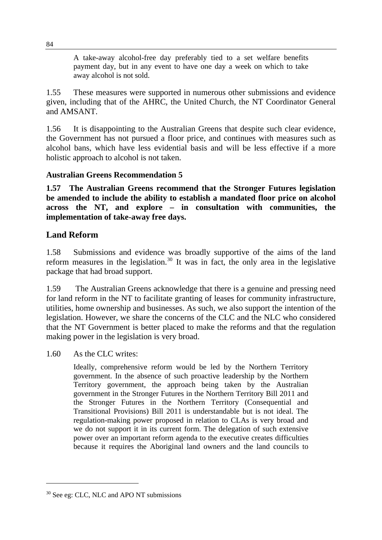A take-away alcohol-free day preferably tied to a set welfare benefits payment day, but in any event to have one day a week on which to take away alcohol is not sold.

1.55 These measures were supported in numerous other submissions and evidence given, including that of the AHRC, the United Church, the NT Coordinator General and AMSANT.

1.56 It is disappointing to the Australian Greens that despite such clear evidence, the Government has not pursued a floor price, and continues with measures such as alcohol bans, which have less evidential basis and will be less effective if a more holistic approach to alcohol is not taken.

## **Australian Greens Recommendation 5**

**1.57 The Australian Greens recommend that the Stronger Futures legislation be amended to include the ability to establish a mandated floor price on alcohol across the NT, and explore – in consultation with communities, the implementation of take-away free days.** 

## **Land Reform**

1.58 Submissions and evidence was broadly supportive of the aims of the land reform measures in the legislation. $30$  It was in fact, the only area in the legislative package that had broad support.

1.59 The Australian Greens acknowledge that there is a genuine and pressing need for land reform in the NT to facilitate granting of leases for community infrastructure, utilities, home ownership and businesses. As such, we also support the intention of the legislation. However, we share the concerns of the CLC and the NLC who considered that the NT Government is better placed to make the reforms and that the regulation making power in the legislation is very broad.

1.60 As the CLC writes:

Ideally, comprehensive reform would be led by the Northern Territory government. In the absence of such proactive leadership by the Northern Territory government, the approach being taken by the Australian government in the Stronger Futures in the Northern Territory Bill 2011 and the Stronger Futures in the Northern Territory (Consequential and Transitional Provisions) Bill 2011 is understandable but is not ideal. The regulation-making power proposed in relation to CLAs is very broad and we do not support it in its current form. The delegation of such extensive power over an important reform agenda to the executive creates difficulties because it requires the Aboriginal land owners and the land councils to

<span id="page-93-0"></span><sup>&</sup>lt;sup>30</sup> See eg: CLC, NLC and APO NT submissions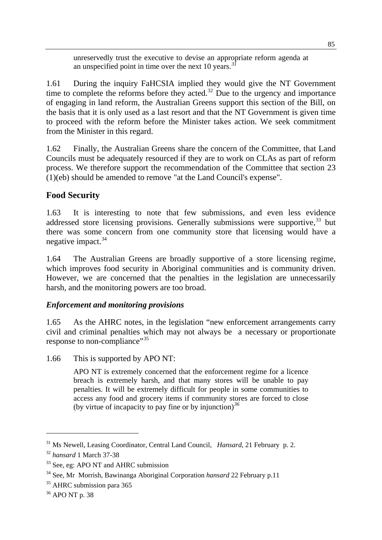unreservedly trust the executive to devise an appro[pr](#page-94-0)iate reform agenda at an unspecified point in time over the next 10 years.<sup>3</sup>

1.61 During the inquiry FaHCSIA implied they would give the NT Government time to complete the reforms before they acted.<sup>[32](#page-94-1)</sup> Due to the urgency and importance of engaging in land reform, the Australian Greens support this section of the Bill, on the basis that it is only used as a last resort and that the NT Government is given time to proceed with the reform before the Minister takes action. We seek commitment from the Minister in this regard.

1.62 Finally, the Australian Greens share the concern of the Committee, that Land Councils must be adequately resourced if they are to work on CLAs as part of reform process. We therefore support the recommendation of the Committee that section 23 (1)(eb) should be amended to remove "at the Land Council's expense".

# **Food Security**

1.63 It is interesting to note that few submissions, and even less evidence addressed store licensing provisions. Generally submissions were supportive,<sup>[33](#page-94-2)</sup> but there was some concern from one community store that licensing would have a negative impact. $34$ 

1.64 The Australian Greens are broadly supportive of a store licensing regime, which improves food security in Aboriginal communities and is community driven. However, we are concerned that the penalties in the legislation are unnecessarily harsh, and the monitoring powers are too broad.

# *Enforcement and monitoring provisions*

1.65 As the AHRC notes, in the legislation "new enforcement arrangements carry civil and criminal penalties which may not always be a necessary or proportionate response to non-compliance"<sup>[35](#page-94-4)</sup>

1.66 This is supported by APO NT:

APO NT is extremely concerned that the enforcement regime for a licence breach is extremely harsh, and that many stores will be unable to pay penalties. It will be extremely difficult for people in some communities to access any food and grocery items if community stores are forced to close (by virtue of incapacity to pay fine or by injunction)*[36](#page-94-5)*

<span id="page-94-0"></span><sup>31</sup> Ms Newell, Leasing Coordinator, Central Land Council, *Hansard*, 21 February p. 2.

<span id="page-94-1"></span><sup>32</sup> *hansard* 1 March 37-38

<span id="page-94-2"></span><sup>&</sup>lt;sup>33</sup> See, eg: APO NT and AHRC submission

<span id="page-94-3"></span><sup>34</sup> See, Mr Morrish, Bawinanga Aboriginal Corporation *hansard* 22 February p.11

<span id="page-94-4"></span><sup>&</sup>lt;sup>35</sup> AHRC submission para 365

<span id="page-94-5"></span><sup>36</sup> APO NT p. 38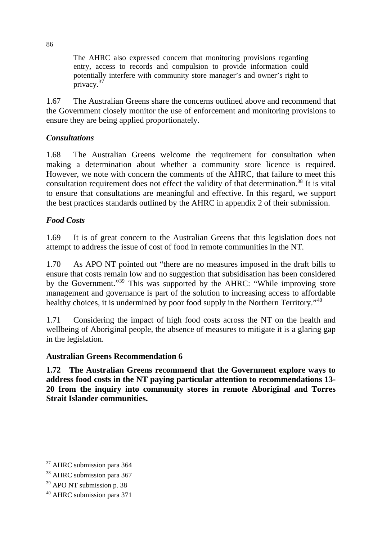The AHRC also expressed concern that monitoring provisions regarding entry, access to records and compulsion to provide information could potentially interfere with community store manager's and owner's right to privacy. $37$ 

1.67 The Australian Greens share the concerns outlined above and recommend that the Government closely monitor the use of enforcement and monitoring provisions to ensure they are being applied proportionately.

# *Consultations*

1.68 The Australian Greens welcome the requirement for consultation when making a determination about whether a community store licence is required. However, we note with concern the comments of the AHRC, that failure to meet this consultation requirement does not effect the validity of that determination. [38](#page-95-1) It is vital to ensure that consultations are meaningful and effective. In this regard, we support the best practices standards outlined by the AHRC in appendix 2 of their submission.

## *Food Costs*

1.69 It is of great concern to the Australian Greens that this legislation does not attempt to address the issue of cost of food in remote communities in the NT.

1.70 As APO NT pointed out "there are no measures imposed in the draft bills to ensure that costs remain low and no suggestion that subsidisation has been considered by the Government."[39](#page-95-2) This was supported by the AHRC: "While improving store management and governance is part of the solution to increasing access to affordable healthy choices, it is undermined by poor food supply in the Northern Territory."<sup>[40](#page-95-3)</sup>

1.71 Considering the impact of high food costs across the NT on the health and wellbeing of Aboriginal people, the absence of measures to mitigate it is a glaring gap in the legislation.

## **Australian Greens Recommendation 6**

**1.72 The Australian Greens recommend that the Government explore ways to address food costs in the NT paying particular attention to recommendations 13- 20 from the inquiry into community stores in remote Aboriginal and Torres Strait Islander communities.** 

<span id="page-95-0"></span><sup>&</sup>lt;sup>37</sup> AHRC submission para 364

<span id="page-95-1"></span><sup>&</sup>lt;sup>38</sup> AHRC submission para 367

<span id="page-95-2"></span><sup>&</sup>lt;sup>39</sup> APO NT submission p. 38

<span id="page-95-3"></span><sup>40</sup> AHRC submission para 371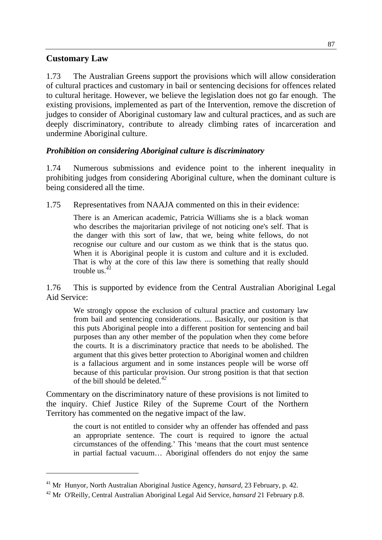# **Customary Law**

 $\overline{a}$ 

1.73 The Australian Greens support the provisions which will allow consideration of cultural practices and customary in bail or sentencing decisions for offences related to cultural heritage. However, we believe the legislation does not go far enough. The existing provisions, implemented as part of the Intervention, remove the discretion of judges to consider of Aboriginal customary law and cultural practices, and as such are deeply discriminatory, contribute to already climbing rates of incarceration and undermine Aboriginal culture.

# *Prohibition on considering Aboriginal culture is discriminatory*

1.74 Numerous submissions and evidence point to the inherent inequality in prohibiting judges from considering Aboriginal culture, when the dominant culture is being considered all the time.

1.75 Representatives from NAAJA commented on this in their evidence:

There is an American academic, Patricia Williams she is a black woman who describes the majoritarian privilege of not noticing one's self. That is the danger with this sort of law, that we, being white fellows, do not recognise our culture and our custom as we think that is the status quo. When it is Aboriginal people it is custom and culture and it is excluded. That is why at the core of this law there is something that really should trouble us.*[41](#page-96-0)*

1.76 This is supported by evidence from the Central Australian Aboriginal Legal Aid Service:

We strongly oppose the exclusion of cultural practice and customary law from bail and sentencing considerations. .... Basically, our position is that this puts Aboriginal people into a different position for sentencing and bail purposes than any other member of the population when they come before the courts. It is a discriminatory practice that needs to be abolished. The argument that this gives better protection to Aboriginal women and children is a fallacious argument and in some instances people will be worse off because of this particular provision. Our strong position is that that section of the bill should be deleted.*[42](#page-96-1)*

Commentary on the discriminatory nature of these provisions is not limited to the inquiry. Chief Justice Riley of the Supreme Court of the Northern Territory has commented on the negative impact of the law.

> the court is not entitled to consider why an offender has offended and pass an appropriate sentence. The court is required to ignore the actual circumstances of the offending.' This 'means that the court must sentence in partial factual vacuum… Aboriginal offenders do not enjoy the same

<span id="page-96-0"></span><sup>41</sup> Mr Hunyor, North Australian Aboriginal Justice Agency, *hansard,* 23 February, p. 42.

<span id="page-96-1"></span><sup>42</sup> Mr O'Reilly, Central Australian Aboriginal Legal Aid Service, *hansard* 21 February p.8.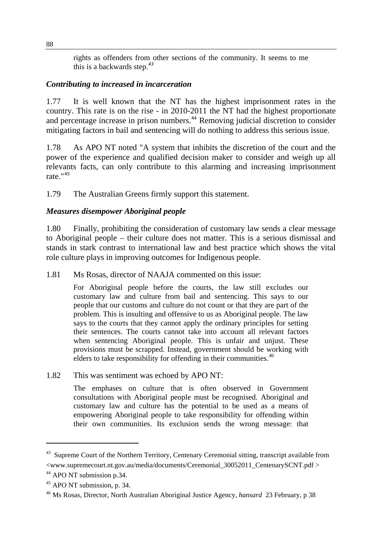rights as offenders from other sections of the community. It seems to me this is a backwards step.*[43](#page-97-0)*

#### *Contributing to increased in incarceration*

1.77 It is well known that the NT has the highest imprisonment rates in the country. This rate is on the rise - in 2010-2011 the NT had the highest proportionate and percentage increase in prison numbers.<sup>[44](#page-97-1)</sup> Removing judicial discretion to consider mitigating factors in bail and sentencing will do nothing to address this serious issue.

1.78 As APO NT noted "A system that inhibits the discretion of the court and the power of the experience and qualified decision maker to consider and weigh up all relevants facts, can only contribute to this alarming and increasing imprisonment rate."[45](#page-97-2)

1.79 The Australian Greens firmly support this statement.

# *Measures disempower Aboriginal people*

1.80 Finally, prohibiting the consideration of customary law sends a clear message to Aboriginal people – their culture does not matter. This is a serious dismissal and stands in stark contrast to international law and best practice which shows the vital role culture plays in improving outcomes for Indigenous people.

1.81 Ms Rosas, director of NAAJA commented on this issue:

For Aboriginal people before the courts, the law still excludes our customary law and culture from bail and sentencing. This says to our people that our customs and culture do not count or that they are part of the problem. This is insulting and offensive to us as Aboriginal people. The law says to the courts that they cannot apply the ordinary principles for setting their sentences. The courts cannot take into account all relevant factors when sentencing Aboriginal people. This is unfair and unjust. These provisions must be scrapped. Instead, government should be working with elders to take responsibility for offending in their communities.*[46](#page-97-3)*

1.82 This was sentiment was echoed by APO NT:

The emphases on culture that is often observed in Government consultations with Aboriginal people must be recognised. Aboriginal and customary law and culture has the potential to be used as a means of empowering Aboriginal people to take responsibility for offending within their own communities. Its exclusion sends the wrong message: that

<span id="page-97-0"></span><sup>&</sup>lt;sup>43</sup> Supreme Court of the Northern Territory, Centenary Ceremonial sitting, transcript available from <www.supremecourt.nt.gov.au/media/documents/Ceremonial\_30052011\_CentenarySCNT.pdf >

<span id="page-97-1"></span><sup>&</sup>lt;sup>44</sup> APO NT submission p.34.

<span id="page-97-2"></span><sup>45</sup> APO NT submission, p. 34.

<span id="page-97-3"></span><sup>46</sup> Ms Rosas, Director, North Australian Aboriginal Justice Agency, *hansard* 23 February, p 38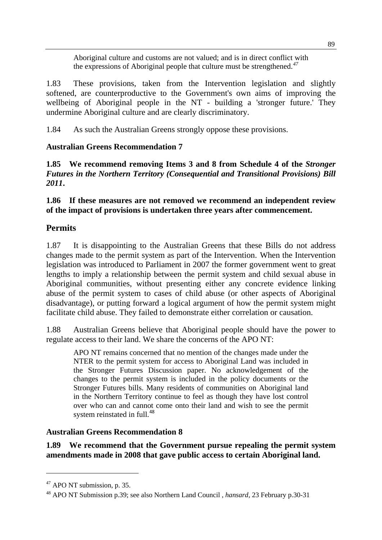Aboriginal culture and customs are not valued; and is in direct conflict with the expressions of Aboriginal people that culture must be strengthened.*[47](#page-98-0)*

1.83 These provisions, taken from the Intervention legislation and slightly softened, are counterproductive to the Government's own aims of improving the wellbeing of Aboriginal people in the NT - building a 'stronger future.' They undermine Aboriginal culture and are clearly discriminatory.

1.84 As such the Australian Greens strongly oppose these provisions.

# **Australian Greens Recommendation 7**

**1.85 We recommend removing Items 3 and 8 from Schedule 4 of the** *Stronger Futures in the Northern Territory (Consequential and Transitional Provisions) Bill 2011***.** 

**1.86 If these measures are not removed we recommend an independent review of the impact of provisions is undertaken three years after commencement.** 

# **Permits**

1.87 It is disappointing to the Australian Greens that these Bills do not address changes made to the permit system as part of the Intervention. When the Intervention legislation was introduced to Parliament in 2007 the former government went to great lengths to imply a relationship between the permit system and child sexual abuse in Aboriginal communities, without presenting either any concrete evidence linking abuse of the permit system to cases of child abuse (or other aspects of Aboriginal disadvantage), or putting forward a logical argument of how the permit system might facilitate child abuse. They failed to demonstrate either correlation or causation.

1.88 Australian Greens believe that Aboriginal people should have the power to regulate access to their land. We share the concerns of the APO NT:

APO NT remains concerned that no mention of the changes made under the NTER to the permit system for access to Aboriginal Land was included in the Stronger Futures Discussion paper. No acknowledgement of the changes to the permit system is included in the policy documents or the Stronger Futures bills. Many residents of communities on Aboriginal land in the Northern Territory continue to feel as though they have lost control over who can and cannot come onto their land and wish to see the permit system reinstated in full.<sup>[48](#page-98-1)</sup>

# **Australian Greens Recommendation 8**

**1.89 We recommend that the Government pursue repealing the permit system amendments made in 2008 that gave public access to certain Aboriginal land.** 

<span id="page-98-0"></span> $47$  APO NT submission, p. 35.

<span id="page-98-1"></span><sup>48</sup> APO NT Submission p.39; see also Northern Land Council , *hansard,* 23 February p.30-31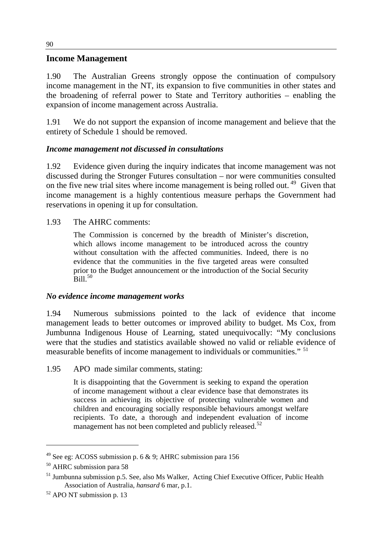# **Income Management**

1.90 The Australian Greens strongly oppose the continuation of compulsory income management in the NT, its expansion to five communities in other states and the broadening of referral power to State and Territory authorities – enabling the expansion of income management across Australia.

1.91 We do not support the expansion of income management and believe that the entirety of Schedule 1 should be removed.

# *Income management not discussed in consultations*

1.92 Evidence given during the inquiry indicates that income management was not discussed during the Stronger Futures consultation – nor were communities consulted on the five new trial sites where income management is being rolled out.<sup>[49](#page-99-0)</sup> Given that income management is a highly contentious measure perhaps the Government had reservations in opening it up for consultation.

## 1.93 The AHRC comments:

The Commission is concerned by the breadth of Minister's discretion, which allows income management to be introduced across the country without consultation with the affected communities. Indeed, there is no evidence that the communities in the five targeted areas were consulted prior to the Budget announcement or the introduction of the Social Security  $B<sub>ill</sub>$ <sup>[50](#page-99-1)</sup>

## *No evidence income management works*

1.94 Numerous submissions pointed to the lack of evidence that income management leads to better outcomes or improved ability to budget. Ms Cox, from Jumbunna Indigenous House of Learning, stated unequivocally: "My conclusions were that the studies and statistics available showed no valid or reliable evidence of measurable benefits of income management to individuals or communities." [51](#page-99-2)

1.95 APO made similar comments, stating:

It is disappointing that the Government is seeking to expand the operation of income management without a clear evidence base that demonstrates its success in achieving its objective of protecting vulnerable women and children and encouraging socially responsible behaviours amongst welfare recipients. To date, a thorough and independent evaluation of income management has not been completed and publicly released.<sup>[52](#page-99-3)</sup>

<span id="page-99-0"></span><sup>&</sup>lt;sup>49</sup> See eg: ACOSS submission p. 6  $\&$  9; AHRC submission para 156

<span id="page-99-1"></span><sup>50</sup> AHRC submission para 58

<span id="page-99-2"></span> $51$  Jumbunna submission p.5. See, also Ms Walker, Acting Chief Executive Officer, Public Health Association of Australia, *hansard* 6 mar, p.1.

<span id="page-99-3"></span><sup>&</sup>lt;sup>52</sup> APO NT submission p. 13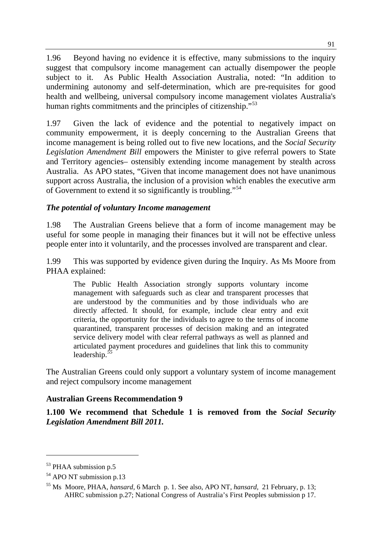1.96 Beyond having no evidence it is effective, many submissions to the inquiry suggest that compulsory income management can actually disempower the people subject to it. As Public Health Association Australia, noted: "In addition to undermining autonomy and self-determination, which are pre-requisites for good health and wellbeing, universal compulsory income management violates Australia's human rights commitments and the principles of citizenship."<sup>[53](#page-100-0)</sup>

1.97 Given the lack of evidence and the potential to negatively impact on community empowerment, it is deeply concerning to the Australian Greens that income management is being rolled out to five new locations, and the *Social Security Legislation Amendment Bill* empowers the Minister to give referral powers to State and Territory agencies– ostensibly extending income management by stealth across Australia. As APO states, "Given that income management does not have unanimous support across Australia, the inclusion of a provision which enables the executive arm of Government to extend it so significantly is troubling."[54](#page-100-1)

# *The potential of voluntary Income management*

1.98 The Australian Greens believe that a form of income management may be useful for some people in managing their finances but it will not be effective unless people enter into it voluntarily, and the processes involved are transparent and clear.

1.99 This was supported by evidence given during the Inquiry. As Ms Moore from PHAA explained:

The Public Health Association strongly supports voluntary income management with safeguards such as clear and transparent processes that are understood by the communities and by those individuals who are directly affected. It should, for example, include clear entry and exit criteria, the opportunity for the individuals to agree to the terms of income quarantined, transparent processes of decision making and an integrated service delivery model with clear referral pathways as well as planned and articulated payment procedures and guidelines that link this to community leadership.*[55](#page-100-2)*

The Australian Greens could only support a voluntary system of income management and reject compulsory income management

## **Australian Greens Recommendation 9**

**1.100 We recommend that Schedule 1 is removed from the** *Social Security Legislation Amendment Bill 2011.*

<span id="page-100-0"></span><sup>&</sup>lt;sup>53</sup> PHAA submission p.5

<span id="page-100-1"></span><sup>&</sup>lt;sup>54</sup> APO NT submission p.13

<span id="page-100-2"></span><sup>55</sup> Ms Moore, PHAA, *hansard,* 6 March p. 1. See also, APO NT, *hansard,* 21 February, p. 13; AHRC submission p.27; National Congress of Australia's First Peoples submission p 17.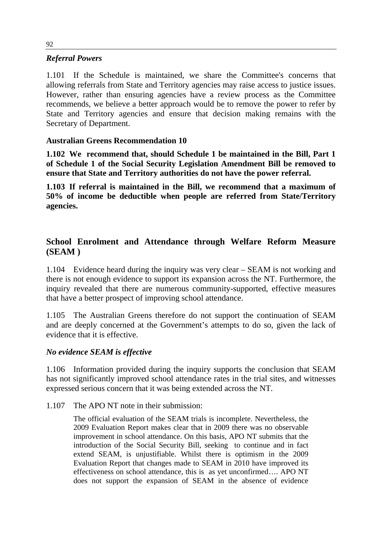## *Referral Powers*

1.101 If the Schedule is maintained, we share the Committee's concerns that allowing referrals from State and Territory agencies may raise access to justice issues. However, rather than ensuring agencies have a review process as the Committee recommends, we believe a better approach would be to remove the power to refer by State and Territory agencies and ensure that decision making remains with the Secretary of Department.

# **Australian Greens Recommendation 10**

**1.102 We recommend that, should Schedule 1 be maintained in the Bill, Part 1 of Schedule 1 of the Social Security Legislation Amendment Bill be removed to ensure that State and Territory authorities do not have the power referral.** 

**1.103 If referral is maintained in the Bill, we recommend that a maximum of 50% of income be deductible when people are referred from State/Territory agencies.** 

# **School Enrolment and Attendance through Welfare Reform Measure (SEAM )**

1.104 Evidence heard during the inquiry was very clear – SEAM is not working and there is not enough evidence to support its expansion across the NT. Furthermore, the inquiry revealed that there are numerous community-supported, effective measures that have a better prospect of improving school attendance.

1.105 The Australian Greens therefore do not support the continuation of SEAM and are deeply concerned at the Government's attempts to do so, given the lack of evidence that it is effective.

## *No evidence SEAM is effective*

1.106 Information provided during the inquiry supports the conclusion that SEAM has not significantly improved school attendance rates in the trial sites, and witnesses expressed serious concern that it was being extended across the NT.

1.107 The APO NT note in their submission:

The official evaluation of the SEAM trials is incomplete. Nevertheless, the 2009 Evaluation Report makes clear that in 2009 there was no observable improvement in school attendance. On this basis, APO NT submits that the introduction of the Social Security Bill, seeking to continue and in fact extend SEAM, is unjustifiable. Whilst there is optimism in the 2009 Evaluation Report that changes made to SEAM in 2010 have improved its effectiveness on school attendance, this is as yet unconfirmed…. APO NT does not support the expansion of SEAM in the absence of evidence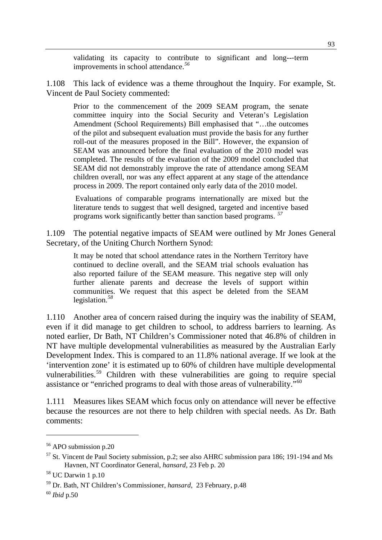validating its capacity to contribute to significant and long--‐term improvements in school attendance.*[56](#page-102-0)*

1.108 This lack of evidence was a theme throughout the Inquiry. For example, St. Vincent de Paul Society commented:

Prior to the commencement of the 2009 SEAM program, the senate committee inquiry into the Social Security and Veteran's Legislation Amendment (School Requirements) Bill emphasised that "…the outcomes of the pilot and subsequent evaluation must provide the basis for any further roll-out of the measures proposed in the Bill". However, the expansion of SEAM was announced before the final evaluation of the 2010 model was completed. The results of the evaluation of the 2009 model concluded that SEAM did not demonstrably improve the rate of attendance among SEAM children overall, nor was any effect apparent at any stage of the attendance process in 2009. The report contained only early data of the 2010 model.

 Evaluations of comparable programs internationally are mixed but the literature tends to suggest that well designed, targeted and incentive based programs work significantly better than sanction based programs. *[57](#page-102-1)*

1.109 The potential negative impacts of SEAM were outlined by Mr Jones General Secretary, of the Uniting Church Northern Synod:

It may be noted that school attendance rates in the Northern Territory have continued to decline overall, and the SEAM trial schools evaluation has also reported failure of the SEAM measure. This negative step will only further alienate parents and decrease the levels of support within communities. We request that this aspect be deleted from the SEAM legislation.*[58](#page-102-2)*

1.110 Another area of concern raised during the inquiry was the inability of SEAM, even if it did manage to get children to school, to address barriers to learning. As noted earlier, Dr Bath, NT Children's Commissioner noted that 46.8% of children in NT have multiple developmental vulnerabilities as measured by the Australian Early Development Index. This is compared to an 11.8% national average. If we look at the 'intervention zone' it is estimated up to 60% of children have multiple developmental vulnerabilities.<sup>[59](#page-102-3)</sup> Children with these vulnerabilities are going to require special assistance or "enriched programs to deal with those areas of vulnerability."[60](#page-102-4)

1.111 Measures likes SEAM which focus only on attendance will never be effective because the resources are not there to help children with special needs. As Dr. Bath comments:

<span id="page-102-0"></span><sup>&</sup>lt;sup>56</sup> APO submission p.20

<span id="page-102-1"></span> $57$  St. Vincent de Paul Society submission, p.2; see also AHRC submission para 186; 191-194 and Ms Havnen, NT Coordinator General, *hansard*, 23 Feb p. 20

<span id="page-102-2"></span><sup>58</sup> UC Darwin 1 p.10

<span id="page-102-3"></span><sup>59</sup> Dr. Bath, NT Children's Commissioner, *hansard*, 23 February, p.48

<span id="page-102-4"></span><sup>60</sup> *Ibid* p.50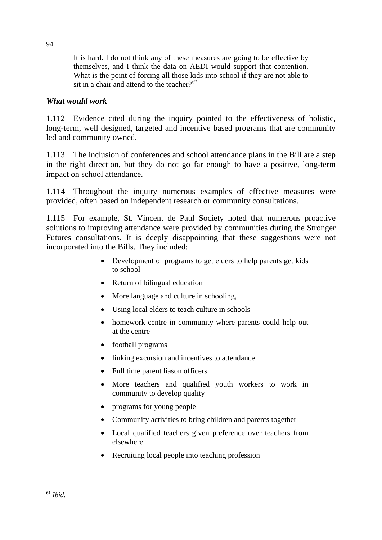It is hard. I do not think any of these measures are going to be effective by themselves, and I think the data on AEDI would support that contention. What is the point of forcing all those kids into school if they are not able to sit in a chair and attend to the teacher?*[61](#page-103-0)*

#### *What would work*

1.112 Evidence cited during the inquiry pointed to the effectiveness of holistic, long-term, well designed, targeted and incentive based programs that are community led and community owned.

1.113 The inclusion of conferences and school attendance plans in the Bill are a step in the right direction, but they do not go far enough to have a positive, long-term impact on school attendance.

1.114 Throughout the inquiry numerous examples of effective measures were provided, often based on independent research or community consultations.

1.115 For example, St. Vincent de Paul Society noted that numerous proactive solutions to improving attendance were provided by communities during the Stronger Futures consultations. It is deeply disappointing that these suggestions were not incorporated into the Bills. They included:

- Development of programs to get elders to help parents get kids to school
- Return of bilingual education
- More language and culture in schooling,
- Using local elders to teach culture in schools
- homework centre in community where parents could help out at the centre
- football programs
- linking excursion and incentives to attendance
- Full time parent liason officers
- More teachers and qualified youth workers to work in community to develop quality
- programs for young people
- Community activities to bring children and parents together
- Local qualified teachers given preference over teachers from elsewhere
- <span id="page-103-0"></span>• Recruiting local people into teaching profession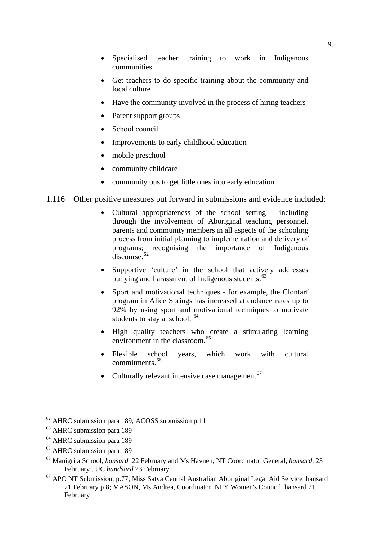- Specialised teacher training to work in Indigenous communities
- Get teachers to do specific training about the community and local culture
- Have the community involved in the process of hiring teachers
- Parent support groups
- School council
- Improvements to early childhood education
- mobile preschool
- community childcare
- community bus to get little ones into early education
- 1.116 Other positive measures put forward in submissions and evidence included:
	- Cultural appropriateness of the school setting  $-$  including through the involvement of Aboriginal teaching personnel, parents and community members in all aspects of the schooling process from initial planning to implementation and delivery of programs; recognising the importance of Indigenous discourse.<sup>[62](#page-104-0)</sup>
	- Supportive 'culture' in the school that actively addresses bullying and harassment of Indigenous students.<sup>[63](#page-104-1)</sup>
	- Sport and motivational techniques for example, the Clontarf program in Alice Springs has increased attendance rates up to 92% by using sport and motivational techniques to motivate students to stay at school. <sup>[64](#page-104-2)</sup>
	- High quality teachers who create a stimulating learning environment in the classroom.<sup>[65](#page-104-3)</sup>
	- Flexible school years, which work with cultural commitments.<sup>[66](#page-104-4)</sup>
	- Culturally relevant intensive case management<sup> $67$ </sup>

<span id="page-104-0"></span> $62$  AHRC submission para 189; ACOSS submission p.11

<span id="page-104-1"></span><sup>&</sup>lt;sup>63</sup> AHRC submission para 189

<span id="page-104-2"></span><sup>&</sup>lt;sup>64</sup> AHRC submission para 189

<span id="page-104-3"></span><sup>&</sup>lt;sup>65</sup> AHRC submission para 189

<span id="page-104-4"></span><sup>66</sup> Manigrita School, *hansard* 22 February and Ms Havnen, NT Coordinator General, *hansard*, 23 February , UC *handsard* 23 February

<span id="page-104-5"></span> $67$  APO NT Submission, p.77; Miss Satya Central Australian Aboriginal Legal Aid Service hansard 21 February p.8; MASON, Ms Andrea, Coordinator, NPY Women's Council, hansard 21 February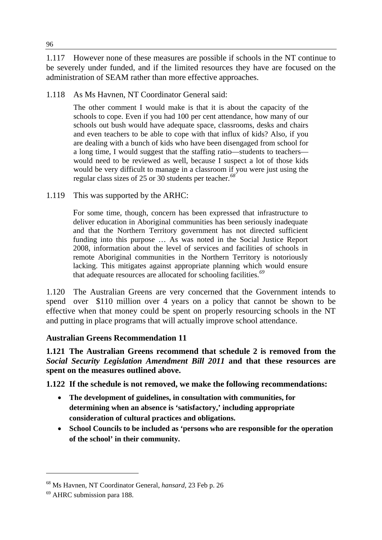1.117 However none of these measures are possible if schools in the NT continue to be severely under funded, and if the limited resources they have are focused on the administration of SEAM rather than more effective approaches.

1.118 As Ms Havnen, NT Coordinator General said:

The other comment I would make is that it is about the capacity of the schools to cope. Even if you had 100 per cent attendance, how many of our schools out bush would have adequate space, classrooms, desks and chairs and even teachers to be able to cope with that influx of kids? Also, if you are dealing with a bunch of kids who have been disengaged from school for a long time, I would suggest that the staffing ratio—students to teachers would need to be reviewed as well, because I suspect a lot of those kids would be very difficult to manage in a classroom if you were just using the regular class sizes of 25 or 30 students per teacher.*[68](#page-105-0)*

1.119 This was supported by the ARHC:

For some time, though, concern has been expressed that infrastructure to deliver education in Aboriginal communities has been seriously inadequate and that the Northern Territory government has not directed sufficient funding into this purpose … As was noted in the Social Justice Report 2008, information about the level of services and facilities of schools in remote Aboriginal communities in the Northern Territory is notoriously lacking. This mitigates against appropriate planning which would ensure that adequate resources are allocated for schooling facilities.*[69](#page-105-1)*

1.120 The Australian Greens are very concerned that the Government intends to spend over \$110 million over 4 years on a policy that cannot be shown to be effective when that money could be spent on properly resourcing schools in the NT and putting in place programs that will actually improve school attendance.

## **Australian Greens Recommendation 11**

**1.121 The Australian Greens recommend that schedule 2 is removed from the**  *Social Security Legislation Amendment Bill 2011* **and that these resources are spent on the measures outlined above.** 

**1.122 If the schedule is not removed, we make the following recommendations:** 

- **The development of guidelines, in consultation with communities, for determining when an absence is 'satisfactory,' including appropriate consideration of cultural practices and obligations.**
- **School Councils to be included as 'persons who are responsible for the operation of the school' in their community.**

<span id="page-105-0"></span><sup>68</sup> Ms Havnen, NT Coordinator General, *hansard,* 23 Feb p. 26

<span id="page-105-1"></span><sup>69</sup> AHRC submission para 188.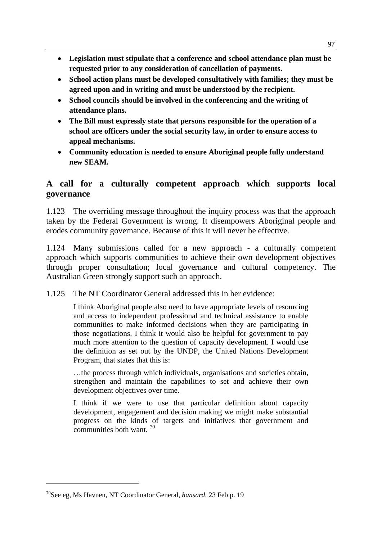- **Legislation must stipulate that a conference and school attendance plan must be requested prior to any consideration of cancellation of payments.**
- **School action plans must be developed consultatively with families; they must be agreed upon and in writing and must be understood by the recipient.**
- **School councils should be involved in the conferencing and the writing of attendance plans.**
- **The Bill must expressly state that persons responsible for the operation of a school are officers under the social security law, in order to ensure access to appeal mechanisms.**
- **Community education is needed to ensure Aboriginal people fully understand new SEAM.**

# **A call for a culturally competent approach which supports local governance**

1.123 The overriding message throughout the inquiry process was that the approach taken by the Federal Government is wrong. It disempowers Aboriginal people and erodes community governance. Because of this it will never be effective.

1.124 Many submissions called for a new approach - a culturally competent approach which supports communities to achieve their own development objectives through proper consultation; local governance and cultural competency. The Australian Green strongly support such an approach.

1.125 The NT Coordinator General addressed this in her evidence:

I think Aboriginal people also need to have appropriate levels of resourcing and access to independent professional and technical assistance to enable communities to make informed decisions when they are participating in those negotiations. I think it would also be helpful for government to pay much more attention to the question of capacity development. I would use the definition as set out by the UNDP, the United Nations Development Program, that states that this is:

…the process through which individuals, organisations and societies obtain, strengthen and maintain the capabilities to set and achieve their own development objectives over time.

I think if we were to use that particular definition about capacity development, engagement and decision making we might make substantial progress on the kinds of targets and initiatives that government and communities both want. [70](#page-106-0)

<span id="page-106-0"></span><sup>70</sup>See eg, Ms Havnen, NT Coordinator General, *hansard,* 23 Feb p. 19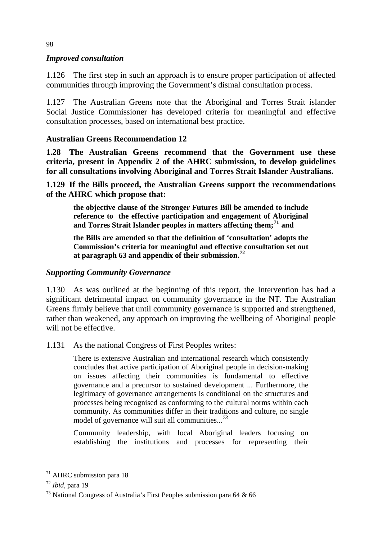#### *Improved consultation*

1.126 The first step in such an approach is to ensure proper participation of affected communities through improving the Government's dismal consultation process.

1.127 The Australian Greens note that the Aboriginal and Torres Strait islander Social Justice Commissioner has developed criteria for meaningful and effective consultation processes, based on international best practice.

## **Australian Greens Recommendation 12**

**1.28 The Australian Greens recommend that the Government use these criteria, present in Appendix 2 of the AHRC submission, to develop guidelines for all consultations involving Aboriginal and Torres Strait Islander Australians.** 

**1.129 If the Bills proceed, the Australian Greens support the recommendations of the AHRC which propose that:** 

**the objective clause of the Stronger Futures Bill be amended to include reference to the effective participation and engagement of Aboriginal and Torres Strait Islander peoples in matters affecting them;[71](#page-107-0) and** 

**the Bills are amended so that the definition of 'consultation' adopts the Commission's criteria for meaningful and effective consultation set out at paragraph 63 and appendix of their submission.[72](#page-107-1)**

#### *Supporting Community Governance*

1.130 As was outlined at the beginning of this report, the Intervention has had a significant detrimental impact on community governance in the NT. The Australian Greens firmly believe that until community governance is supported and strengthened, rather than weakened, any approach on improving the wellbeing of Aboriginal people will not be effective.

1.131 As the national Congress of First Peoples writes:

There is extensive Australian and international research which consistently concludes that active participation of Aboriginal people in decision-making on issues affecting their communities is fundamental to effective governance and a precursor to sustained development ... Furthermore, the legitimacy of governance arrangements is conditional on the structures and processes being recognised as conforming to the cultural norms within each community. As communities differ in their traditions and culture, no single model of governance will suit all communities...*[73](#page-107-2)*

Community leadership, with local Aboriginal leaders focusing on establishing the institutions and processes for representing their

<span id="page-107-0"></span> $71$  AHRC submission para 18

<span id="page-107-1"></span><sup>72</sup> *Ibid,* para 19

<span id="page-107-2"></span><sup>&</sup>lt;sup>73</sup> National Congress of Australia's First Peoples submission para 64  $\&$  66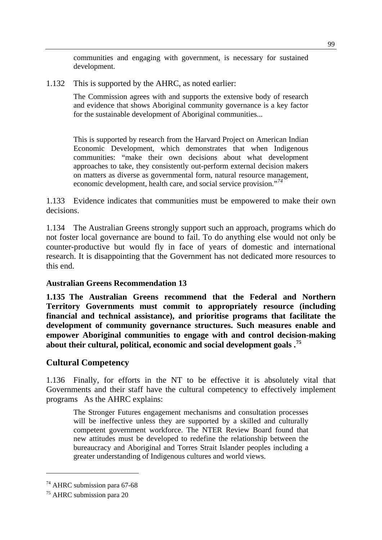communities and engaging with government, is necessary for sustained development.

1.132 This is supported by the AHRC, as noted earlier:

The Commission agrees with and supports the extensive body of research and evidence that shows Aboriginal community governance is a key factor for the sustainable development of Aboriginal communities...

This is supported by research from the Harvard Project on American Indian Economic Development, which demonstrates that when Indigenous communities: "make their own decisions about what development approaches to take, they consistently out-perform external decision makers on matters as diverse as governmental form, natural resource management, economic development, health care, and social service provision."*[74](#page-108-0)*

1.133 Evidence indicates that communities must be empowered to make their own decisions.

1.134 The Australian Greens strongly support such an approach, programs which do not foster local governance are bound to fail. To do anything else would not only be counter-productive but would fly in face of years of domestic and international research. It is disappointing that the Government has not dedicated more resources to this end.

# **Australian Greens Recommendation 13**

**1.135 The Australian Greens recommend that the Federal and Northern Territory Governments must commit to appropriately resource (including financial and technical assistance), and prioritise programs that facilitate the development of community governance structures. Such measures enable and empower Aboriginal communities to engage with and control decision-making about their cultural, political, economic and social development goals .[75](#page-108-1)**

# **Cultural Competency**

1.136 Finally, for efforts in the NT to be effective it is absolutely vital that Governments and their staff have the cultural competency to effectively implement programs As the AHRC explains:

The Stronger Futures engagement mechanisms and consultation processes will be ineffective unless they are supported by a skilled and culturally competent government workforce. The NTER Review Board found that new attitudes must be developed to redefine the relationship between the bureaucracy and Aboriginal and Torres Strait Islander peoples including a greater understanding of Indigenous cultures and world views.

 $\overline{a}$ 

<span id="page-108-0"></span><sup>&</sup>lt;sup>74</sup> AHRC submission para 67-68

<span id="page-108-1"></span><sup>&</sup>lt;sup>75</sup> AHRC submission para 20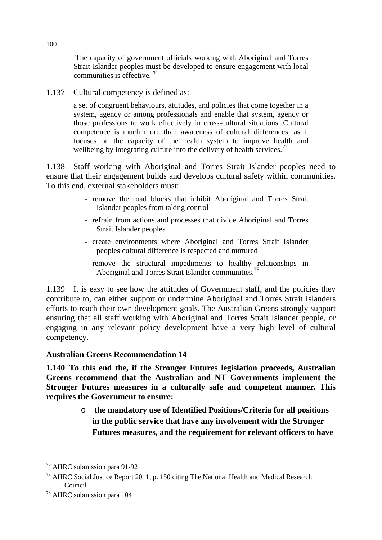The capacity of government officials working with Aboriginal and Torres Strait Islander peoples must be developed to ensure engagement with local communities is effective.*[76](#page-109-0)*

1.137 Cultural competency is defined as:

a set of congruent behaviours, attitudes, and policies that come together in a system, agency or among professionals and enable that system, agency or those professions to work effectively in cross-cultural situations. Cultural competence is much more than awareness of cultural differences, as it focuses on the capacity of the health system to improve health and wellbeing by integrating culture into the delivery of health services.*[77](#page-109-1)*

1.138 Staff working with Aboriginal and Torres Strait Islander peoples need to ensure that their engagement builds and develops cultural safety within communities. To this end, external stakeholders must:

- remove the road blocks that inhibit Aboriginal and Torres Strait Islander peoples from taking control
- refrain from actions and processes that divide Aboriginal and Torres Strait Islander peoples
- create environments where Aboriginal and Torres Strait Islander peoples cultural difference is respected and nurtured
- remove the structural impediments to healthy relationships in Aboriginal and Torres Strait Islander communities.<sup>[78](#page-109-2)</sup>

1.139 It is easy to see how the attitudes of Government staff, and the policies they contribute to, can either support or undermine Aboriginal and Torres Strait Islanders efforts to reach their own development goals. The Australian Greens strongly support ensuring that all staff working with Aboriginal and Torres Strait Islander people, or engaging in any relevant policy development have a very high level of cultural competency.

# **Australian Greens Recommendation 14**

**1.140 To this end the, if the Stronger Futures legislation proceeds, Australian Greens recommend that the Australian and NT Governments implement the Stronger Futures measures in a culturally safe and competent manner. This requires the Government to ensure:** 

> o **the mandatory use of Identified Positions/Criteria for all positions in the public service that have any involvement with the Stronger Futures measures, and the requirement for relevant officers to have**

 $\overline{a}$ 

<span id="page-109-0"></span><sup>76</sup> AHRC submission para 91-92

<span id="page-109-1"></span> $^{77}$  AHRC Social Justice Report 2011, p. 150 citing The National Health and Medical Research Council

<span id="page-109-2"></span><sup>78</sup> AHRC submission para 104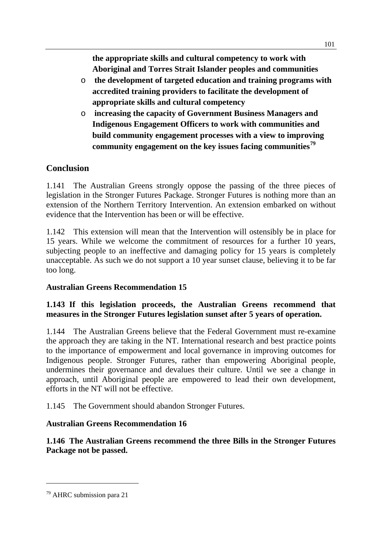**the appropriate skills and cultural competency to work with Aboriginal and Torres Strait Islander peoples and communities** 

- o **the development of targeted education and training programs with accredited training providers to facilitate the development of appropriate skills and cultural competency**
- o **increasing the capacity of Government Business Managers and Indigenous Engagement Officers to work with communities and build community engagement processes with a view to improving community engagement on the key issues facing communities[79](#page-110-0)**

# **Conclusion**

1.141 The Australian Greens strongly oppose the passing of the three pieces of legislation in the Stronger Futures Package. Stronger Futures is nothing more than an extension of the Northern Territory Intervention. An extension embarked on without evidence that the Intervention has been or will be effective.

1.142 This extension will mean that the Intervention will ostensibly be in place for 15 years. While we welcome the commitment of resources for a further 10 years, subjecting people to an ineffective and damaging policy for 15 years is completely unacceptable. As such we do not support a 10 year sunset clause, believing it to be far too long.

# **Australian Greens Recommendation 15**

# **1.143 If this legislation proceeds, the Australian Greens recommend that measures in the Stronger Futures legislation sunset after 5 years of operation.**

1.144 The Australian Greens believe that the Federal Government must re-examine the approach they are taking in the NT. International research and best practice points to the importance of empowerment and local governance in improving outcomes for Indigenous people. Stronger Futures, rather than empowering Aboriginal people, undermines their governance and devalues their culture. Until we see a change in approach, until Aboriginal people are empowered to lead their own development, efforts in the NT will not be effective.

1.145 The Government should abandon Stronger Futures.

# **Australian Greens Recommendation 16**

# **1.146 The Australian Greens recommend the three Bills in the Stronger Futures Package not be passed.**

 $\overline{a}$ 

<span id="page-110-0"></span><sup>79</sup> AHRC submission para 21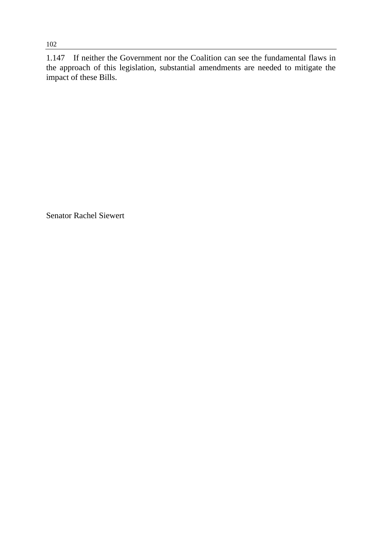1.147 If neither the Government nor the Coalition can see the fundamental flaws in the approach of this legislation, substantial amendments are needed to mitigate the impact of these Bills.

Senator Rachel Siewert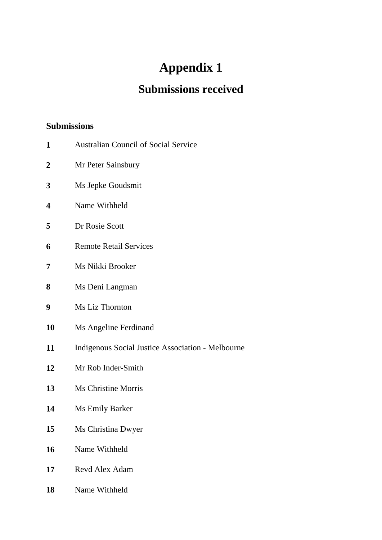# **Appendix 1**

# **Submissions received**

# **Submissions**

- Australian Council of Social Service
- Mr Peter Sainsbury
- Ms Jepke Goudsmit
- Name Withheld
- Dr Rosie Scott
- Remote Retail Services
- Ms Nikki Brooker
- Ms Deni Langman
- Ms Liz Thornton
- Ms Angeline Ferdinand
- Indigenous Social Justice Association Melbourne
- Mr Rob Inder-Smith
- Ms Christine Morris
- Ms Emily Barker
- Ms Christina Dwyer
- Name Withheld
- Revd Alex Adam
- Name Withheld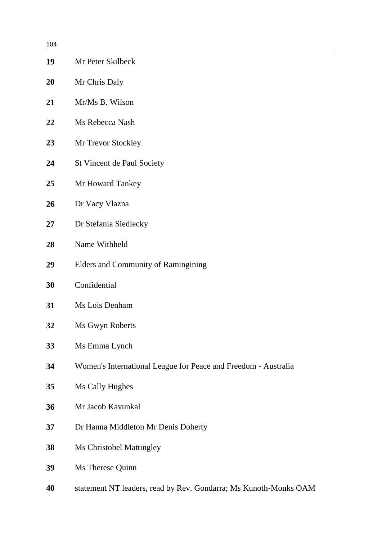| 104 |                                                                |
|-----|----------------------------------------------------------------|
| 19  | Mr Peter Skilbeck                                              |
| 20  | Mr Chris Daly                                                  |
| 21  | Mr/Ms B. Wilson                                                |
| 22  | Ms Rebecca Nash                                                |
| 23  | Mr Trevor Stockley                                             |
| 24  | St Vincent de Paul Society                                     |
| 25  | Mr Howard Tankey                                               |
| 26  | Dr Vacy Vlazna                                                 |
| 27  | Dr Stefania Siedlecky                                          |
| 28  | Name Withheld                                                  |
| 29  | Elders and Community of Ramingining                            |
| 30  | Confidential                                                   |
| 31  | Ms Lois Denham                                                 |
| 32  | Ms Gwyn Roberts                                                |
| 33  | Ms Emma Lynch                                                  |
| 34  | Women's International League for Peace and Freedom - Australia |
| 35  | Ms Cally Hughes                                                |
| 36  | Mr Jacob Kavunkal                                              |
| 37  | Dr Hanna Middleton Mr Denis Doherty                            |
| 38  | <b>Ms Christobel Mattingley</b>                                |
| 39  | Ms Therese Quinn                                               |
|     |                                                                |

statement NT leaders, read by Rev. Gondarra; Ms Kunoth-Monks OAM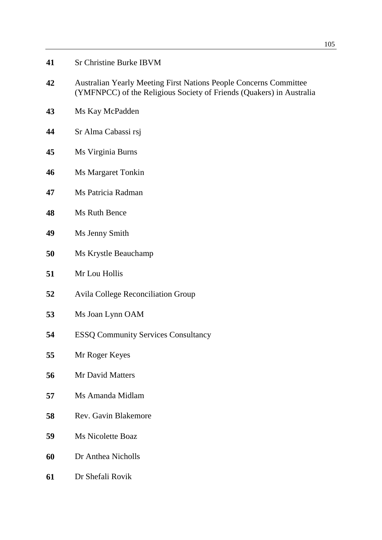- Australian Yearly Meeting First Nations People Concerns Committee (YMFNPCC) of the Religious Society of Friends (Quakers) in Australia
- Ms Kay McPadden
- Sr Alma Cabassi rsj
- Ms Virginia Burns
- Ms Margaret Tonkin
- Ms Patricia Radman
- Ms Ruth Bence
- Ms Jenny Smith
- Ms Krystle Beauchamp
- Mr Lou Hollis
- Avila College Reconciliation Group
- Ms Joan Lynn OAM
- ESSQ Community Services Consultancy
- Mr Roger Keyes
- Mr David Matters
- Ms Amanda Midlam
- Rev. Gavin Blakemore
- Ms Nicolette Boaz
- Dr Anthea Nicholls
- Dr Shefali Rovik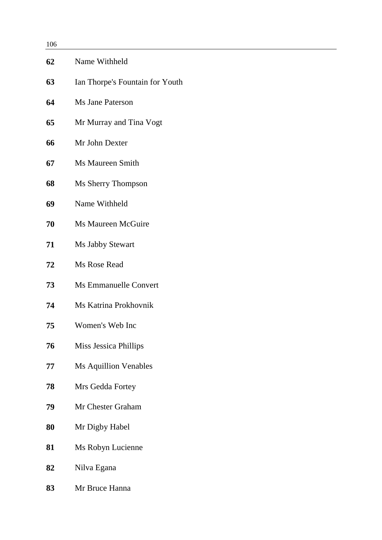| 106 |                                 |
|-----|---------------------------------|
| 62  | Name Withheld                   |
| 63  | Ian Thorpe's Fountain for Youth |
|     |                                 |

- Ms Jane Paterson
- Mr Murray and Tina Vogt
- Mr John Dexter
- Ms Maureen Smith
- Ms Sherry Thompson
- Name Withheld
- Ms Maureen McGuire
- Ms Jabby Stewart
- Ms Rose Read
- Ms Emmanuelle Convert
- Ms Katrina Prokhovnik
- Women's Web Inc
- Miss Jessica Phillips
- Ms Aquillion Venables
- Mrs Gedda Fortey
- Mr Chester Graham
- Mr Digby Habel
- Ms Robyn Lucienne
- Nilva Egana
- Mr Bruce Hanna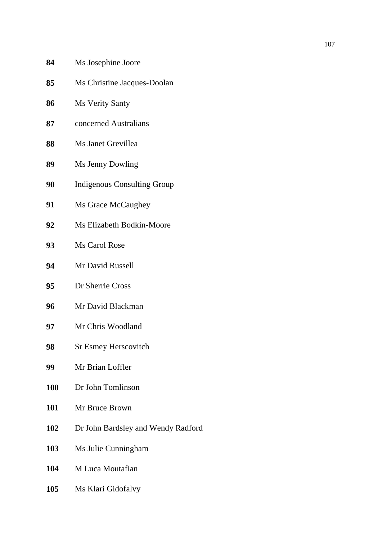| 84         | Ms Josephine Joore                 |
|------------|------------------------------------|
| 85         | Ms Christine Jacques-Doolan        |
| 86         | <b>Ms Verity Santy</b>             |
| 87         | concerned Australians              |
| 88         | Ms Janet Grevillea                 |
| 89         | Ms Jenny Dowling                   |
| 90         | <b>Indigenous Consulting Group</b> |
| 91         | Ms Grace McCaughey                 |
| 92         | Ms Elizabeth Bodkin-Moore          |
| 93         | Ms Carol Rose                      |
| 94         | Mr David Russell                   |
| 95         | Dr Sherrie Cross                   |
| 96         | Mr David Blackman                  |
| 97         | Mr Chris Woodland                  |
| 98         | <b>Sr Esmey Herscovitch</b>        |
| 99         | Mr Brian Loffler                   |
| <b>100</b> | Dr John Tomlinson                  |
| 101        | Mr Bruce Brown                     |
| 102        | Dr John Bardsley and Wendy         |
| 103        | Ms Julie Cunningham                |

M Luca Moutafian

Radford

Ms Klari Gidofalvy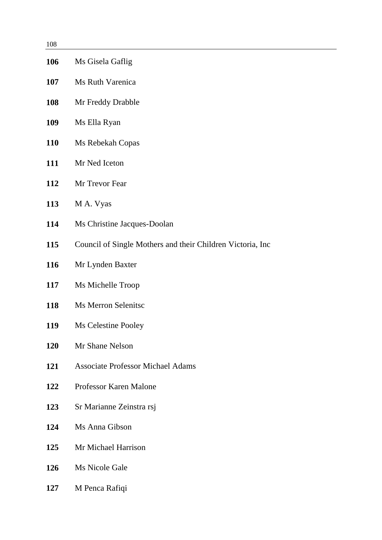| 108 |                                                            |
|-----|------------------------------------------------------------|
| 106 | Ms Gisela Gaflig                                           |
| 107 | Ms Ruth Varenica                                           |
| 108 | Mr Freddy Drabble                                          |
| 109 | Ms Ella Ryan                                               |
| 110 | Ms Rebekah Copas                                           |
| 111 | Mr Ned Iceton                                              |
| 112 | Mr Trevor Fear                                             |
| 113 | M A. Vyas                                                  |
| 114 | Ms Christine Jacques-Doolan                                |
| 115 | Council of Single Mothers and their Children Victoria, Inc |
| 116 | Mr Lynden Baxter                                           |
| 117 | Ms Michelle Troop                                          |
| 118 | <b>Ms Merron Selenitsc</b>                                 |
| 119 | Ms Celestine Pooley                                        |
| 120 | Mr Shane Nelson                                            |
| 121 | <b>Associate Professor Michael Adams</b>                   |
| 122 | Professor Karen Malone                                     |
| 123 | Sr Marianne Zeinstra rsj                                   |
| 124 | Ms Anna Gibson                                             |
| 125 | Mr Michael Harrison                                        |
| 126 | Ms Nicole Gale                                             |
| 127 | M Penca Rafiqi                                             |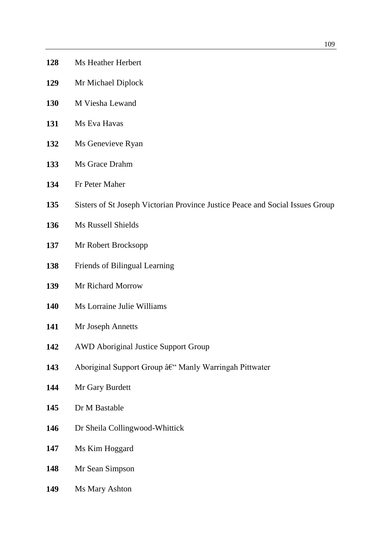- Ms Heather Herbert
- Mr Michael Diplock
- M Viesha Lewand
- Ms Eva Havas
- Ms Genevieve Ryan
- Ms Grace Drahm
- Fr Peter Maher
- Sisters of St Joseph Victorian Province Justice Peace and Social Issues Group
- Ms Russell Shields
- Mr Robert Brocksopp
- Friends of Bilingual Learning
- Mr Richard Morrow
- Ms Lorraine Julie Williams
- Mr Joseph Annetts
- AWD Aboriginal Justice Support Group
- Aboriginal Support Group Manly Warringah Pittwater
- Mr Gary Burdett
- Dr M Bastable
- Dr Sheila Collingwood-Whittick
- Ms Kim Hoggard
- Mr Sean Simpson
- Ms Mary Ashton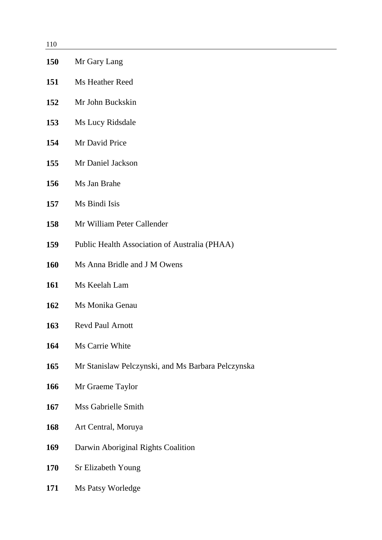| 110        |                                                    |
|------------|----------------------------------------------------|
| <b>150</b> | Mr Gary Lang                                       |
| 151        | Ms Heather Reed                                    |
| 152        | Mr John Buckskin                                   |
| 153        | Ms Lucy Ridsdale                                   |
| 154        | Mr David Price                                     |
| 155        | Mr Daniel Jackson                                  |
| 156        | Ms Jan Brahe                                       |
| 157        | Ms Bindi Isis                                      |
| 158        | Mr William Peter Callender                         |
| 159        | Public Health Association of Australia (PHAA)      |
| 160        | Ms Anna Bridle and J M Owens                       |
| 161        | Ms Keelah Lam                                      |
| 162        | Ms Monika Genau                                    |
| <b>163</b> | Revd Paul Arnott                                   |
| 164        | Ms Carrie White                                    |
| 165        | Mr Stanislaw Pelczynski, and Ms Barbara Pelczynska |
| 166        | Mr Graeme Taylor                                   |
| 167        | <b>Mss Gabrielle Smith</b>                         |
| 168        | Art Central, Moruya                                |
| 169        | Darwin Aboriginal Rights Coalition                 |
| 170        | Sr Elizabeth Young                                 |
| <b>171</b> | Ms Patsy Worledge                                  |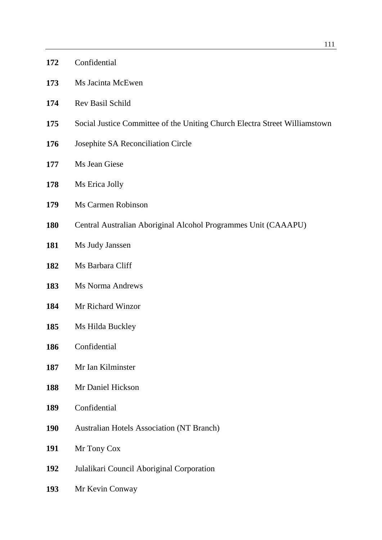|            | 111                                                                        |
|------------|----------------------------------------------------------------------------|
| 172        | Confidential                                                               |
| 173        | Ms Jacinta McEwen                                                          |
| 174        | Rev Basil Schild                                                           |
| 175        | Social Justice Committee of the Uniting Church Electra Street Williamstown |
| 176        | Josephite SA Reconciliation Circle                                         |
| 177        | Ms Jean Giese                                                              |
| 178        | Ms Erica Jolly                                                             |
| 179        | Ms Carmen Robinson                                                         |
| 180        | Central Australian Aboriginal Alcohol Programmes Unit (CAAAPU)             |
| 181        | Ms Judy Janssen                                                            |
| 182        | Ms Barbara Cliff                                                           |
| 183        | <b>Ms Norma Andrews</b>                                                    |
| 184        | Mr Richard Winzor                                                          |
| 185        | Ms Hilda Buckley                                                           |
| 186        | Confidential                                                               |
| 187        | Mr Ian Kilminster                                                          |
| 188        | Mr Daniel Hickson                                                          |
| 189        | Confidential                                                               |
| <b>190</b> | <b>Australian Hotels Association (NT Branch)</b>                           |
| 191        | Mr Tony Cox                                                                |
| 192        | Julalikari Council Aboriginal Corporation                                  |
| 193        | Mr Kevin Conway                                                            |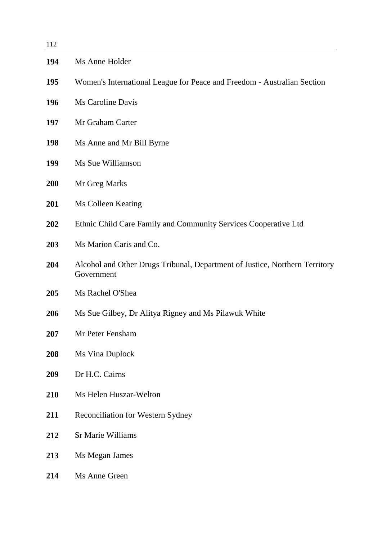| 112 |                                                                                           |
|-----|-------------------------------------------------------------------------------------------|
| 194 | Ms Anne Holder                                                                            |
| 195 | Women's International League for Peace and Freedom - Australian Section                   |
| 196 | <b>Ms Caroline Davis</b>                                                                  |
| 197 | Mr Graham Carter                                                                          |
| 198 | Ms Anne and Mr Bill Byrne                                                                 |
| 199 | Ms Sue Williamson                                                                         |
| 200 | Mr Greg Marks                                                                             |
| 201 | Ms Colleen Keating                                                                        |
| 202 | Ethnic Child Care Family and Community Services Cooperative Ltd                           |
| 203 | Ms Marion Caris and Co.                                                                   |
| 204 | Alcohol and Other Drugs Tribunal, Department of Justice, Northern Territory<br>Government |
| 205 | Ms Rachel O'Shea                                                                          |
| 206 | Ms Sue Gilbey, Dr Alitya Rigney and Ms Pilawuk White                                      |
| 207 | Mr Peter Fensham                                                                          |
| 208 | Ms Vina Duplock                                                                           |
| 209 | Dr H.C. Cairns                                                                            |
| 210 | Ms Helen Huszar-Welton                                                                    |
| 211 | Reconciliation for Western Sydney                                                         |
| 212 | <b>Sr Marie Williams</b>                                                                  |
| 213 | Ms Megan James                                                                            |
| 214 | Ms Anne Green                                                                             |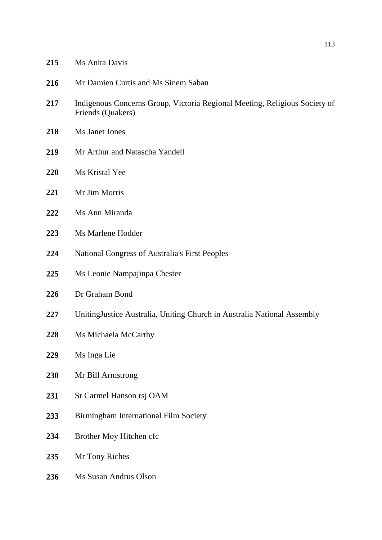| 215 | Ms Anita Davis |  |
|-----|----------------|--|
|-----|----------------|--|

- Mr Damien Curtis and Ms Sinem Saban
- Indigenous Concerns Group, Victoria Regional Meeting, Religious Society of Friends (Quakers)
- Ms Janet Jones
- Mr Arthur and Natascha Yandell
- Ms Kristal Yee
- Mr Jim Morris
- Ms Ann Miranda
- Ms Marlene Hodder
- National Congress of Australia's First Peoples
- Ms Leonie Nampajinpa Chester
- Dr Graham Bond
- UnitingJustice Australia, Uniting Church in Australia National Assembly
- Ms Michaela McCarthy
- Ms Inga Lie
- Mr Bill Armstrong
- Sr Carmel Hanson rsj OAM
- Birmingham International Film Society
- Brother Moy Hitchen cfc
- Mr Tony Riches
- Ms Susan Andrus Olson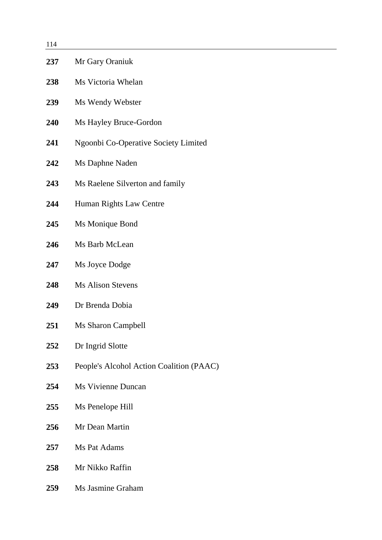| 114 |                                          |
|-----|------------------------------------------|
| 237 | Mr Gary Oraniuk                          |
| 238 | Ms Victoria Whelan                       |
| 239 | Ms Wendy Webster                         |
| 240 | Ms Hayley Bruce-Gordon                   |
| 241 | Ngoonbi Co-Operative Society Limited     |
| 242 | Ms Daphne Naden                          |
| 243 | Ms Raelene Silverton and family          |
| 244 | Human Rights Law Centre                  |
| 245 | Ms Monique Bond                          |
| 246 | Ms Barb McLean                           |
| 247 | Ms Joyce Dodge                           |
| 248 | <b>Ms Alison Stevens</b>                 |
| 249 | Dr Brenda Dobia                          |
| 251 | <b>Ms Sharon Campbell</b>                |
| 252 | Dr Ingrid Slotte                         |
| 253 | People's Alcohol Action Coalition (PAAC) |
| 254 | <b>Ms Vivienne Duncan</b>                |
| 255 | Ms Penelope Hill                         |
| 256 | Mr Dean Martin                           |
| 257 | Ms Pat Adams                             |
| 258 | Mr Nikko Raffin                          |
| 259 | Ms Jasmine Graham                        |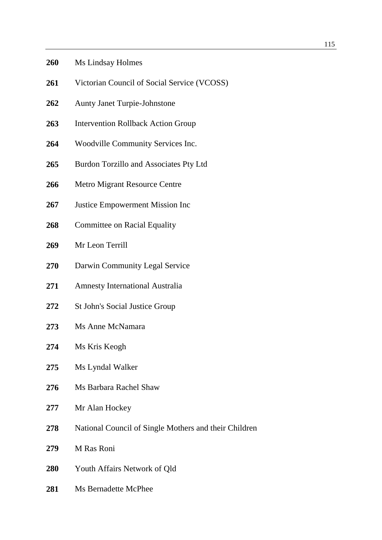## Ms Lindsay Holmes

- 261 Victorian Council of Social Service (VCOSS)
- Aunty Janet Turpie-Johnstone
- Intervention Rollback Action Group
- Woodville Community Services Inc.
- Burdon Torzillo and Associates Pty Ltd
- Metro Migrant Resource Centre
- Justice Empowerment Mission Inc
- 268 Committee on Racial Equality
- Mr Leon Terrill
- Darwin Community Legal Service
- Amnesty International Australia
- 272 St John's Social Justice Group
- Ms Anne McNamara
- Ms Kris Keogh
- Ms Lyndal Walker
- Ms Barbara Rachel Shaw
- Mr Alan Hockey
- National Council of Single Mothers and their Children
- M Ras Roni
- Youth Affairs Network of Qld
- Ms Bernadette McPhee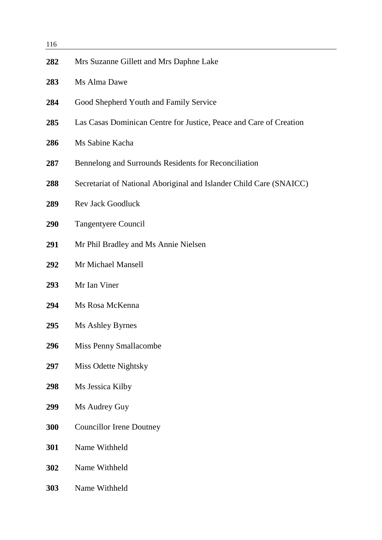| 116 |                                                                     |
|-----|---------------------------------------------------------------------|
| 282 | Mrs Suzanne Gillett and Mrs Daphne Lake                             |
| 283 | Ms Alma Dawe                                                        |
| 284 | Good Shepherd Youth and Family Service                              |
| 285 | Las Casas Dominican Centre for Justice, Peace and Care of Creation  |
| 286 | Ms Sabine Kacha                                                     |
| 287 | Bennelong and Surrounds Residents for Reconciliation                |
| 288 | Secretariat of National Aboriginal and Islander Child Care (SNAICC) |
| 289 | <b>Rev Jack Goodluck</b>                                            |
| 290 | Tangentyere Council                                                 |
| 291 | Mr Phil Bradley and Ms Annie Nielsen                                |
| 292 | Mr Michael Mansell                                                  |
| 293 | Mr Ian Viner                                                        |
| 294 | Ms Rosa McKenna                                                     |
| 295 | Ms Ashley Byrnes                                                    |
| 296 | Miss Penny Smallacombe                                              |
| 297 | Miss Odette Nightsky                                                |
| 298 | Ms Jessica Kilby                                                    |
| 299 | Ms Audrey Guy                                                       |
| 300 | <b>Councillor Irene Doutney</b>                                     |
| 301 | Name Withheld                                                       |
| 302 | Name Withheld                                                       |
| 303 | Name Withheld                                                       |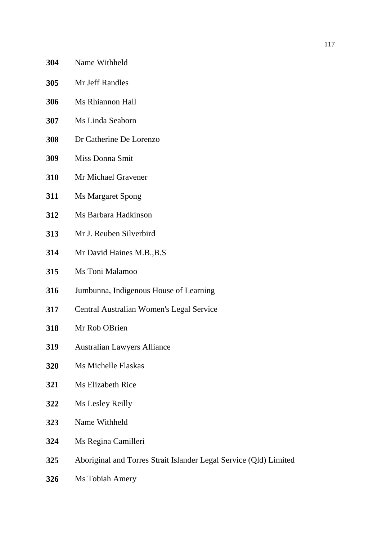- Name Withheld
- Mr Jeff Randles
- Ms Rhiannon Hall
- Ms Linda Seaborn
- Dr Catherine De Lorenzo
- Miss Donna Smit
- Mr Michael Gravener
- Ms Margaret Spong
- Ms Barbara Hadkinson
- Mr J. Reuben Silverbird
- Mr David Haines M.B.,B.S
- Ms Toni Malamoo
- Jumbunna, Indigenous House of Learning
- Central Australian Women's Legal Service
- Mr Rob OBrien
- Australian Lawyers Alliance
- Ms Michelle Flaskas
- Ms Elizabeth Rice
- Ms Lesley Reilly
- Name Withheld
- Ms Regina Camilleri
- Aboriginal and Torres Strait Islander Legal Service (Qld) Limited
- Ms Tobiah Amery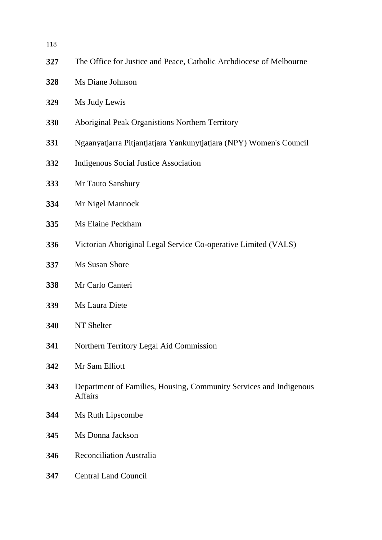Ms Judy Lewis

Ms Diane Johnson

- Aboriginal Peak Organistions Northern Territory
- Ngaanyatjarra Pitjantjatjara Yankunytjatjara (NPY) Women's Council
- Indigenous Social Justice Association
- Mr Tauto Sansbury
- Mr Nigel Mannock
- Ms Elaine Peckham
- Victorian Aboriginal Legal Service Co-operative Limited (VALS)
- Ms Susan Shore
- Mr Carlo Canteri
- Ms Laura Diete
- NT Shelter
- Northern Territory Legal Aid Commission
- Mr Sam Elliott
- Department of Families, Housing, Community Services and Indigenous Affairs
- Ms Ruth Lipscombe
- Ms Donna Jackson
- Reconciliation Australia
- Central Land Council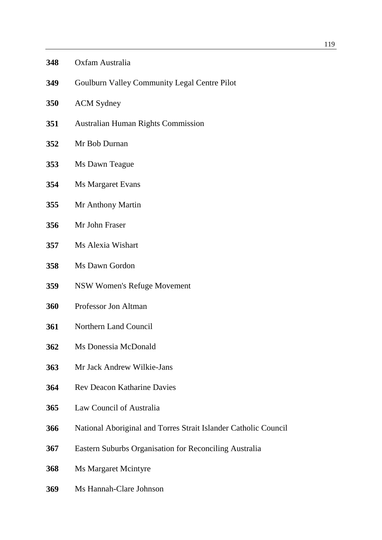#### Oxfam Australia

- Goulburn Valley Community Legal Centre Pilot
- ACM Sydney
- Australian Human Rights Commission
- Mr Bob Durnan
- Ms Dawn Teague
- Ms Margaret Evans
- Mr Anthony Martin
- Mr John Fraser
- Ms Alexia Wishart
- Ms Dawn Gordon
- NSW Women's Refuge Movement
- Professor Jon Altman
- Northern Land Council
- Ms Donessia McDonald
- Mr Jack Andrew Wilkie-Jans
- Rev Deacon Katharine Davies
- Law Council of Australia
- National Aboriginal and Torres Strait Islander Catholic Council
- Eastern Suburbs Organisation for Reconciling Australia
- Ms Margaret Mcintyre
- Ms Hannah-Clare Johnson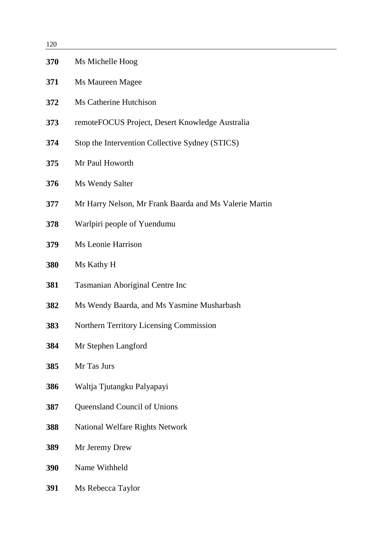| 120 |                                                        |
|-----|--------------------------------------------------------|
| 370 | Ms Michelle Hoog                                       |
| 371 | Ms Maureen Magee                                       |
| 372 | Ms Catherine Hutchison                                 |
| 373 | remoteFOCUS Project, Desert Knowledge Australia        |
| 374 | Stop the Intervention Collective Sydney (STICS)        |
| 375 | Mr Paul Howorth                                        |
| 376 | Ms Wendy Salter                                        |
| 377 | Mr Harry Nelson, Mr Frank Baarda and Ms Valerie Martin |
| 378 | Warlpiri people of Yuendumu                            |
| 379 | Ms Leonie Harrison                                     |
| 380 | Ms Kathy H                                             |
| 381 | Tasmanian Aboriginal Centre Inc                        |
| 382 | Ms Wendy Baarda, and Ms Yasmine Musharbash             |
| 383 | <b>Northern Territory Licensing Commission</b>         |
| 384 | Mr Stephen Langford                                    |
| 385 | Mr Tas Jurs                                            |
| 386 | Waltja Tjutangku Palyapayi                             |
| 387 | Queensland Council of Unions                           |
| 388 | <b>National Welfare Rights Network</b>                 |
| 389 | Mr Jeremy Drew                                         |
| 390 | Name Withheld                                          |
| 391 | Ms Rebecca Taylor                                      |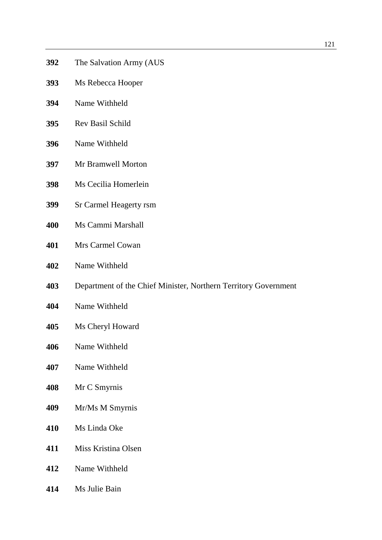- The Salvation Army (AUS
- Ms Rebecca Hooper
- Name Withheld
- Rev Basil Schild
- Name Withheld
- Mr Bramwell Morton
- Ms Cecilia Homerlein
- Sr Carmel Heagerty rsm
- Ms Cammi Marshall
- Mrs Carmel Cowan
- Name Withheld
- Department of the Chief Minister, Northern Territory Government
- Name Withheld
- Ms Cheryl Howard
- Name Withheld
- Name Withheld
- Mr C Smyrnis
- Mr/Ms M Smyrnis
- Ms Linda Oke
- Miss Kristina Olsen
- Name Withheld
- Ms Julie Bain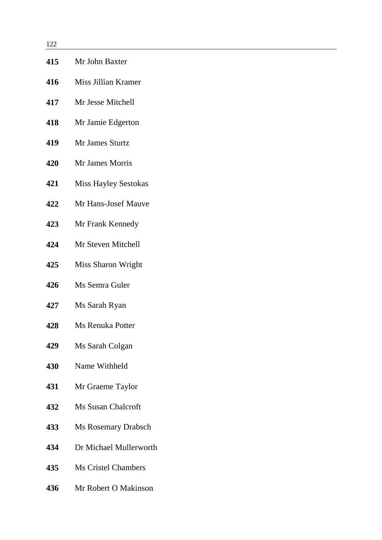| 1 2 2 |                             |
|-------|-----------------------------|
| 415   | Mr John Baxter              |
| 416   | Miss Jillian Kramer         |
| 417   | Mr Jesse Mitchell           |
| 418   | Mr Jamie Edgerton           |
| 419   | Mr James Sturtz             |
| 420   | Mr James Morris             |
| 421   | <b>Miss Hayley Sestokas</b> |
| 422   | Mr Hans-Josef Mauve         |
| 423   | Mr Frank Kennedy            |
| 424   | Mr Steven Mitchell          |
| 425   | Miss Sharon Wright          |
| 426   | Ms Semra Guler              |
| 427   | Ms Sarah Ryan               |
| 428   | <b>Ms Renuka Potter</b>     |
| 429   | Ms Sarah Colgan             |
| 430   | Name Withheld               |
| 431   | Mr Graeme Taylor            |
| 432   | <b>Ms Susan Chalcroft</b>   |
| 433   | <b>Ms Rosemary Drabsch</b>  |
| 434   | Dr Michael Mullerworth      |

- Ms Cristel Chambers
- Mr Robert O Makinson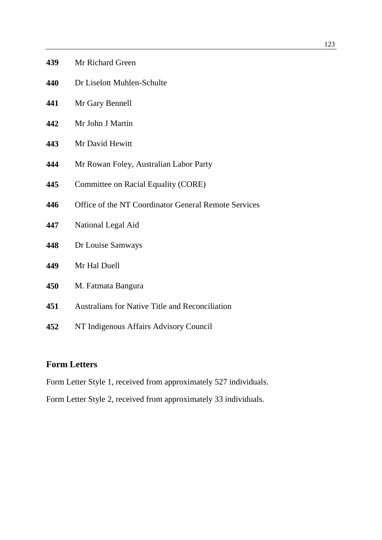| Mr Richard Green |
|------------------|
|                  |

- Dr Liselott Muhlen-Schulte
- Mr Gary Bennell
- Mr John J Martin
- Mr David Hewitt
- Mr Rowan Foley, Australian Labor Party
- Committee on Racial Equality (CORE)
- Office of the NT Coordinator General Remote Services
- National Legal Aid
- Dr Louise Samways
- Mr Hal Duell
- M. Fatmata Bangura
- Australians for Native Title and Reconciliation
- NT Indigenous Affairs Advisory Council

# **Form Letters**

Form Letter Style 1, received from approximately 527 individuals.

Form Letter Style 2, received from approximately 33 individuals.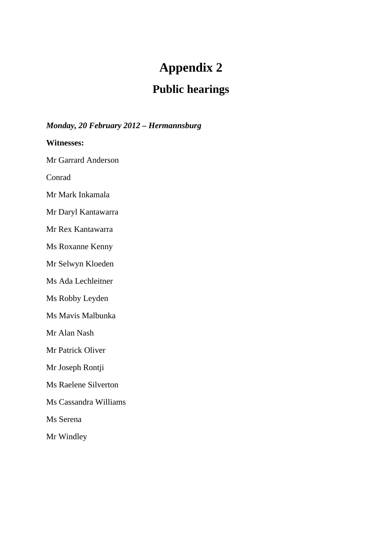# **Appendix 2**

# **Public hearings**

# *Monday, 20 February 2012 – Hermannsburg*

**Witnesses:**

Mr Garrard Anderson

Conrad

Mr Mark Inkamala

Mr Daryl Kantawarra

Mr Rex Kantawarra

Ms Roxanne Kenny

Mr Selwyn Kloeden

Ms Ada Lechleitner

Ms Robby Leyden

Ms Mavis Malbunka

Mr Alan Nash

Mr Patrick Oliver

Mr Joseph Rontji

Ms Raelene Silverton

Ms Cassandra Williams

Ms Serena

Mr Windley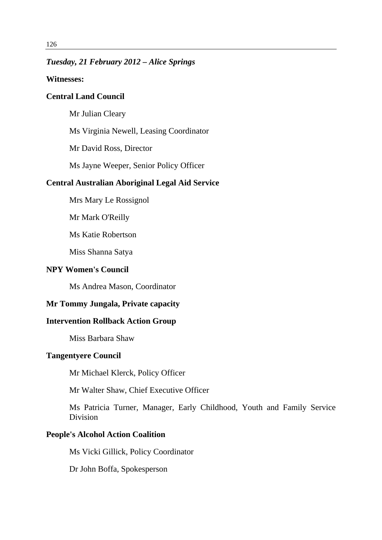### *Tuesday, 21 February 2012 – Alice Springs*

#### **Witnesses:**

# **Central Land Council**

Mr Julian Cleary

Ms Virginia Newell, Leasing Coordinator

Mr David Ross, Director

Ms Jayne Weeper, Senior Policy Officer

#### **Central Australian Aboriginal Legal Aid Service**

Mrs Mary Le Rossignol

Mr Mark O'Reilly

Ms Katie Robertson

Miss Shanna Satya

#### **NPY Women's Council**

Ms Andrea Mason, Coordinator

#### **Mr Tommy Jungala, Private capacity**

## **Intervention Rollback Action Group**

Miss Barbara Shaw

#### **Tangentyere Council**

Mr Michael Klerck, Policy Officer

Mr Walter Shaw, Chief Executive Officer

Ms Patricia Turner, Manager, Early Childhood, Youth and Family Service **Division** 

#### **People's Alcohol Action Coalition**

Ms Vicki Gillick, Policy Coordinator

Dr John Boffa, Spokesperson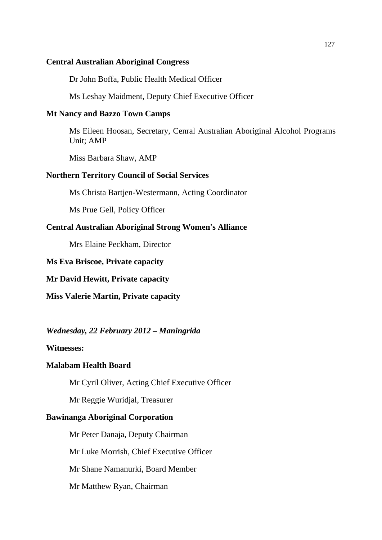#### **Central Australian Aboriginal Congress**

Dr John Boffa, Public Health Medical Officer

Ms Leshay Maidment, Deputy Chief Executive Officer

#### **Mt Nancy and Bazzo Town Camps**

Ms Eileen Hoosan, Secretary, Cenral Australian Aboriginal Alcohol Programs Unit; AMP

Miss Barbara Shaw, AMP

#### **Northern Territory Council of Social Services**

Ms Christa Bartjen-Westermann, Acting Coordinator

Ms Prue Gell, Policy Officer

# **Central Australian Aboriginal Strong Women's Alliance**

Mrs Elaine Peckham, Director

#### **Ms Eva Briscoe, Private capacity**

**Mr David Hewitt, Private capacity** 

**Miss Valerie Martin, Private capacity** 

#### *Wednesday, 22 February 2012 – Maningrida*

#### **Witnesses:**

#### **Malabam Health Board**

Mr Cyril Oliver, Acting Chief Executive Officer

Mr Reggie Wuridjal, Treasurer

#### **Bawinanga Aboriginal Corporation**

 Mr Peter Danaja, Deputy Chairman Mr Luke Morrish, Chief Executive Officer Mr Shane Namanurki, Board Member Mr Matthew Ryan, Chairman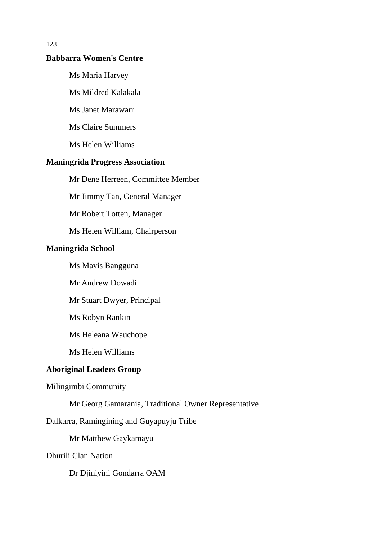#### **Babbarra Women's Centre**

Ms Maria Harvey

Ms Mildred Kalakala

Ms Janet Marawarr

Ms Claire Summers

Ms Helen Williams

#### **Maningrida Progress Association**

Mr Dene Herreen, Committee Member

Mr Jimmy Tan, General Manager

Mr Robert Totten, Manager

Ms Helen William, Chairperson

#### **Maningrida School**

Ms Mavis Bangguna

Mr Andrew Dowadi

Mr Stuart Dwyer, Principal

Ms Robyn Rankin

Ms Heleana Wauchope

Ms Helen Williams

### **Aboriginal Leaders Group**

Milingimbi Community

Mr Georg Gamarania, Traditional Owner Representative

Dalkarra, Ramingining and Guyapuyju Tribe

Mr Matthew Gaykamayu

Dhurili Clan Nation

Dr Djiniyini Gondarra OAM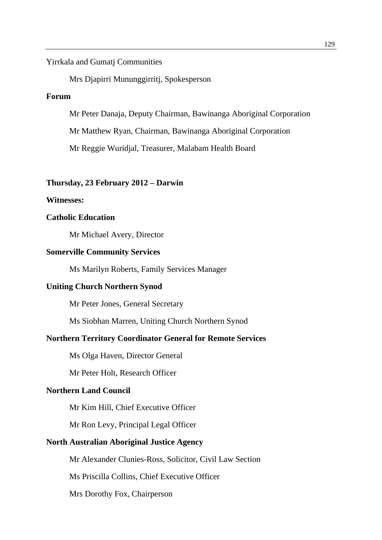Yirrkala and Gumatj Communities

Mrs Djapirri Mununggirritj, Spokesperson

# **Forum**

Mr Peter Danaja, Deputy Chairman, Bawinanga Aboriginal Corporation

Mr Matthew Ryan, Chairman, Bawinanga Aboriginal Corporation

Mr Reggie Wuridjal, Treasurer, Malabam Health Board

#### **Thursday, 23 February 2012 – Darwin**

#### **Witnesses:**

### **Catholic Education**

Mr Michael Avery, Director

#### **Somerville Community Services**

Ms Marilyn Roberts, Family Services Manager

#### **Uniting Church Northern Synod**

Mr Peter Jones, General Secretary

Ms Siobhan Marren, Uniting Church Northern Synod

#### **Northern Territory Coordinator General for Remote Services**

Ms Olga Haven, Director General

Mr Peter Holt, Research Officer

#### **Northern Land Council**

Mr Kim Hill, Chief Executive Officer

Mr Ron Levy, Principal Legal Officer

#### **North Australian Aboriginal Justice Agency**

Mr Alexander Clunies-Ross, Solicitor, Civil Law Section

Ms Priscilla Collins, Chief Executive Officer

Mrs Dorothy Fox, Chairperson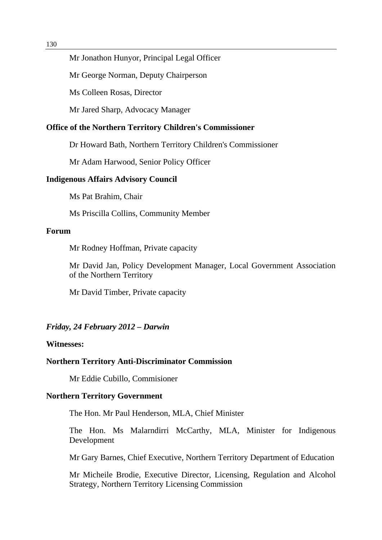#### Mr Jonathon Hunyor, Principal Legal Officer

Mr George Norman, Deputy Chairperson

Ms Colleen Rosas, Director

Mr Jared Sharp, Advocacy Manager

#### **Office of the Northern Territory Children's Commissioner**

Dr Howard Bath, Northern Territory Children's Commissioner

Mr Adam Harwood, Senior Policy Officer

#### **Indigenous Affairs Advisory Council**

Ms Pat Brahim, Chair

Ms Priscilla Collins, Community Member

#### **Forum**

Mr Rodney Hoffman, Private capacity

Mr David Jan, Policy Development Manager, Local Government Association of the Northern Territory

Mr David Timber, Private capacity

#### *Friday, 24 February 2012 – Darwin*

#### **Witnesses:**

#### **Northern Territory Anti-Discriminator Commission**

Mr Eddie Cubillo, Commisioner

#### **Northern Territory Government**

The Hon. Mr Paul Henderson, MLA, Chief Minister

The Hon. Ms Malarndirri McCarthy, MLA, Minister for Indigenous Development

Mr Gary Barnes, Chief Executive, Northern Territory Department of Education

Mr Micheile Brodie, Executive Director, Licensing, Regulation and Alcohol Strategy, Northern Territory Licensing Commission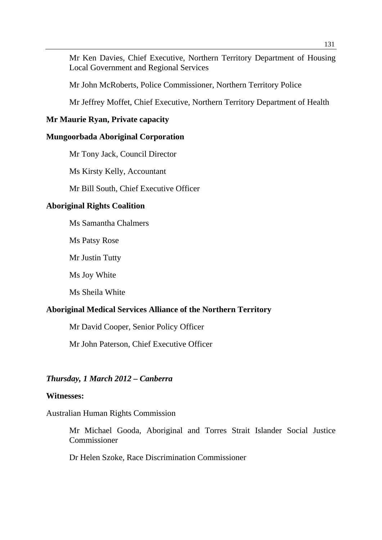Mr Ken Davies, Chief Executive, Northern Territory Department of Housing Local Government and Regional Services

Mr John McRoberts, Police Commissioner, Northern Territory Police

Mr Jeffrey Moffet, Chief Executive, Northern Territory Department of Health

# **Mr Maurie Ryan, Private capacity**

#### **Mungoorbada Aboriginal Corporation**

Mr Tony Jack, Council Director

Ms Kirsty Kelly, Accountant

Mr Bill South, Chief Executive Officer

#### **Aboriginal Rights Coalition**

Ms Samantha Chalmers

Ms Patsy Rose

Mr Justin Tutty

Ms Joy White

Ms Sheila White

#### **Aboriginal Medical Services Alliance of the Northern Territory**

Mr David Cooper, Senior Policy Officer

Mr John Paterson, Chief Executive Officer

#### *Thursday, 1 March 2012 – Canberra*

#### **Witnesses:**

Australian Human Rights Commission

Mr Michael Gooda, Aboriginal and Torres Strait Islander Social Justice Commissioner

Dr Helen Szoke, Race Discrimination Commissioner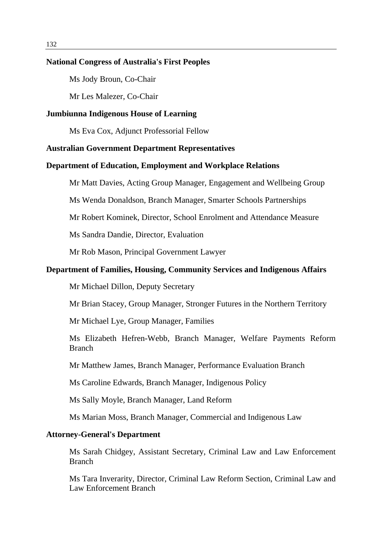#### **National Congress of Australia's First Peoples**

Ms Jody Broun, Co-Chair

Mr Les Malezer, Co-Chair

#### **Jumbiunna Indigenous House of Learning**

Ms Eva Cox, Adjunct Professorial Fellow

#### **Australian Government Department Representatives**

#### **Department of Education, Employment and Workplace Relations**

Mr Matt Davies, Acting Group Manager, Engagement and Wellbeing Group

Ms Wenda Donaldson, Branch Manager, Smarter Schools Partnerships

Mr Robert Kominek, Director, School Enrolment and Attendance Measure

Ms Sandra Dandie, Director, Evaluation

Mr Rob Mason, Principal Government Lawyer

#### **Department of Families, Housing, Community Services and Indigenous Affairs**

Mr Michael Dillon, Deputy Secretary

Mr Brian Stacey, Group Manager, Stronger Futures in the Northern Territory

Mr Michael Lye, Group Manager, Families

Ms Elizabeth Hefren-Webb, Branch Manager, Welfare Payments Reform Branch

Mr Matthew James, Branch Manager, Performance Evaluation Branch

Ms Caroline Edwards, Branch Manager, Indigenous Policy

Ms Sally Moyle, Branch Manager, Land Reform

Ms Marian Moss, Branch Manager, Commercial and Indigenous Law

#### **Attorney-General's Department**

Ms Sarah Chidgey, Assistant Secretary, Criminal Law and Law Enforcement Branch

Ms Tara Inverarity, Director, Criminal Law Reform Section, Criminal Law and Law Enforcement Branch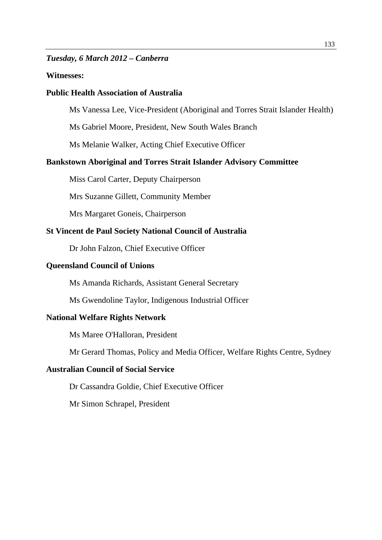#### *Tuesday, 6 March 2012 – Canberra*

#### **Witnesses:**

#### **Public Health Association of Australia**

Ms Vanessa Lee, Vice-President (Aboriginal and Torres Strait Islander Health)

Ms Gabriel Moore, President, New South Wales Branch

Ms Melanie Walker, Acting Chief Executive Officer

#### **Bankstown Aboriginal and Torres Strait Islander Advisory Committee**

Miss Carol Carter, Deputy Chairperson

Mrs Suzanne Gillett, Community Member

Mrs Margaret Goneis, Chairperson

#### **St Vincent de Paul Society National Council of Australia**

Dr John Falzon, Chief Executive Officer

#### **Queensland Council of Unions**

Ms Amanda Richards, Assistant General Secretary

Ms Gwendoline Taylor, Indigenous Industrial Officer

#### **National Welfare Rights Network**

Ms Maree O'Halloran, President

Mr Gerard Thomas, Policy and Media Officer, Welfare Rights Centre, Sydney

#### **Australian Council of Social Service**

Dr Cassandra Goldie, Chief Executive Officer

Mr Simon Schrapel, President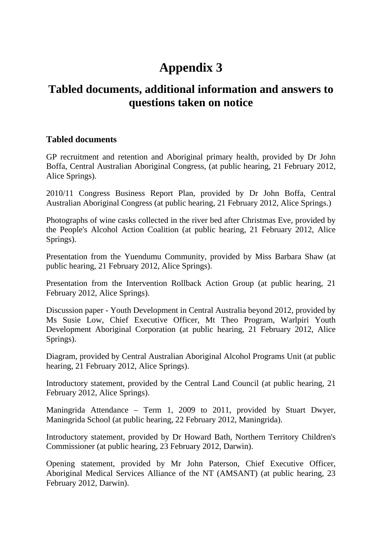# **Tabled documents, additional information and answers to questions taken on notice**

# **Tabled documents**

GP recruitment and retention and Aboriginal primary health, provided by Dr John Boffa, Central Australian Aboriginal Congress, (at public hearing, 21 February 2012, Alice Springs).

2010/11 Congress Business Report Plan, provided by Dr John Boffa, Central Australian Aboriginal Congress (at public hearing, 21 February 2012, Alice Springs.)

Photographs of wine casks collected in the river bed after Christmas Eve, provided by the People's Alcohol Action Coalition (at public hearing, 21 February 2012, Alice Springs).

Presentation from the Yuendumu Community, provided by Miss Barbara Shaw (at public hearing, 21 February 2012, Alice Springs).

Presentation from the Intervention Rollback Action Group (at public hearing, 21 February 2012, Alice Springs).

Discussion paper - Youth Development in Central Australia beyond 2012, provided by Ms Susie Low, Chief Executive Officer, Mt Theo Program, Warlpiri Youth Development Aboriginal Corporation (at public hearing, 21 February 2012, Alice Springs).

Diagram, provided by Central Australian Aboriginal Alcohol Programs Unit (at public hearing, 21 February 2012, Alice Springs).

Introductory statement, provided by the Central Land Council (at public hearing, 21 February 2012, Alice Springs).

Maningrida Attendance – Term 1, 2009 to 2011, provided by Stuart Dwyer, Maningrida School (at public hearing, 22 February 2012, Maningrida).

Introductory statement, provided by Dr Howard Bath, Northern Territory Children's Commissioner (at public hearing, 23 February 2012, Darwin).

Opening statement, provided by Mr John Paterson, Chief Executive Officer, Aboriginal Medical Services Alliance of the NT (AMSANT) (at public hearing, 23 February 2012, Darwin).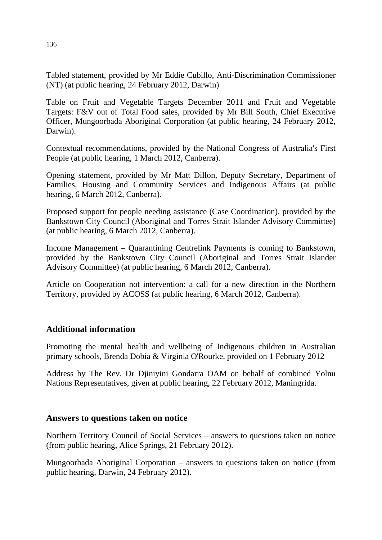Tabled statement, provided by Mr Eddie Cubillo, Anti-Discrimination Commissioner (NT) (at public hearing, 24 February 2012, Darwin)

Table on Fruit and Vegetable Targets December 2011 and Fruit and Vegetable Targets: F&V out of Total Food sales, provided by Mr Bill South, Chief Executive Officer, Mungoorbada Aboriginal Corporation (at public hearing, 24 February 2012, Darwin).

Contextual recommendations, provided by the National Congress of Australia's First People (at public hearing, 1 March 2012, Canberra).

Opening statement, provided by Mr Matt Dillon, Deputy Secretary, Department of Families, Housing and Community Services and Indigenous Affairs (at public hearing, 6 March 2012, Canberra).

Proposed support for people needing assistance (Case Coordination), provided by the Bankstown City Council (Aboriginal and Torres Strait Islander Advisory Committee) (at public hearing, 6 March 2012, Canberra).

Income Management – Quarantining Centrelink Payments is coming to Bankstown, provided by the Bankstown City Council (Aboriginal and Torres Strait Islander Advisory Committee) (at public hearing, 6 March 2012, Canberra).

Article on Cooperation not intervention: a call for a new direction in the Northern Territory, provided by ACOSS (at public hearing, 6 March 2012, Canberra).

# **Additional information**

Promoting the mental health and wellbeing of Indigenous children in Australian primary schools, Brenda Dobia & Virginia O'Rourke, provided on 1 February 2012

Address by The Rev. Dr Djiniyini Gondarra OAM on behalf of combined Yolnu Nations Representatives, given at public hearing, 22 February 2012, Maningrida.

# **Answers to questions taken on notice**

Northern Territory Council of Social Services – answers to questions taken on notice (from public hearing, Alice Springs, 21 February 2012).

Mungoorbada Aboriginal Corporation – answers to questions taken on notice (from public hearing, Darwin, 24 February 2012).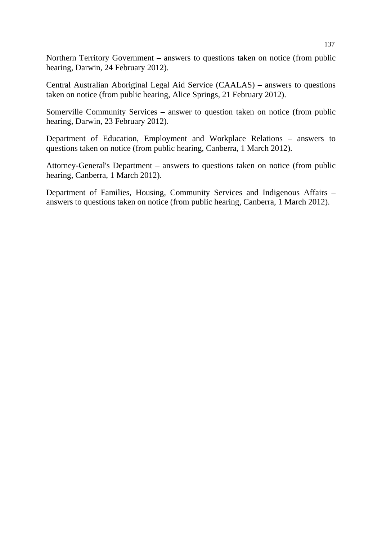Northern Territory Government – answers to questions taken on notice (from public hearing, Darwin, 24 February 2012).

Central Australian Aboriginal Legal Aid Service (CAALAS) – answers to questions taken on notice (from public hearing, Alice Springs, 21 February 2012).

Somerville Community Services – answer to question taken on notice (from public hearing, Darwin, 23 February 2012).

Department of Education, Employment and Workplace Relations – answers to questions taken on notice (from public hearing, Canberra, 1 March 2012).

Attorney-General's Department – answers to questions taken on notice (from public hearing, Canberra, 1 March 2012).

Department of Families, Housing, Community Services and Indigenous Affairs – answers to questions taken on notice (from public hearing, Canberra, 1 March 2012).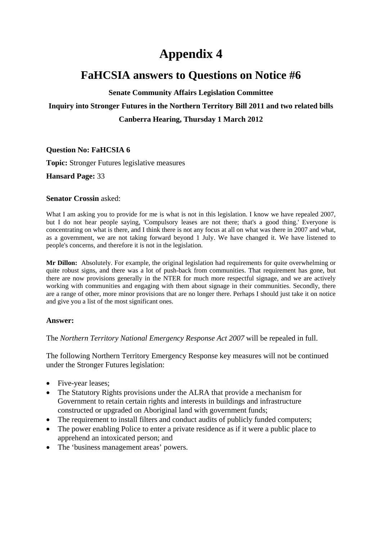# **FaHCSIA answers to Questions on Notice #6**

#### **Senate Community Affairs Legislation Committee**

## **Inquiry into Stronger Futures in the Northern Territory Bill 2011 and two related bills**

### **Canberra Hearing, Thursday 1 March 2012**

#### **Question No: FaHCSIA 6**

**Topic:** Stronger Futures legislative measures

**Hansard Page:** 33

#### **Senator Crossin** asked:

What I am asking you to provide for me is what is not in this legislation. I know we have repealed 2007, but I do not hear people saying, 'Compulsory leases are not there; that's a good thing.' Everyone is concentrating on what is there, and I think there is not any focus at all on what was there in 2007 and what, as a government, we are not taking forward beyond 1 July. We have changed it. We have listened to people's concerns, and therefore it is not in the legislation.

**Mr Dillon:** Absolutely. For example, the original legislation had requirements for quite overwhelming or quite robust signs, and there was a lot of push-back from communities. That requirement has gone, but there are now provisions generally in the NTER for much more respectful signage, and we are actively working with communities and engaging with them about signage in their communities. Secondly, there are a range of other, more minor provisions that are no longer there. Perhaps I should just take it on notice and give you a list of the most significant ones.

#### **Answer:**

The *Northern Territory National Emergency Response Act 2007* will be repealed in full.

The following Northern Territory Emergency Response key measures will not be continued under the Stronger Futures legislation:

- Five-year leases;
- The Statutory Rights provisions under the ALRA that provide a mechanism for Government to retain certain rights and interests in buildings and infrastructure constructed or upgraded on Aboriginal land with government funds;
- The requirement to install filters and conduct audits of publicly funded computers;
- The power enabling Police to enter a private residence as if it were a public place to apprehend an intoxicated person; and
- The 'business management areas' powers.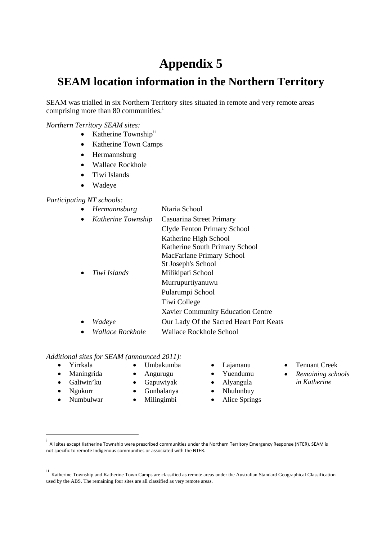# **SEAM location information in the Northern Territory**

SEAM was trialled in six Northern Territory sites situated in remote and very remote areas compr[i](#page-150-0)sing more than 80 communities.<sup>i</sup>

#### *Northern Territory SEAM sites:*

- Katherine Township<sup>[ii](#page-150-1)</sup>
- Katherine Town Camps
- Hermannsburg
- Wallace Rockhole
- Tiwi Islands
- Wadeye

#### *Participating NT schools:*

• *Hermannsburg* Ntaria School • *Katherine Township* Casuarina Street Primary Clyde Fenton Primary School Katherine High School Katherine South Primary School MacFarlane Primary School St Joseph's School • *Tiwi Islands* Milikipati School Murrupurtiyanuwu Pularumpi School Tiwi College Xavier Community Education Centre • *Wadeye* Our Lady Of the Sacred Heart Port Keats • *Wallace Rockhole* Wallace Rockhole School

#### *Additional sites for SEAM (announced 2011):*

- 
- Maningrida
- Galiwin'ku
- Ngukurr
- Numbulwar
- Angurugu
- Gapuwiyak
- Gunbalanya
- Milingimbi
- 
- Yuendumu
- Alyangula
- Nhulunbuy
- Alice Springs
- Yirrkala Umbakumba Lajamanu Tennant Creek
	- *Remaining schools in Katherine*
- <span id="page-150-0"></span> i All sites except Katherine Township were prescribed communities under the Northern Territory Emergency Response (NTER). SEAM is not specific to remote Indigenous communities or associated with the NTER.

<span id="page-150-1"></span>ii Katherine Township and Katherine Town Camps are classified as remote areas under the Australian Standard Geographical Classification used by the ABS. The remaining four sites are all classified as very remote areas.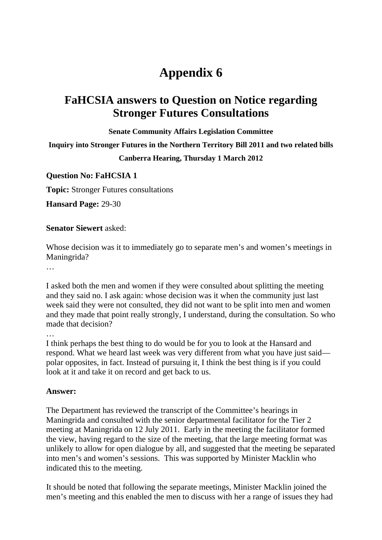# **FaHCSIA answers to Question on Notice regarding Stronger Futures Consultations**

**Senate Community Affairs Legislation Committee** 

**Inquiry into Stronger Futures in the Northern Territory Bill 2011 and two related bills** 

**Canberra Hearing, Thursday 1 March 2012** 

**Question No: FaHCSIA 1** 

**Topic:** Stronger Futures consultations

**Hansard Page:** 29-30

#### **Senator Siewert** asked:

Whose decision was it to immediately go to separate men's and women's meetings in Maningrida?

…

I asked both the men and women if they were consulted about splitting the meeting and they said no. I ask again: whose decision was it when the community just last week said they were not consulted, they did not want to be split into men and women and they made that point really strongly, I understand, during the consultation. So who made that decision?

…

I think perhaps the best thing to do would be for you to look at the Hansard and respond. What we heard last week was very different from what you have just said polar opposites, in fact. Instead of pursuing it, I think the best thing is if you could look at it and take it on record and get back to us.

#### **Answer:**

The Department has reviewed the transcript of the Committee's hearings in Maningrida and consulted with the senior departmental facilitator for the Tier 2 meeting at Maningrida on 12 July 2011. Early in the meeting the facilitator formed the view, having regard to the size of the meeting, that the large meeting format was unlikely to allow for open dialogue by all, and suggested that the meeting be separated into men's and women's sessions. This was supported by Minister Macklin who indicated this to the meeting.

It should be noted that following the separate meetings, Minister Macklin joined the men's meeting and this enabled the men to discuss with her a range of issues they had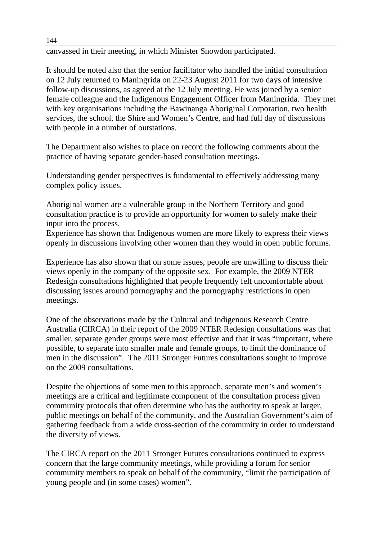canvassed in their meeting, in which Minister Snowdon participated.

It should be noted also that the senior facilitator who handled the initial consultation on 12 July returned to Maningrida on 22-23 August 2011 for two days of intensive follow-up discussions, as agreed at the 12 July meeting. He was joined by a senior female colleague and the Indigenous Engagement Officer from Maningrida. They met with key organisations including the Bawinanga Aboriginal Corporation, two health services, the school, the Shire and Women's Centre, and had full day of discussions with people in a number of outstations.

The Department also wishes to place on record the following comments about the practice of having separate gender-based consultation meetings.

Understanding gender perspectives is fundamental to effectively addressing many complex policy issues.

Aboriginal women are a vulnerable group in the Northern Territory and good consultation practice is to provide an opportunity for women to safely make their input into the process.

Experience has shown that Indigenous women are more likely to express their views openly in discussions involving other women than they would in open public forums.

Experience has also shown that on some issues, people are unwilling to discuss their views openly in the company of the opposite sex. For example, the 2009 NTER Redesign consultations highlighted that people frequently felt uncomfortable about discussing issues around pornography and the pornography restrictions in open meetings.

One of the observations made by the Cultural and Indigenous Research Centre Australia (CIRCA) in their report of the 2009 NTER Redesign consultations was that smaller, separate gender groups were most effective and that it was "important, where possible, to separate into smaller male and female groups, to limit the dominance of men in the discussion". The 2011 Stronger Futures consultations sought to improve on the 2009 consultations.

Despite the objections of some men to this approach, separate men's and women's meetings are a critical and legitimate component of the consultation process given community protocols that often determine who has the authority to speak at larger, public meetings on behalf of the community, and the Australian Government's aim of gathering feedback from a wide cross-section of the community in order to understand the diversity of views.

The CIRCA report on the 2011 Stronger Futures consultations continued to express concern that the large community meetings, while providing a forum for senior community members to speak on behalf of the community, "limit the participation of young people and (in some cases) women".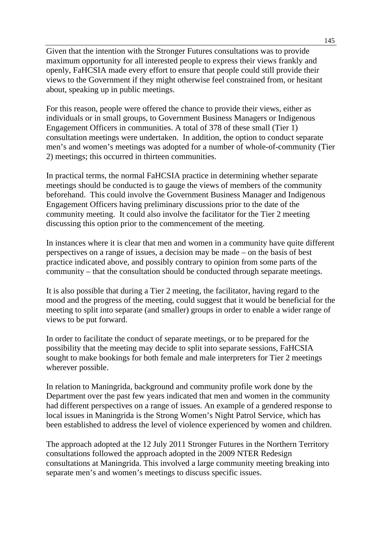Given that the intention with the Stronger Futures consultations was to provide maximum opportunity for all interested people to express their views frankly and openly, FaHCSIA made every effort to ensure that people could still provide their views to the Government if they might otherwise feel constrained from, or hesitant about, speaking up in public meetings.

For this reason, people were offered the chance to provide their views, either as individuals or in small groups, to Government Business Managers or Indigenous Engagement Officers in communities. A total of 378 of these small (Tier 1) consultation meetings were undertaken. In addition, the option to conduct separate men's and women's meetings was adopted for a number of whole-of-community (Tier 2) meetings; this occurred in thirteen communities.

In practical terms, the normal FaHCSIA practice in determining whether separate meetings should be conducted is to gauge the views of members of the community beforehand. This could involve the Government Business Manager and Indigenous Engagement Officers having preliminary discussions prior to the date of the community meeting. It could also involve the facilitator for the Tier 2 meeting discussing this option prior to the commencement of the meeting.

In instances where it is clear that men and women in a community have quite different perspectives on a range of issues, a decision may be made – on the basis of best practice indicated above, and possibly contrary to opinion from some parts of the community – that the consultation should be conducted through separate meetings.

It is also possible that during a Tier 2 meeting, the facilitator, having regard to the mood and the progress of the meeting, could suggest that it would be beneficial for the meeting to split into separate (and smaller) groups in order to enable a wider range of views to be put forward.

In order to facilitate the conduct of separate meetings, or to be prepared for the possibility that the meeting may decide to split into separate sessions, FaHCSIA sought to make bookings for both female and male interpreters for Tier 2 meetings wherever possible.

In relation to Maningrida, background and community profile work done by the Department over the past few years indicated that men and women in the community had different perspectives on a range of issues. An example of a gendered response to local issues in Maningrida is the Strong Women's Night Patrol Service, which has been established to address the level of violence experienced by women and children.

The approach adopted at the 12 July 2011 Stronger Futures in the Northern Territory consultations followed the approach adopted in the 2009 NTER Redesign consultations at Maningrida. This involved a large community meeting breaking into separate men's and women's meetings to discuss specific issues.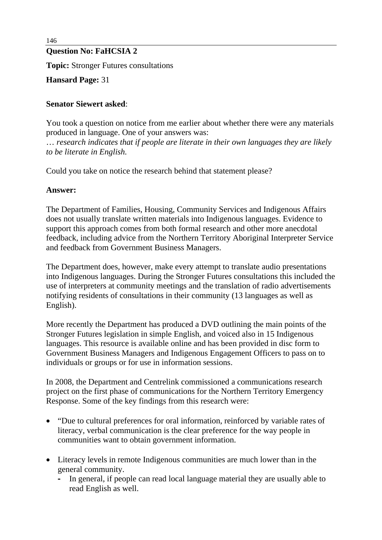## **Question No: FaHCSIA 2**

**Topic:** Stronger Futures consultations

**Hansard Page:** 31

## **Senator Siewert asked**:

You took a question on notice from me earlier about whether there were any materials produced in language. One of your answers was: … *research indicates that if people are literate in their own languages they are likely to be literate in English.*

Could you take on notice the research behind that statement please?

### **Answer:**

The Department of Families, Housing, Community Services and Indigenous Affairs does not usually translate written materials into Indigenous languages. Evidence to support this approach comes from both formal research and other more anecdotal feedback, including advice from the Northern Territory Aboriginal Interpreter Service and feedback from Government Business Managers.

The Department does, however, make every attempt to translate audio presentations into Indigenous languages. During the Stronger Futures consultations this included the use of interpreters at community meetings and the translation of radio advertisements notifying residents of consultations in their community (13 languages as well as English).

More recently the Department has produced a DVD outlining the main points of the Stronger Futures legislation in simple English, and voiced also in 15 Indigenous languages. This resource is available online and has been provided in disc form to Government Business Managers and Indigenous Engagement Officers to pass on to individuals or groups or for use in information sessions.

In 2008, the Department and Centrelink commissioned a communications research project on the first phase of communications for the Northern Territory Emergency Response. Some of the key findings from this research were:

- "Due to cultural preferences for oral information, reinforced by variable rates of literacy, verbal communication is the clear preference for the way people in communities want to obtain government information.
- Literacy levels in remote Indigenous communities are much lower than in the general community.
	- **-** In general, if people can read local language material they are usually able to read English as well.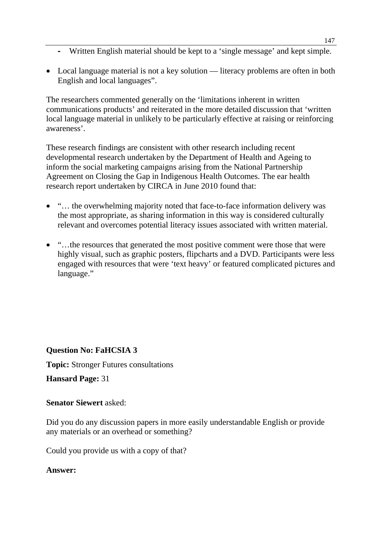- **-** Written English material should be kept to a 'single message' and kept simple.
- Local language material is not a key solution literacy problems are often in both English and local languages".

The researchers commented generally on the 'limitations inherent in written communications products' and reiterated in the more detailed discussion that 'written local language material in unlikely to be particularly effective at raising or reinforcing awareness'.

These research findings are consistent with other research including recent developmental research undertaken by the Department of Health and Ageing to inform the social marketing campaigns arising from the National Partnership Agreement on Closing the Gap in Indigenous Health Outcomes. The ear health research report undertaken by CIRCA in June 2010 found that:

- "... the overwhelming majority noted that face-to-face information delivery was the most appropriate, as sharing information in this way is considered culturally relevant and overcomes potential literacy issues associated with written material.
- "...the resources that generated the most positive comment were those that were highly visual, such as graphic posters, flipcharts and a DVD. Participants were less engaged with resources that were 'text heavy' or featured complicated pictures and language."

# **Question No: FaHCSIA 3**

**Topic:** Stronger Futures consultations

**Hansard Page:** 31

**Senator Siewert** asked:

Did you do any discussion papers in more easily understandable English or provide any materials or an overhead or something?

Could you provide us with a copy of that?

### **Answer:**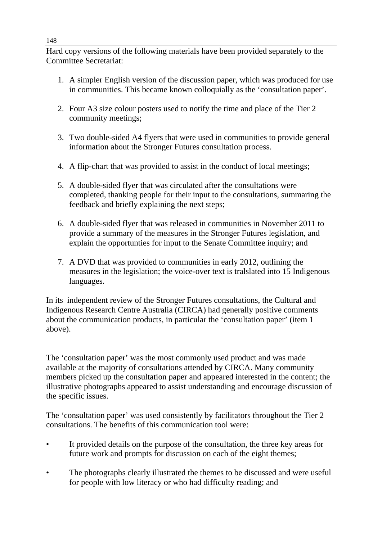Hard copy versions of the following materials have been provided separately to the Committee Secretariat:

- 1. A simpler English version of the discussion paper, which was produced for use in communities. This became known colloquially as the 'consultation paper'.
- 2. Four A3 size colour posters used to notify the time and place of the Tier 2 community meetings;
- 3. Two double-sided A4 flyers that were used in communities to provide general information about the Stronger Futures consultation process.
- 4. A flip-chart that was provided to assist in the conduct of local meetings;
- 5. A double-sided flyer that was circulated after the consultations were completed, thanking people for their input to the consultations, summaring the feedback and briefly explaining the next steps;
- 6. A double-sided flyer that was released in communities in November 2011 to provide a summary of the measures in the Stronger Futures legislation, and explain the opportunties for input to the Senate Committee inquiry; and
- 7. A DVD that was provided to communities in early 2012, outlining the measures in the legislation; the voice-over text is tralslated into 15 Indigenous languages.

In its independent review of the Stronger Futures consultations, the Cultural and Indigenous Research Centre Australia (CIRCA) had generally positive comments about the communication products, in particular the 'consultation paper' (item 1 above).

The 'consultation paper' was the most commonly used product and was made available at the majority of consultations attended by CIRCA. Many community members picked up the consultation paper and appeared interested in the content; the illustrative photographs appeared to assist understanding and encourage discussion of the specific issues.

The 'consultation paper' was used consistently by facilitators throughout the Tier 2 consultations. The benefits of this communication tool were:

- It provided details on the purpose of the consultation, the three key areas for future work and prompts for discussion on each of the eight themes;
- The photographs clearly illustrated the themes to be discussed and were useful for people with low literacy or who had difficulty reading; and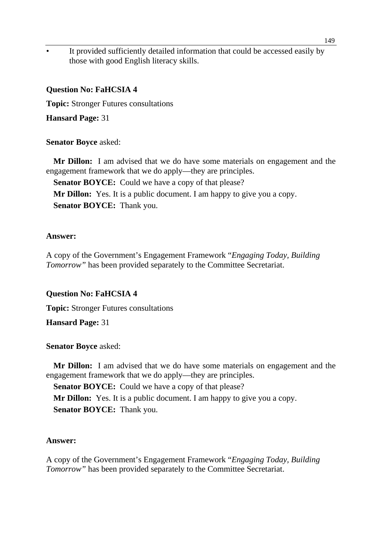It provided sufficiently detailed information that could be accessed easily by those with good English literacy skills.

#### **Question No: FaHCSIA 4**

**Topic:** Stronger Futures consultations

**Hansard Page:** 31

#### **Senator Boyce** asked:

**Mr Dillon:** I am advised that we do have some materials on engagement and the engagement framework that we do apply—they are principles.

**Senator BOYCE:** Could we have a copy of that please? **Mr Dillon:** Yes. It is a public document. I am happy to give you a copy. **Senator BOYCE:** Thank you.

#### **Answer:**

A copy of the Government's Engagement Framework "*Engaging Today, Building Tomorrow"* has been provided separately to the Committee Secretariat.

#### **Question No: FaHCSIA 4**

**Topic:** Stronger Futures consultations

**Hansard Page:** 31

#### **Senator Boyce** asked:

**Mr Dillon:** I am advised that we do have some materials on engagement and the engagement framework that we do apply—they are principles.

**Senator BOYCE:** Could we have a copy of that please?

**Mr Dillon:** Yes. It is a public document. I am happy to give you a copy.

**Senator BOYCE:** Thank you.

#### **Answer:**

A copy of the Government's Engagement Framework "*Engaging Today, Building Tomorrow"* has been provided separately to the Committee Secretariat.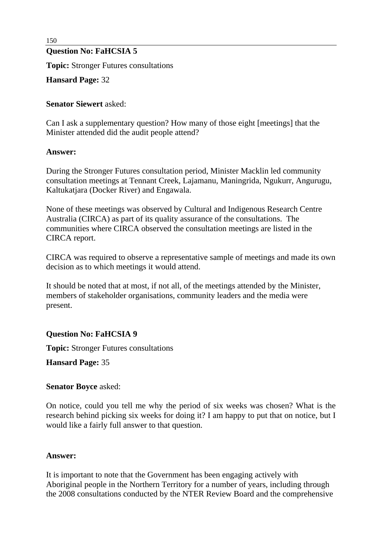# **Question No: FaHCSIA 5**

**Topic:** Stronger Futures consultations

**Hansard Page:** 32

#### **Senator Siewert** asked:

Can I ask a supplementary question? How many of those eight [meetings] that the Minister attended did the audit people attend?

#### **Answer:**

During the Stronger Futures consultation period, Minister Macklin led community consultation meetings at Tennant Creek, Lajamanu, Maningrida, Ngukurr, Angurugu, Kaltukatjara (Docker River) and Engawala.

None of these meetings was observed by Cultural and Indigenous Research Centre Australia (CIRCA) as part of its quality assurance of the consultations. The communities where CIRCA observed the consultation meetings are listed in the CIRCA report.

CIRCA was required to observe a representative sample of meetings and made its own decision as to which meetings it would attend.

It should be noted that at most, if not all, of the meetings attended by the Minister, members of stakeholder organisations, community leaders and the media were present.

### **Question No: FaHCSIA 9**

**Topic:** Stronger Futures consultations

**Hansard Page:** 35

#### **Senator Boyce** asked:

On notice, could you tell me why the period of six weeks was chosen? What is the research behind picking six weeks for doing it? I am happy to put that on notice, but I would like a fairly full answer to that question.

#### **Answer:**

It is important to note that the Government has been engaging actively with Aboriginal people in the Northern Territory for a number of years, including through the 2008 consultations conducted by the NTER Review Board and the comprehensive